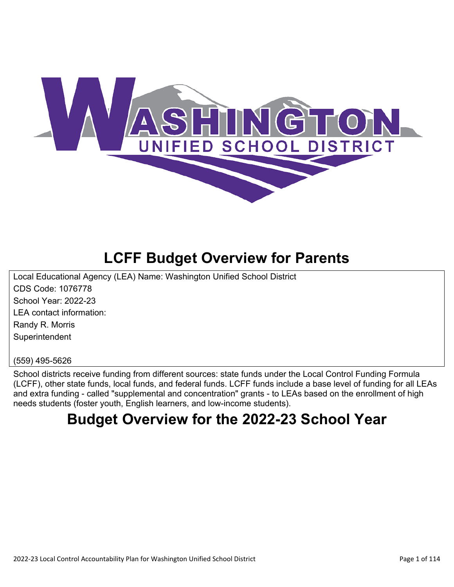

# **LCFF Budget Overview for Parents**

Local Educational Agency (LEA) Name: Washington Unified School District CDS Code: 1076778 School Year: 2022-23 LEA contact information: Randy R. Morris **Superintendent** 

#### (559) 495-5626

School districts receive funding from different sources: state funds under the Local Control Funding Formula (LCFF), other state funds, local funds, and federal funds. LCFF funds include a base level of funding for all LEAs and extra funding - called "supplemental and concentration" grants - to LEAs based on the enrollment of high needs students (foster youth, English learners, and low-income students).

# **Budget Overview for the 2022-23 School Year**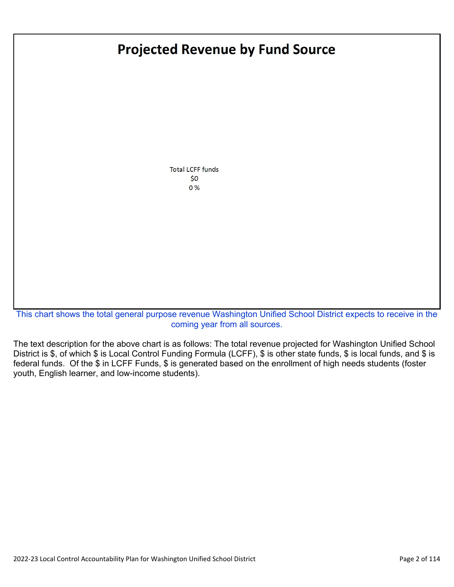## **Projected Revenue by Fund Source**

**Total LCFF funds**  $50$  $0\%$ 

This chart shows the total general purpose revenue Washington Unified School District expects to receive in the coming year from all sources.

The text description for the above chart is as follows: The total revenue projected for Washington Unified School District is \$, of which \$ is Local Control Funding Formula (LCFF), \$ is other state funds, \$ is local funds, and \$ is federal funds. Of the \$ in LCFF Funds, \$ is generated based on the enrollment of high needs students (foster youth, English learner, and low-income students).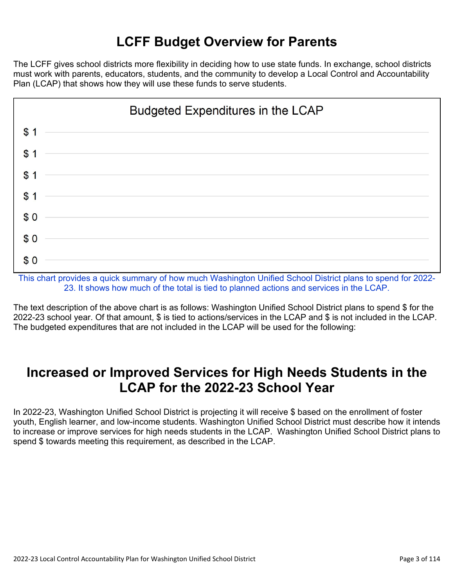## **LCFF Budget Overview for Parents**

The LCFF gives school districts more flexibility in deciding how to use state funds. In exchange, school districts must work with parents, educators, students, and the community to develop a Local Control and Accountability Plan (LCAP) that shows how they will use these funds to serve students.



This chart provides a quick summary of how much Washington Unified School District plans to spend for 2022- 23. It shows how much of the total is tied to planned actions and services in the LCAP.

The text description of the above chart is as follows: Washington Unified School District plans to spend \$ for the 2022-23 school year. Of that amount, \$ is tied to actions/services in the LCAP and \$ is not included in the LCAP. The budgeted expenditures that are not included in the LCAP will be used for the following:

#### **Increased or Improved Services for High Needs Students in the LCAP for the 2022-23 School Year**

In 2022-23, Washington Unified School District is projecting it will receive \$ based on the enrollment of foster youth, English learner, and low-income students. Washington Unified School District must describe how it intends to increase or improve services for high needs students in the LCAP. Washington Unified School District plans to spend \$ towards meeting this requirement, as described in the LCAP.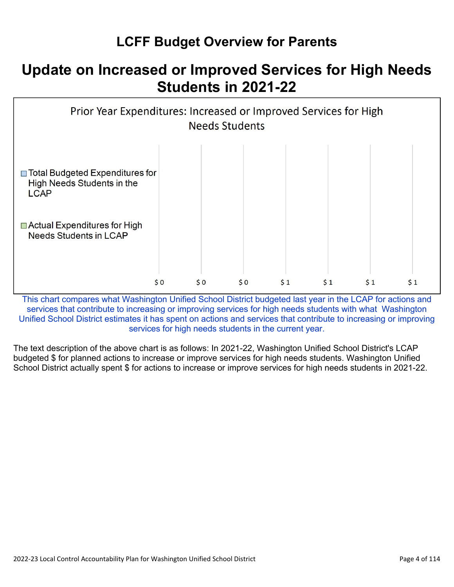## **LCFF Budget Overview for Parents**

## **Update on Increased or Improved Services for High Needs Students in 2021-22**



This chart compares what Washington Unified School District budgeted last year in the LCAP for actions and services that contribute to increasing or improving services for high needs students with what Washington Unified School District estimates it has spent on actions and services that contribute to increasing or improving services for high needs students in the current year.

The text description of the above chart is as follows: In 2021-22, Washington Unified School District's LCAP budgeted \$ for planned actions to increase or improve services for high needs students. Washington Unified School District actually spent \$ for actions to increase or improve services for high needs students in 2021-22.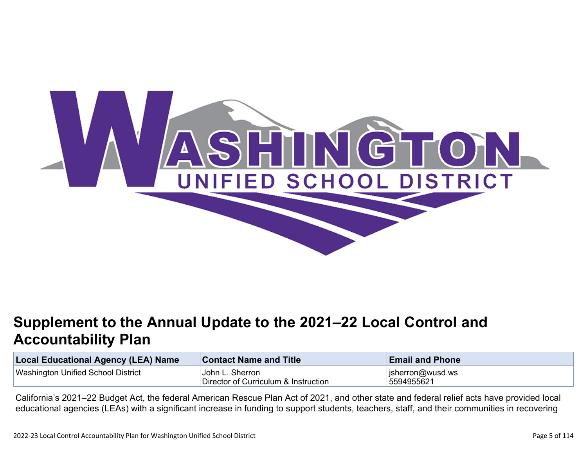

## **Supplement to the Annual Update to the 2021–22 Local Control and Accountability Plan**

| <b>Local Educational Agency (LEA) Name</b> | <b>Contact Name and Title</b>                           | <b>Email and Phone</b>        |
|--------------------------------------------|---------------------------------------------------------|-------------------------------|
| Washington Unified School District         | John L. Sherron<br>Director of Curriculum & Instruction | sherron@wusd.ws<br>5594955621 |

California's 2021–22 Budget Act, the federal American Rescue Plan Act of 2021, and other state and federal relief acts have provided local educational agencies (LEAs) with a significant increase in funding to support students, teachers, staff, and their communities in recovering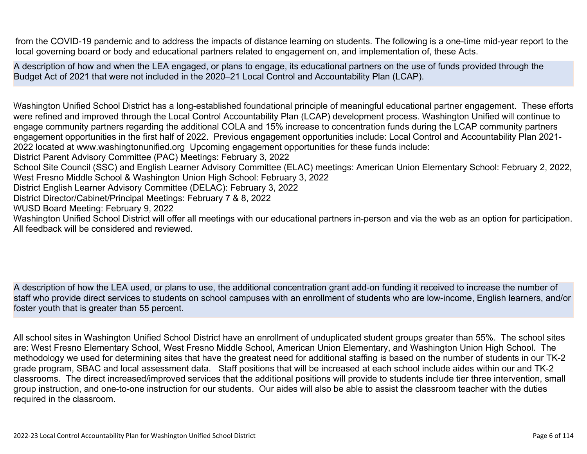from the COVID-19 pandemic and to address the impacts of distance learning on students. The following is a one-time mid-year report to the local governing board or body and educational partners related to engagement on, and implementation of, these Acts.

A description of how and when the LEA engaged, or plans to engage, its educational partners on the use of funds provided through the Budget Act of 2021 that were not included in the 2020–21 Local Control and Accountability Plan (LCAP).

Washington Unified School District has a long-established foundational principle of meaningful educational partner engagement. These efforts were refined and improved through the Local Control Accountability Plan (LCAP) development process. Washington Unified will continue to engage community partners regarding the additional COLA and 15% increase to concentration funds during the LCAP community partners engagement opportunities in the first half of 2022. Previous engagement opportunities include: Local Control and Accountability Plan 2021- 2022 located at www.washingtonunified.org Upcoming engagement opportunities for these funds include:

District Parent Advisory Committee (PAC) Meetings: February 3, 2022

School Site Council (SSC) and English Learner Advisory Committee (ELAC) meetings: American Union Elementary School: February 2, 2022, West Fresno Middle School & Washington Union High School: February 3, 2022

District English Learner Advisory Committee (DELAC): February 3, 2022

District Director/Cabinet/Principal Meetings: February 7 & 8, 2022

WUSD Board Meeting: February 9, 2022

Washington Unified School District will offer all meetings with our educational partners in-person and via the web as an option for participation. All feedback will be considered and reviewed.

A description of how the LEA used, or plans to use, the additional concentration grant add-on funding it received to increase the number of staff who provide direct services to students on school campuses with an enrollment of students who are low-income, English learners, and/or foster youth that is greater than 55 percent.

All school sites in Washington Unified School District have an enrollment of unduplicated student groups greater than 55%. The school sites are: West Fresno Elementary School, West Fresno Middle School, American Union Elementary, and Washington Union High School. The methodology we used for determining sites that have the greatest need for additional staffing is based on the number of students in our TK-2 grade program, SBAC and local assessment data. Staff positions that will be increased at each school include aides within our and TK-2 classrooms. The direct increased/improved services that the additional positions will provide to students include tier three intervention, small group instruction, and one-to-one instruction for our students. Our aides will also be able to assist the classroom teacher with the duties required in the classroom.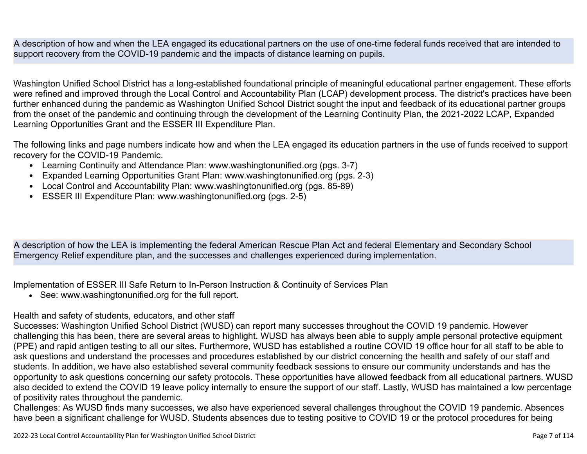A description of how and when the LEA engaged its educational partners on the use of one-time federal funds received that are intended to support recovery from the COVID-19 pandemic and the impacts of distance learning on pupils.

Washington Unified School District has a long-established foundational principle of meaningful educational partner engagement. These efforts were refined and improved through the Local Control and Accountability Plan (LCAP) development process. The district's practices have been further enhanced during the pandemic as Washington Unified School District sought the input and feedback of its educational partner groups from the onset of the pandemic and continuing through the development of the Learning Continuity Plan, the 2021-2022 LCAP, Expanded Learning Opportunities Grant and the ESSER III Expenditure Plan.

The following links and page numbers indicate how and when the LEA engaged its education partners in the use of funds received to support recovery for the COVID-19 Pandemic.

- Learning Continuity and Attendance Plan: www.washingtonunified.org (pgs. 3-7)
- Expanded Learning Opportunities Grant Plan: www.washingtonunified.org (pgs. 2-3)
- Local Control and Accountability Plan: www.washingtonunified.org (pgs. 85-89)
- ESSER III Expenditure Plan: www.washingtonunified.org (pgs. 2-5)

A description of how the LEA is implementing the federal American Rescue Plan Act and federal Elementary and Secondary School Emergency Relief expenditure plan, and the successes and challenges experienced during implementation.

Implementation of ESSER III Safe Return to In-Person Instruction & Continuity of Services Plan

• See: www.washingtonunified.org for the full report.

Health and safety of students, educators, and other staff

Successes: Washington Unified School District (WUSD) can report many successes throughout the COVID 19 pandemic. However challenging this has been, there are several areas to highlight. WUSD has always been able to supply ample personal protective equipment (PPE) and rapid antigen testing to all our sites. Furthermore, WUSD has established a routine COVID 19 office hour for all staff to be able to ask questions and understand the processes and procedures established by our district concerning the health and safety of our staff and students. In addition, we have also established several community feedback sessions to ensure our community understands and has the opportunity to ask questions concerning our safety protocols. These opportunities have allowed feedback from all educational partners. WUSD also decided to extend the COVID 19 leave policy internally to ensure the support of our staff. Lastly, WUSD has maintained a low percentage of positivity rates throughout the pandemic.

Challenges: As WUSD finds many successes, we also have experienced several challenges throughout the COVID 19 pandemic. Absences have been a significant challenge for WUSD. Students absences due to testing positive to COVID 19 or the protocol procedures for being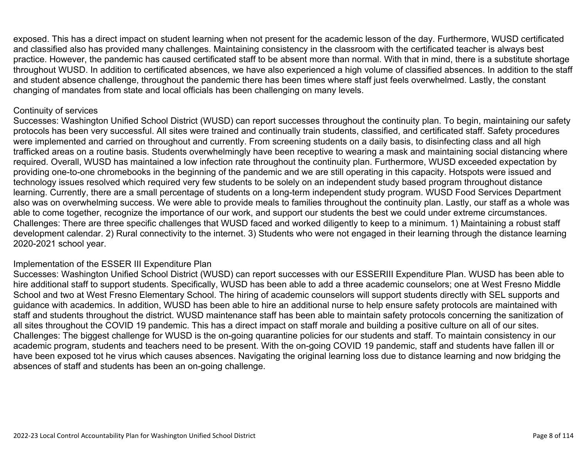exposed. This has a direct impact on student learning when not present for the academic lesson of the day. Furthermore, WUSD certificated and classified also has provided many challenges. Maintaining consistency in the classroom with the certificated teacher is always best practice. However, the pandemic has caused certificated staff to be absent more than normal. With that in mind, there is a substitute shortage throughout WUSD. In addition to certificated absences, we have also experienced a high volume of classified absences. In addition to the staff and student absence challenge, throughout the pandemic there has been times where staff just feels overwhelmed. Lastly, the constant changing of mandates from state and local officials has been challenging on many levels.

#### Continuity of services

Successes: Washington Unified School District (WUSD) can report successes throughout the continuity plan. To begin, maintaining our safety protocols has been very successful. All sites were trained and continually train students, classified, and certificated staff. Safety procedures were implemented and carried on throughout and currently. From screening students on a daily basis, to disinfecting class and all high trafficked areas on a routine basis. Students overwhelmingly have been receptive to wearing a mask and maintaining social distancing where required. Overall, WUSD has maintained a low infection rate throughout the continuity plan. Furthermore, WUSD exceeded expectation by providing one-to-one chromebooks in the beginning of the pandemic and we are still operating in this capacity. Hotspots were issued and technology issues resolved which required very few students to be solely on an independent study based program throughout distance learning. Currently, there are a small percentage of students on a long-term independent study program. WUSD Food Services Department also was on overwhelming success. We were able to provide meals to families throughout the continuity plan. Lastly, our staff as a whole was able to come together, recognize the importance of our work, and support our students the best we could under extreme circumstances. Challenges: There are three specific challenges that WUSD faced and worked diligently to keep to a minimum. 1) Maintaining a robust staff development calendar. 2) Rural connectivity to the internet. 3) Students who were not engaged in their learning through the distance learning 2020-2021 school year.

#### Implementation of the ESSER III Expenditure Plan

Successes: Washington Unified School District (WUSD) can report successes with our ESSERIII Expenditure Plan. WUSD has been able to hire additional staff to support students. Specifically, WUSD has been able to add a three academic counselors; one at West Fresno Middle School and two at West Fresno Elementary School. The hiring of academic counselors will support students directly with SEL supports and guidance with academics. In addition, WUSD has been able to hire an additional nurse to help ensure safety protocols are maintained with staff and students throughout the district. WUSD maintenance staff has been able to maintain safety protocols concerning the sanitization of all sites throughout the COVID 19 pandemic. This has a direct impact on staff morale and building a positive culture on all of our sites. Challenges: The biggest challenge for WUSD is the on-going quarantine policies for our students and staff. To maintain consistency in our academic program, students and teachers need to be present. With the on-going COVID 19 pandemic, staff and students have fallen ill or have been exposed tot he virus which causes absences. Navigating the original learning loss due to distance learning and now bridging the absences of staff and students has been an on-going challenge.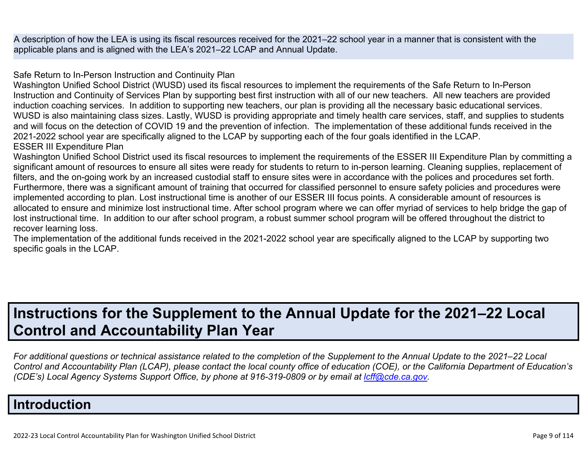A description of how the LEA is using its fiscal resources received for the 2021–22 school year in a manner that is consistent with the applicable plans and is aligned with the LEA's 2021–22 LCAP and Annual Update.

Safe Return to In-Person Instruction and Continuity Plan

Washington Unified School District (WUSD) used its fiscal resources to implement the requirements of the Safe Return to In-Person Instruction and Continuity of Services Plan by supporting best first instruction with all of our new teachers. All new teachers are provided induction coaching services. In addition to supporting new teachers, our plan is providing all the necessary basic educational services. WUSD is also maintaining class sizes. Lastly, WUSD is providing appropriate and timely health care services, staff, and supplies to students and will focus on the detection of COVID 19 and the prevention of infection. The implementation of these additional funds received in the 2021-2022 school year are specifically aligned to the LCAP by supporting each of the four goals identified in the LCAP. ESSER III Expenditure Plan

Washington Unified School District used its fiscal resources to implement the requirements of the ESSER III Expenditure Plan by committing a significant amount of resources to ensure all sites were ready for students to return to in-person learning. Cleaning supplies, replacement of filters, and the on-going work by an increased custodial staff to ensure sites were in accordance with the polices and procedures set forth. Furthermore, there was a significant amount of training that occurred for classified personnel to ensure safety policies and procedures were implemented according to plan. Lost instructional time is another of our ESSER III focus points. A considerable amount of resources is allocated to ensure and minimize lost instructional time. After school program where we can offer myriad of services to help bridge the gap of lost instructional time. In addition to our after school program, a robust summer school program will be offered throughout the district to recover learning loss.

The implementation of the additional funds received in the 2021-2022 school year are specifically aligned to the LCAP by supporting two specific goals in the LCAP.

## **Instructions for the Supplement to the Annual Update for the 2021–22 Local Control and Accountability Plan Year**

*For additional questions or technical assistance related to the completion of the Supplement to the Annual Update to the 2021–22 Local Control and Accountability Plan (LCAP), please contact the local county office of education (COE), or the California Department of Education's (CDE's) Local Agency Systems Support Office, by phone at 916-319-0809 or by email at <i>[lcff@cde.ca.gov](mailto:lcff@cde.ca.gov)*.

#### **Introduction**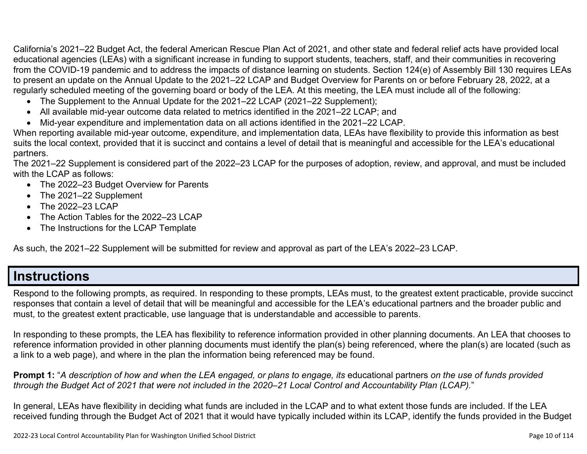California's 2021–22 Budget Act, the federal American Rescue Plan Act of 2021, and other state and federal relief acts have provided local educational agencies (LEAs) with a significant increase in funding to support students, teachers, staff, and their communities in recovering from the COVID-19 pandemic and to address the impacts of distance learning on students. Section 124(e) of Assembly Bill 130 requires LEAs to present an update on the Annual Update to the 2021–22 LCAP and Budget Overview for Parents on or before February 28, 2022, at a regularly scheduled meeting of the governing board or body of the LEA. At this meeting, the LEA must include all of the following:

- The Supplement to the Annual Update for the 2021–22 LCAP (2021–22 Supplement);
- All available mid-year outcome data related to metrics identified in the 2021–22 LCAP; and
- Mid-year expenditure and implementation data on all actions identified in the 2021–22 LCAP.

When reporting available mid-year outcome, expenditure, and implementation data, LEAs have flexibility to provide this information as best suits the local context, provided that it is succinct and contains a level of detail that is meaningful and accessible for the LEA's educational partners.

The 2021–22 Supplement is considered part of the 2022–23 LCAP for the purposes of adoption, review, and approval, and must be included with the LCAP as follows:

- The 2022–23 Budget Overview for Parents
- The 2021-22 Supplement
- The 2022-23 LCAP
- The Action Tables for the 2022–23 LCAP
- The Instructions for the LCAP Template

As such, the 2021–22 Supplement will be submitted for review and approval as part of the LEA's 2022–23 LCAP.

### **Instructions**

Respond to the following prompts, as required. In responding to these prompts, LEAs must, to the greatest extent practicable, provide succinct responses that contain a level of detail that will be meaningful and accessible for the LEA's educational partners and the broader public and must, to the greatest extent practicable, use language that is understandable and accessible to parents.

In responding to these prompts, the LEA has flexibility to reference information provided in other planning documents. An LEA that chooses to reference information provided in other planning documents must identify the plan(s) being referenced, where the plan(s) are located (such as a link to a web page), and where in the plan the information being referenced may be found.

**Prompt 1:** "*A description of how and when the LEA engaged, or plans to engage, its* educational partners *on the use of funds provided through the Budget Act of 2021 that were not included in the 2020–21 Local Control and Accountability Plan (LCAP).*"

In general, LEAs have flexibility in deciding what funds are included in the LCAP and to what extent those funds are included. If the LEA received funding through the Budget Act of 2021 that it would have typically included within its LCAP, identify the funds provided in the Budget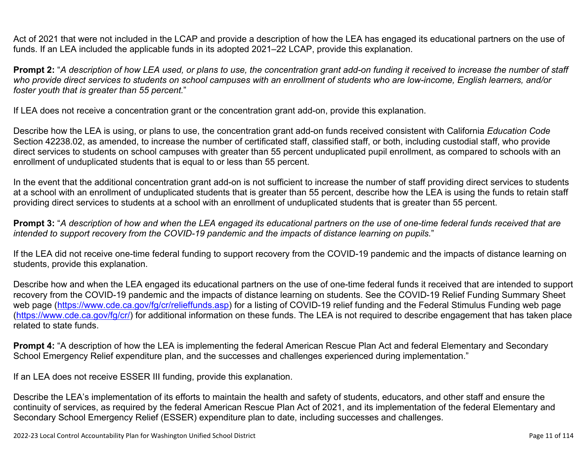Act of 2021 that were not included in the LCAP and provide a description of how the LEA has engaged its educational partners on the use of funds. If an LEA included the applicable funds in its adopted 2021–22 LCAP, provide this explanation.

**Prompt 2:** "*A description of how LEA used, or plans to use, the concentration grant add-on funding it received to increase the number of staff who provide direct services to students on school campuses with an enrollment of students who are low-income, English learners, and/or foster youth that is greater than 55 percent.*"

If LEA does not receive a concentration grant or the concentration grant add-on, provide this explanation.

Describe how the LEA is using, or plans to use, the concentration grant add-on funds received consistent with California *Education Code* Section 42238.02, as amended, to increase the number of certificated staff, classified staff, or both, including custodial staff, who provide direct services to students on school campuses with greater than 55 percent unduplicated pupil enrollment, as compared to schools with an enrollment of unduplicated students that is equal to or less than 55 percent.

In the event that the additional concentration grant add-on is not sufficient to increase the number of staff providing direct services to students at a school with an enrollment of unduplicated students that is greater than 55 percent, describe how the LEA is using the funds to retain staff providing direct services to students at a school with an enrollment of unduplicated students that is greater than 55 percent.

**Prompt 3:** "*A description of how and when the LEA engaged its educational partners on the use of one-time federal funds received that are intended to support recovery from the COVID-19 pandemic and the impacts of distance learning on pupils.*"

If the LEA did not receive one-time federal funding to support recovery from the COVID-19 pandemic and the impacts of distance learning on students, provide this explanation.

Describe how and when the LEA engaged its educational partners on the use of one-time federal funds it received that are intended to support recovery from the COVID-19 pandemic and the impacts of distance learning on students. See the COVID-19 Relief Funding Summary Sheet web page [\(https://www.cde.ca.gov/fg/cr/relieffunds.asp\)](https://www.cde.ca.gov/fg/cr/relieffunds.asp) for a listing of COVID-19 relief funding and the Federal Stimulus Funding web page (<https://www.cde.ca.gov/fg/cr/>) for additional information on these funds. The LEA is not required to describe engagement that has taken place related to state funds.

**Prompt 4:** "A description of how the LEA is implementing the federal American Rescue Plan Act and federal Elementary and Secondary School Emergency Relief expenditure plan, and the successes and challenges experienced during implementation."

If an LEA does not receive ESSER III funding, provide this explanation.

Describe the LEA's implementation of its efforts to maintain the health and safety of students, educators, and other staff and ensure the continuity of services, as required by the federal American Rescue Plan Act of 2021, and its implementation of the federal Elementary and Secondary School Emergency Relief (ESSER) expenditure plan to date, including successes and challenges.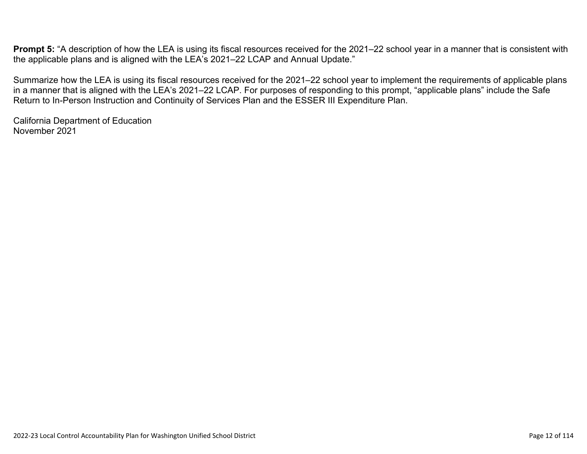**Prompt 5:** "A description of how the LEA is using its fiscal resources received for the 2021–22 school year in a manner that is consistent with the applicable plans and is aligned with the LEA's 2021–22 LCAP and Annual Update."

Summarize how the LEA is using its fiscal resources received for the 2021–22 school year to implement the requirements of applicable plans in a manner that is aligned with the LEA's 2021–22 LCAP. For purposes of responding to this prompt, "applicable plans" include the Safe Return to In-Person Instruction and Continuity of Services Plan and the ESSER III Expenditure Plan.

California Department of Education November 2021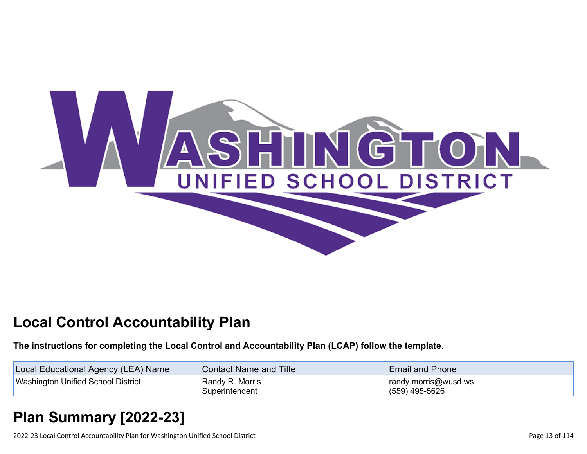

## **Local Control Accountability Plan**

**The instructions for completing the Local Control and Accountability Plan (LCAP) follow the template.**

| Local Educational Agency (LEA) Name       | Contact Name and Title            | <b>Email and Phone</b>                 |
|-------------------------------------------|-----------------------------------|----------------------------------------|
| <b>Washington Unified School District</b> | Randy R. Morris<br>Superintendent | randy.morris@wusd.ws<br>(559) 495-5626 |

# **[Plan Summary \[2022-23\]](http://www.doc-tracking.com/screenshots/22LCAP/Instructions/22LCAPInstructions.htm#PlanSummary)**

2022-23 Local Control Accountability Plan for Washington Unified School District **Page 13** of 114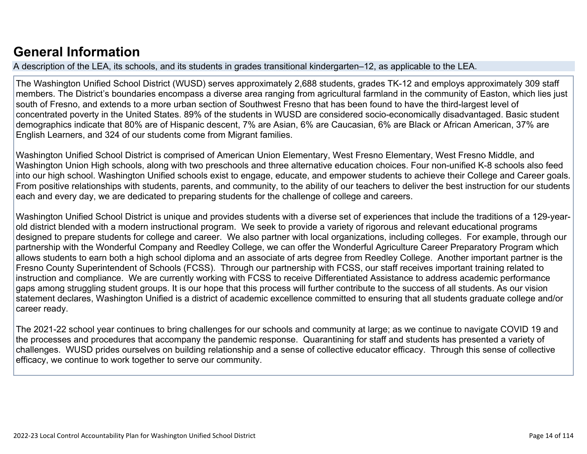#### **[General Information](http://www.doc-tracking.com/screenshots/22LCAP/Instructions/22LCAPInstructions.htm#generalinformation)**

A description of the LEA, its schools, and its students in grades transitional kindergarten–12, as applicable to the LEA.

The Washington Unified School District (WUSD) serves approximately 2,688 students, grades TK-12 and employs approximately 309 staff members. The District's boundaries encompass a diverse area ranging from agricultural farmland in the community of Easton, which lies just south of Fresno, and extends to a more urban section of Southwest Fresno that has been found to have the third-largest level of concentrated poverty in the United States. 89% of the students in WUSD are considered socio-economically disadvantaged. Basic student demographics indicate that 80% are of Hispanic descent, 7% are Asian, 6% are Caucasian, 6% are Black or African American, 37% are English Learners, and 324 of our students come from Migrant families.

Washington Unified School District is comprised of American Union Elementary, West Fresno Elementary, West Fresno Middle, and Washington Union High schools, along with two preschools and three alternative education choices. Four non-unified K-8 schools also feed into our high school. Washington Unified schools exist to engage, educate, and empower students to achieve their College and Career goals. From positive relationships with students, parents, and community, to the ability of our teachers to deliver the best instruction for our students each and every day, we are dedicated to preparing students for the challenge of college and careers.

Washington Unified School District is unique and provides students with a diverse set of experiences that include the traditions of a 129-yearold district blended with a modern instructional program. We seek to provide a variety of rigorous and relevant educational programs designed to prepare students for college and career. We also partner with local organizations, including colleges. For example, through our partnership with the Wonderful Company and Reedley College, we can offer the Wonderful Agriculture Career Preparatory Program which allows students to earn both a high school diploma and an associate of arts degree from Reedley College. Another important partner is the Fresno County Superintendent of Schools (FCSS). Through our partnership with FCSS, our staff receives important training related to instruction and compliance. We are currently working with FCSS to receive Differentiated Assistance to address academic performance gaps among struggling student groups. It is our hope that this process will further contribute to the success of all students. As our vision statement declares, Washington Unified is a district of academic excellence committed to ensuring that all students graduate college and/or career ready.

The 2021-22 school year continues to bring challenges for our schools and community at large; as we continue to navigate COVID 19 and the processes and procedures that accompany the pandemic response. Quarantining for staff and students has presented a variety of challenges. WUSD prides ourselves on building relationship and a sense of collective educator efficacy. Through this sense of collective efficacy, we continue to work together to serve our community.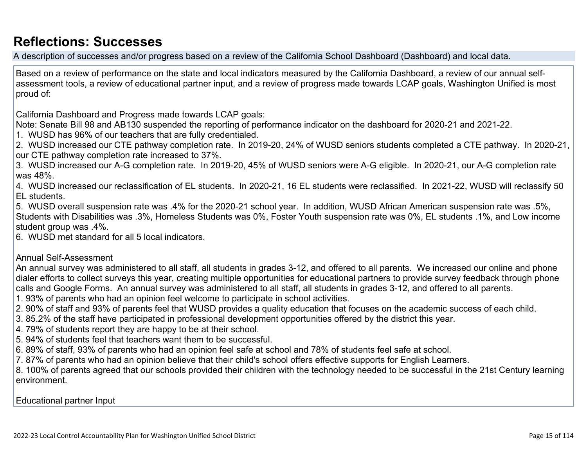### **[Reflections: Successes](http://www.doc-tracking.com/screenshots/22LCAP/Instructions/22LCAPInstructions.htm#ReflectionsSuccesses)**

A description of successes and/or progress based on a review of the California School Dashboard (Dashboard) and local data.

Based on a review of performance on the state and local indicators measured by the California Dashboard, a review of our annual selfassessment tools, a review of educational partner input, and a review of progress made towards LCAP goals, Washington Unified is most proud of:

California Dashboard and Progress made towards LCAP goals:

Note: Senate Bill 98 and AB130 suspended the reporting of performance indicator on the dashboard for 2020-21 and 2021-22.

1. WUSD has 96% of our teachers that are fully credentialed.

2. WUSD increased our CTE pathway completion rate. In 2019-20, 24% of WUSD seniors students completed a CTE pathway. In 2020-21, our CTE pathway completion rate increased to 37%.

3. WUSD increased our A-G completion rate. In 2019-20, 45% of WUSD seniors were A-G eligible. In 2020-21, our A-G completion rate was 48%.

4. WUSD increased our reclassification of EL students. In 2020-21, 16 EL students were reclassified. In 2021-22, WUSD will reclassify 50 EL students.

5. WUSD overall suspension rate was .4% for the 2020-21 school year. In addition, WUSD African American suspension rate was .5%, Students with Disabilities was .3%, Homeless Students was 0%, Foster Youth suspension rate was 0%, EL students .1%, and Low income student group was .4%.

6. WUSD met standard for all 5 local indicators.

#### Annual Self-Assessment

An annual survey was administered to all staff, all students in grades 3-12, and offered to all parents. We increased our online and phone dialer efforts to collect surveys this year, creating multiple opportunities for educational partners to provide survey feedback through phone calls and Google Forms. An annual survey was administered to all staff, all students in grades 3-12, and offered to all parents.

1. 93% of parents who had an opinion feel welcome to participate in school activities.

2. 90% of staff and 93% of parents feel that WUSD provides a quality education that focuses on the academic success of each child.

3. 85.2% of the staff have participated in professional development opportunities offered by the district this year.

4. 79% of students report they are happy to be at their school.

5. 94% of students feel that teachers want them to be successful.

6. 89% of staff, 93% of parents who had an opinion feel safe at school and 78% of students feel safe at school.

7. 87% of parents who had an opinion believe that their child's school offers effective supports for English Learners.

8. 100% of parents agreed that our schools provided their children with the technology needed to be successful in the 21st Century learning environment.

Educational partner Input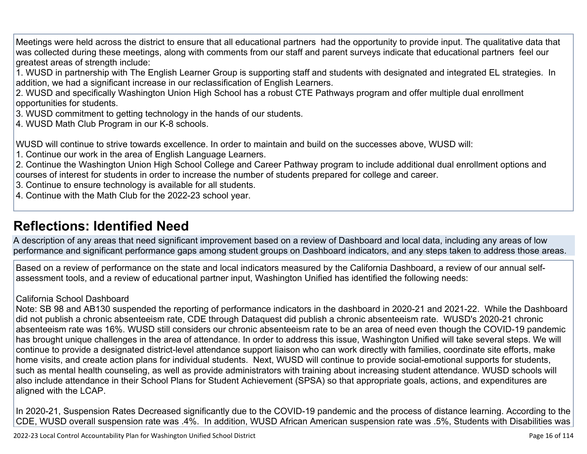Meetings were held across the district to ensure that all educational partners had the opportunity to provide input. The qualitative data that was collected during these meetings, along with comments from our staff and parent surveys indicate that educational partners feel our greatest areas of strength include:

1. WUSD in partnership with The English Learner Group is supporting staff and students with designated and integrated EL strategies. In addition, we had a significant increase in our reclassification of English Learners.

2. WUSD and specifically Washington Union High School has a robust CTE Pathways program and offer multiple dual enrollment opportunities for students.

3. WUSD commitment to getting technology in the hands of our students.

4. WUSD Math Club Program in our K-8 schools.

WUSD will continue to strive towards excellence. In order to maintain and build on the successes above, WUSD will:

1. Continue our work in the area of English Language Learners.

2. Continue the Washington Union High School College and Career Pathway program to include additional dual enrollment options and courses of interest for students in order to increase the number of students prepared for college and career.

- 3. Continue to ensure technology is available for all students.
- 4. Continue with the Math Club for the 2022-23 school year.

## **[Reflections: Identified Need](http://www.doc-tracking.com/screenshots/22LCAP/Instructions/22LCAPInstructions.htm#ReflectionsIdentifiedNeed)**

A description of any areas that need significant improvement based on a review of Dashboard and local data, including any areas of low performance and significant performance gaps among student groups on Dashboard indicators, and any steps taken to address those areas.

Based on a review of performance on the state and local indicators measured by the California Dashboard, a review of our annual selfassessment tools, and a review of educational partner input, Washington Unified has identified the following needs:

#### California School Dashboard

Note: SB 98 and AB130 suspended the reporting of performance indicators in the dashboard in 2020-21 and 2021-22. While the Dashboard did not publish a chronic absenteeism rate, CDE through Dataquest did publish a chronic absenteeism rate. WUSD's 2020-21 chronic absenteeism rate was 16%. WUSD still considers our chronic absenteeism rate to be an area of need even though the COVID-19 pandemic has brought unique challenges in the area of attendance. In order to address this issue, Washington Unified will take several steps. We will continue to provide a designated district-level attendance support liaison who can work directly with families, coordinate site efforts, make home visits, and create action plans for individual students. Next, WUSD will continue to provide social-emotional supports for students, such as mental health counseling, as well as provide administrators with training about increasing student attendance. WUSD schools will also include attendance in their School Plans for Student Achievement (SPSA) so that appropriate goals, actions, and expenditures are aligned with the LCAP.

In 2020-21, Suspension Rates Decreased significantly due to the COVID-19 pandemic and the process of distance learning. According to the CDE, WUSD overall suspension rate was .4%. In addition, WUSD African American suspension rate was .5%, Students with Disabilities was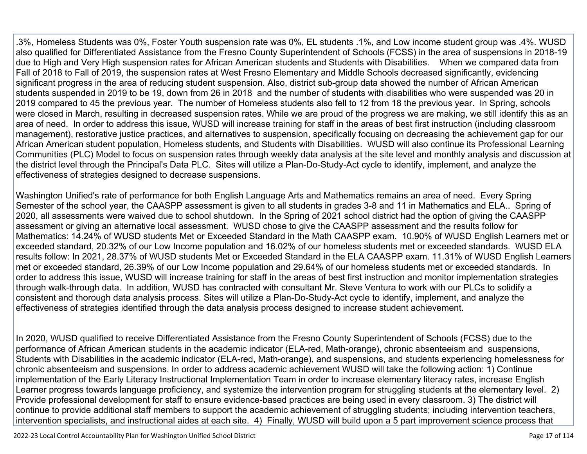.3%, Homeless Students was 0%, Foster Youth suspension rate was 0%, EL students .1%, and Low income student group was .4%. WUSD also qualified for Differentiated Assistance from the Fresno County Superintendent of Schools (FCSS) in the area of suspensions in 2018-19 due to High and Very High suspension rates for African American students and Students with Disabilities. When we compared data from Fall of 2018 to Fall of 2019, the suspension rates at West Fresno Elementary and Middle Schools decreased significantly, evidencing significant progress in the area of reducing student suspension. Also, district sub-group data showed the number of African American students suspended in 2019 to be 19, down from 26 in 2018 and the number of students with disabilities who were suspended was 20 in 2019 compared to 45 the previous year. The number of Homeless students also fell to 12 from 18 the previous year. In Spring, schools were closed in March, resulting in decreased suspension rates. While we are proud of the progress we are making, we still identify this as an area of need. In order to address this issue, WUSD will increase training for staff in the areas of best first instruction (including classroom management), restorative justice practices, and alternatives to suspension, specifically focusing on decreasing the achievement gap for our African American student population, Homeless students, and Students with Disabilities. WUSD will also continue its Professional Learning Communities (PLC) Model to focus on suspension rates through weekly data analysis at the site level and monthly analysis and discussion at the district level through the Principal's Data PLC. Sites will utilize a Plan-Do-Study-Act cycle to identify, implement, and analyze the effectiveness of strategies designed to decrease suspensions.

Washington Unified's rate of performance for both English Language Arts and Mathematics remains an area of need. Every Spring Semester of the school year, the CAASPP assessment is given to all students in grades 3-8 and 11 in Mathematics and ELA.. Spring of 2020, all assessments were waived due to school shutdown. In the Spring of 2021 school district had the option of giving the CAASPP assessment or giving an alternative local assessment. WUSD chose to give the CAASPP assessment and the results follow for Mathematics: 14.24% of WUSD students Met or Exceeded Standard in the Math CAASPP exam. 10.90% of WUSD English Learners met or exceeded standard, 20.32% of our Low Income population and 16.02% of our homeless students met or exceeded standards. WUSD ELA results follow: In 2021, 28.37% of WUSD students Met or Exceeded Standard in the ELA CAASPP exam. 11.31% of WUSD English Learners met or exceeded standard, 26.39% of our Low Income population and 29.64% of our homeless students met or exceeded standards. In order to address this issue, WUSD will increase training for staff in the areas of best first instruction and monitor implementation strategies through walk-through data. In addition, WUSD has contracted with consultant Mr. Steve Ventura to work with our PLCs to solidify a consistent and thorough data analysis process. Sites will utilize a Plan-Do-Study-Act cycle to identify, implement, and analyze the effectiveness of strategies identified through the data analysis process designed to increase student achievement.

In 2020, WUSD qualified to receive Differentiated Assistance from the Fresno County Superintendent of Schools (FCSS) due to the performance of African American students in the academic indicator (ELA-red, Math-orange), chronic absenteeism and suspensions, Students with Disabilities in the academic indicator (ELA-red, Math-orange), and suspensions, and students experiencing homelessness for chronic absenteeism and suspensions. In order to address academic achievement WUSD will take the following action: 1) Continue implementation of the Early Literacy Instructional Implementation Team in order to increase elementary literacy rates, increase English Learner progress towards language proficiency, and systemize the intervention program for struggling students at the elementary level. 2) Provide professional development for staff to ensure evidence-based practices are being used in every classroom. 3) The district will continue to provide additional staff members to support the academic achievement of struggling students; including intervention teachers, intervention specialists, and instructional aides at each site. 4) Finally, WUSD will build upon a 5 part improvement science process that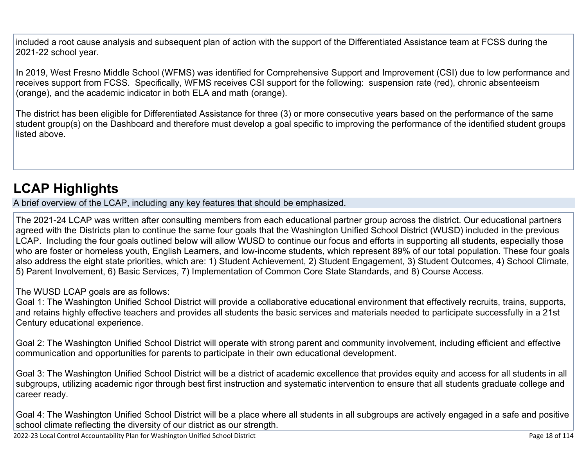included a root cause analysis and subsequent plan of action with the support of the Differentiated Assistance team at FCSS during the 2021-22 school year.

In 2019, West Fresno Middle School (WFMS) was identified for Comprehensive Support and Improvement (CSI) due to low performance and receives support from FCSS. Specifically, WFMS receives CSI support for the following: suspension rate (red), chronic absenteeism (orange), and the academic indicator in both ELA and math (orange).

The district has been eligible for Differentiated Assistance for three (3) or more consecutive years based on the performance of the same student group(s) on the Dashboard and therefore must develop a goal specific to improving the performance of the identified student groups listed above.

## **[LCAP Highlights](http://www.doc-tracking.com/screenshots/22LCAP/Instructions/22LCAPInstructions.htm#LCAPHighlights)**

A brief overview of the LCAP, including any key features that should be emphasized.

The 2021-24 LCAP was written after consulting members from each educational partner group across the district. Our educational partners agreed with the Districts plan to continue the same four goals that the Washington Unified School District (WUSD) included in the previous LCAP. Including the four goals outlined below will allow WUSD to continue our focus and efforts in supporting all students, especially those who are foster or homeless youth, English Learners, and low-income students, which represent 89% of our total population. These four goals also address the eight state priorities, which are: 1) Student Achievement, 2) Student Engagement, 3) Student Outcomes, 4) School Climate, 5) Parent Involvement, 6) Basic Services, 7) Implementation of Common Core State Standards, and 8) Course Access.

The WUSD LCAP goals are as follows:

Goal 1: The Washington Unified School District will provide a collaborative educational environment that effectively recruits, trains, supports, and retains highly effective teachers and provides all students the basic services and materials needed to participate successfully in a 21st Century educational experience.

Goal 2: The Washington Unified School District will operate with strong parent and community involvement, including efficient and effective communication and opportunities for parents to participate in their own educational development.

Goal 3: The Washington Unified School District will be a district of academic excellence that provides equity and access for all students in all subgroups, utilizing academic rigor through best first instruction and systematic intervention to ensure that all students graduate college and career ready.

Goal 4: The Washington Unified School District will be a place where all students in all subgroups are actively engaged in a safe and positive school climate reflecting the diversity of our district as our strength.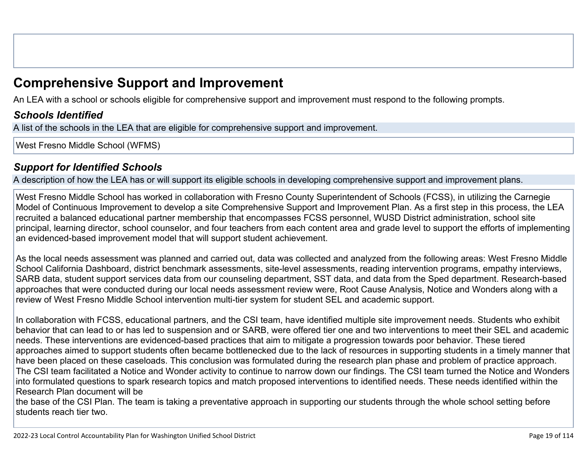## **Comprehensive Support and Improvement**

An LEA with a school or schools eligible for comprehensive support and improvement must respond to the following prompts.

#### *[Schools Identified](http://www.doc-tracking.com/screenshots/22LCAP/Instructions/22LCAPInstructions.htm#SchoolsIdentified)*

A list of the schools in the LEA that are eligible for comprehensive support and improvement.

West Fresno Middle School (WFMS)

#### *[Support for Identified Schools](http://www.doc-tracking.com/screenshots/22LCAP/Instructions/22LCAPInstructions.htm#SupportforIdentifiedSchools)*

A description of how the LEA has or will support its eligible schools in developing comprehensive support and improvement plans.

West Fresno Middle School has worked in collaboration with Fresno County Superintendent of Schools (FCSS), in utilizing the Carnegie Model of Continuous Improvement to develop a site Comprehensive Support and Improvement Plan. As a first step in this process, the LEA recruited a balanced educational partner membership that encompasses FCSS personnel, WUSD District administration, school site principal, learning director, school counselor, and four teachers from each content area and grade level to support the efforts of implementing an evidenced-based improvement model that will support student achievement.

As the local needs assessment was planned and carried out, data was collected and analyzed from the following areas: West Fresno Middle School California Dashboard, district benchmark assessments, site-level assessments, reading intervention programs, empathy interviews, SARB data, student support services data from our counseling department, SST data, and data from the Sped department. Research-based approaches that were conducted during our local needs assessment review were, Root Cause Analysis, Notice and Wonders along with a review of West Fresno Middle School intervention multi-tier system for student SEL and academic support.

In collaboration with FCSS, educational partners, and the CSI team, have identified multiple site improvement needs. Students who exhibit behavior that can lead to or has led to suspension and or SARB, were offered tier one and two interventions to meet their SEL and academic needs. These interventions are evidenced-based practices that aim to mitigate a progression towards poor behavior. These tiered approaches aimed to support students often became bottlenecked due to the lack of resources in supporting students in a timely manner that have been placed on these caseloads. This conclusion was formulated during the research plan phase and problem of practice approach. The CSI team facilitated a Notice and Wonder activity to continue to narrow down our findings. The CSI team turned the Notice and Wonders into formulated questions to spark research topics and match proposed interventions to identified needs. These needs identified within the Research Plan document will be

the base of the CSI Plan. The team is taking a preventative approach in supporting our students through the whole school setting before students reach tier two.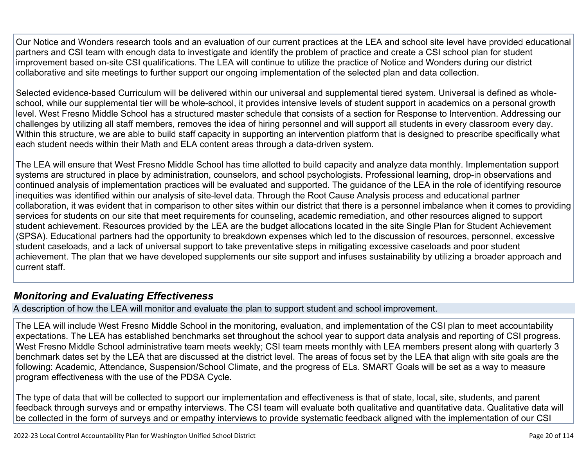Our Notice and Wonders research tools and an evaluation of our current practices at the LEA and school site level have provided educational partners and CSI team with enough data to investigate and identify the problem of practice and create a CSI school plan for student improvement based on-site CSI qualifications. The LEA will continue to utilize the practice of Notice and Wonders during our district collaborative and site meetings to further support our ongoing implementation of the selected plan and data collection.

Selected evidence-based Curriculum will be delivered within our universal and supplemental tiered system. Universal is defined as wholeschool, while our supplemental tier will be whole-school, it provides intensive levels of student support in academics on a personal growth level. West Fresno Middle School has a structured master schedule that consists of a section for Response to Intervention. Addressing our challenges by utilizing all staff members, removes the idea of hiring personnel and will support all students in every classroom every day. Within this structure, we are able to build staff capacity in supporting an intervention platform that is designed to prescribe specifically what each student needs within their Math and ELA content areas through a data-driven system.

The LEA will ensure that West Fresno Middle School has time allotted to build capacity and analyze data monthly. Implementation support systems are structured in place by administration, counselors, and school psychologists. Professional learning, drop-in observations and continued analysis of implementation practices will be evaluated and supported. The guidance of the LEA in the role of identifying resource inequities was identified within our analysis of site-level data. Through the Root Cause Analysis process and educational partner collaboration, it was evident that in comparison to other sites within our district that there is a personnel imbalance when it comes to providing services for students on our site that meet requirements for counseling, academic remediation, and other resources aligned to support student achievement. Resources provided by the LEA are the budget allocations located in the site Single Plan for Student Achievement (SPSA). Educational partners had the opportunity to breakdown expenses which led to the discussion of resources, personnel, excessive student caseloads, and a lack of universal support to take preventative steps in mitigating excessive caseloads and poor student achievement. The plan that we have developed supplements our site support and infuses sustainability by utilizing a broader approach and current staff.

#### *[Monitoring and Evaluating Effectiveness](http://www.doc-tracking.com/screenshots/22LCAP/Instructions/22LCAPInstructions.htm#MonitoringandEvaluatingEffectiveness)*

A description of how the LEA will monitor and evaluate the plan to support student and school improvement.

The LEA will include West Fresno Middle School in the monitoring, evaluation, and implementation of the CSI plan to meet accountability expectations. The LEA has established benchmarks set throughout the school year to support data analysis and reporting of CSI progress. West Fresno Middle School administrative team meets weekly; CSI team meets monthly with LEA members present along with quarterly 3 benchmark dates set by the LEA that are discussed at the district level. The areas of focus set by the LEA that align with site goals are the following: Academic, Attendance, Suspension/School Climate, and the progress of ELs. SMART Goals will be set as a way to measure program effectiveness with the use of the PDSA Cycle.

The type of data that will be collected to support our implementation and effectiveness is that of state, local, site, students, and parent feedback through surveys and or empathy interviews. The CSI team will evaluate both qualitative and quantitative data. Qualitative data will be collected in the form of surveys and or empathy interviews to provide systematic feedback aligned with the implementation of our CSI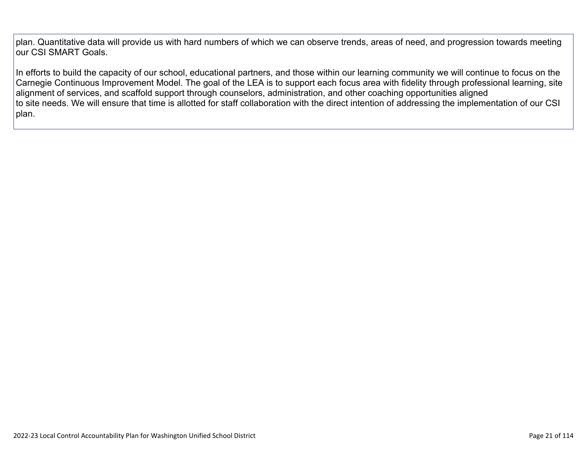plan. Quantitative data will provide us with hard numbers of which we can observe trends, areas of need, and progression towards meeting our CSI SMART Goals.

In efforts to build the capacity of our school, educational partners, and those within our learning community we will continue to focus on the Carnegie Continuous Improvement Model. The goal of the LEA is to support each focus area with fidelity through professional learning, site alignment of services, and scaffold support through counselors, administration, and other coaching opportunities aligned to site needs. We will ensure that time is allotted for staff collaboration with the direct intention of addressing the implementation of our CSI plan.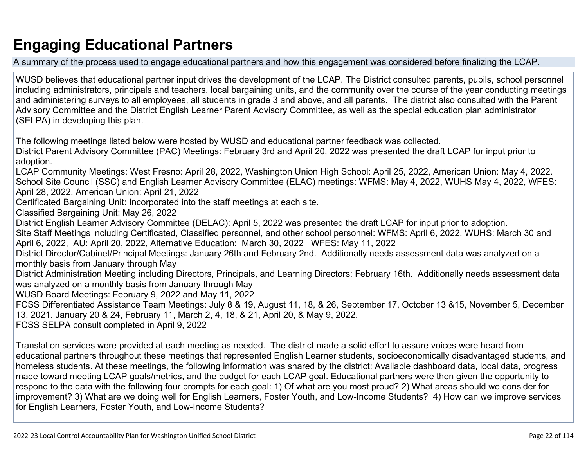# **Engaging Educational Partners**

A summary of the process used to engage educational partners and how this engagement was considered before finalizing the LCAP.

WUSD believes that educational partner input drives the development of the LCAP. The District consulted parents, pupils, school personnel including administrators, principals and teachers, local bargaining units, and the community over the course of the year conducting meetings and administering surveys to all employees, all students in grade 3 and above, and all parents. The district also consulted with the Parent Advisory Committee and the District English Learner Parent Advisory Committee, as well as the special education plan administrator (SELPA) in developing this plan.

The following meetings listed below were hosted by WUSD and educational partner feedback was collected.

District Parent Advisory Committee (PAC) Meetings: February 3rd and April 20, 2022 was presented the draft LCAP for input prior to adoption.

LCAP Community Meetings: West Fresno: April 28, 2022, Washington Union High School: April 25, 2022, American Union: May 4, 2022. School Site Council (SSC) and English Learner Advisory Committee (ELAC) meetings: WFMS: May 4, 2022, WUHS May 4, 2022, WFES: April 28, 2022, American Union: April 21, 2022

Certificated Bargaining Unit: Incorporated into the staff meetings at each site.

Classified Bargaining Unit: May 26, 2022

District English Learner Advisory Committee (DELAC): April 5, 2022 was presented the draft LCAP for input prior to adoption.

Site Staff Meetings including Certificated, Classified personnel, and other school personnel: WFMS: April 6, 2022, WUHS: March 30 and April 6, 2022, AU: April 20, 2022, Alternative Education: March 30, 2022 WFES: May 11, 2022

District Director/Cabinet/Principal Meetings: January 26th and February 2nd. Additionally needs assessment data was analyzed on a monthly basis from January through May

District Administration Meeting including Directors, Principals, and Learning Directors: February 16th. Additionally needs assessment data was analyzed on a monthly basis from January through May

WUSD Board Meetings: February 9, 2022 and May 11, 2022

FCSS Differentiated Assistance Team Meetings: July 8 & 19, August 11, 18, & 26, September 17, October 13 &15, November 5, December 13, 2021. January 20 & 24, February 11, March 2, 4, 18, & 21, April 20, & May 9, 2022. FCSS SELPA consult completed in April 9, 2022

Translation services were provided at each meeting as needed. The district made a solid effort to assure voices were heard from educational partners throughout these meetings that represented English Learner students, socioeconomically disadvantaged students, and homeless students. At these meetings, the following information was shared by the district: Available dashboard data, local data, progress made toward meeting LCAP goals/metrics, and the budget for each LCAP goal. Educational partners were then given the opportunity to respond to the data with the following four prompts for each goal: 1) Of what are you most proud? 2) What areas should we consider for improvement? 3) What are we doing well for English Learners, Foster Youth, and Low-Income Students? 4) How can we improve services for English Learners, Foster Youth, and Low-Income Students?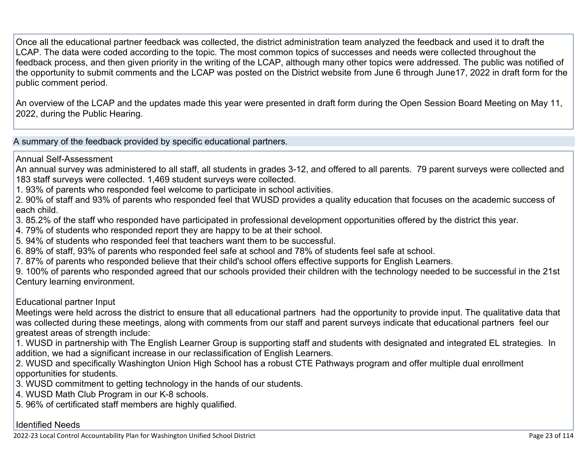Once all the educational partner feedback was collected, the district administration team analyzed the feedback and used it to draft the LCAP. The data were coded according to the topic. The most common topics of successes and needs were collected throughout the feedback process, and then given priority in the writing of the LCAP, although many other topics were addressed. The public was notified of the opportunity to submit comments and the LCAP was posted on the District website from June 6 through June17, 2022 in draft form for the public comment period.

An overview of the LCAP and the updates made this year were presented in draft form during the Open Session Board Meeting on May 11, 2022, during the Public Hearing.

A summary of the feedback provided by specific educational partners.

#### Annual Self-Assessment

- An annual survey was administered to all staff, all students in grades 3-12, and offered to all parents. 79 parent surveys were collected and 183 staff surveys were collected. 1,469 student surveys were collected.
- 1. 93% of parents who responded feel welcome to participate in school activities.
- 2. 90% of staff and 93% of parents who responded feel that WUSD provides a quality education that focuses on the academic success of each child.
- 3. 85.2% of the staff who responded have participated in professional development opportunities offered by the district this year.
- 4. 79% of students who responded report they are happy to be at their school.
- 5. 94% of students who responded feel that teachers want them to be successful.
- 6. 89% of staff, 93% of parents who responded feel safe at school and 78% of students feel safe at school.
- 7. 87% of parents who responded believe that their child's school offers effective supports for English Learners.
- 9. 100% of parents who responded agreed that our schools provided their children with the technology needed to be successful in the 21st Century learning environment.

#### Educational partner Input

Meetings were held across the district to ensure that all educational partners had the opportunity to provide input. The qualitative data that was collected during these meetings, along with comments from our staff and parent surveys indicate that educational partners feel our greatest areas of strength include:

1. WUSD in partnership with The English Learner Group is supporting staff and students with designated and integrated EL strategies. In addition, we had a significant increase in our reclassification of English Learners.

2. WUSD and specifically Washington Union High School has a robust CTE Pathways program and offer multiple dual enrollment opportunities for students.

- 3. WUSD commitment to getting technology in the hands of our students.
- 4. WUSD Math Club Program in our K-8 schools.
- 5. 96% of certificated staff members are highly qualified.

#### Identified Needs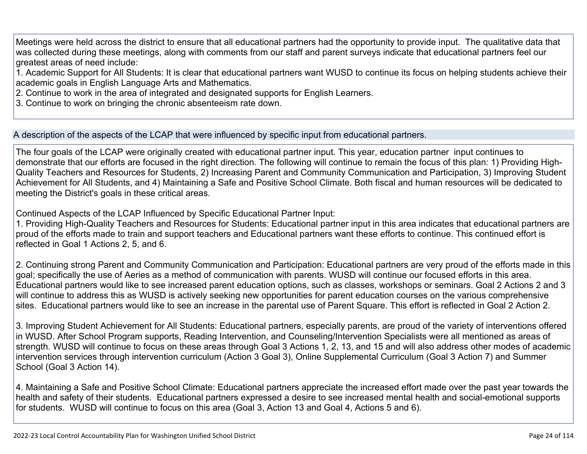Meetings were held across the district to ensure that all educational partners had the opportunity to provide input. The qualitative data that was collected during these meetings, along with comments from our staff and parent surveys indicate that educational partners feel our greatest areas of need include:

- 1. Academic Support for All Students: It is clear that educational partners want WUSD to continue its focus on helping students achieve their academic goals in English Language Arts and Mathematics.
- 2. Continue to work in the area of integrated and designated supports for English Learners.
- 3. Continue to work on bringing the chronic absenteeism rate down.

A description of the aspects of the LCAP that were influenced by specific input from educational partners.

The four goals of the LCAP were originally created with educational partner input. This year, education partner input continues to demonstrate that our efforts are focused in the right direction. The following will continue to remain the focus of this plan: 1) Providing High-Quality Teachers and Resources for Students, 2) Increasing Parent and Community Communication and Participation, 3) Improving Student Achievement for All Students, and 4) Maintaining a Safe and Positive School Climate. Both fiscal and human resources will be dedicated to meeting the District's goals in these critical areas.

Continued Aspects of the LCAP Influenced by Specific Educational Partner Input:

1. Providing High-Quality Teachers and Resources for Students: Educational partner input in this area indicates that educational partners are proud of the efforts made to train and support teachers and Educational partners want these efforts to continue. This continued effort is reflected in Goal 1 Actions 2, 5, and 6.

2. Continuing strong Parent and Community Communication and Participation: Educational partners are very proud of the efforts made in this goal; specifically the use of Aeries as a method of communication with parents. WUSD will continue our focused efforts in this area. Educational partners would like to see increased parent education options, such as classes, workshops or seminars. Goal 2 Actions 2 and 3 will continue to address this as WUSD is actively seeking new opportunities for parent education courses on the various comprehensive sites. Educational partners would like to see an increase in the parental use of Parent Square. This effort is reflected in Goal 2 Action 2.

3. Improving Student Achievement for All Students: Educational partners, especially parents, are proud of the variety of interventions offered in WUSD. After School Program supports, Reading Intervention, and Counseling/Intervention Specialists were all mentioned as areas of strength. WUSD will continue to focus on these areas through Goal 3 Actions 1, 2, 13, and 15 and will also address other modes of academic intervention services through intervention curriculum (Action 3 Goal 3), Online Supplemental Curriculum (Goal 3 Action 7) and Summer School (Goal 3 Action 14).

4. Maintaining a Safe and Positive School Climate: Educational partners appreciate the increased effort made over the past year towards the health and safety of their students. Educational partners expressed a desire to see increased mental health and social-emotional supports for students. WUSD will continue to focus on this area (Goal 3, Action 13 and Goal 4, Actions 5 and 6).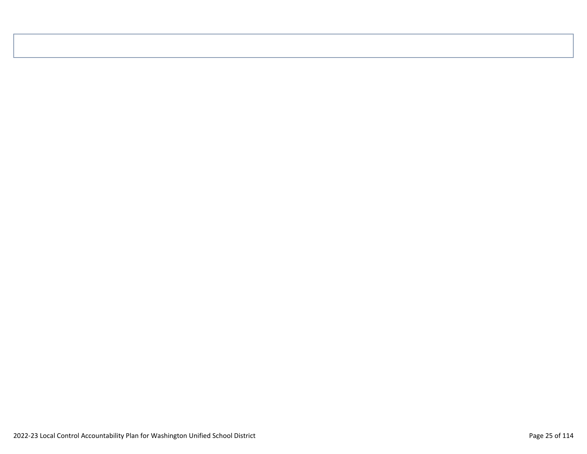2022-23 Local Control Accountability Plan for Washington Unified School District **Page 25 of 114** Page 25 of 114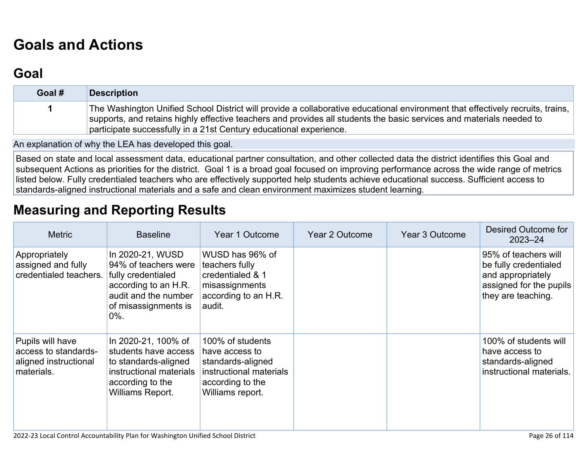# **[Goals and Actions](http://www.doc-tracking.com/screenshots/22LCAP/Instructions/22LCAPInstructions.htm#GoalsandActions)**

## **[Goal](http://www.doc-tracking.com/screenshots/22LCAP/Instructions/22LCAPInstructions.htm#goalDescription)**

| Goal # | <b>Description</b>                                                                                                                                                                                                                                                                                                           |
|--------|------------------------------------------------------------------------------------------------------------------------------------------------------------------------------------------------------------------------------------------------------------------------------------------------------------------------------|
|        | The Washington Unified School District will provide a collaborative educational environment that effectively recruits, trains,<br>supports, and retains highly effective teachers and provides all students the basic services and materials needed to<br>participate successfully in a 21st Century educational experience. |

An explanation of why the LEA has developed this goal.

Based on state and local assessment data, educational partner consultation, and other collected data the district identifies this Goal and subsequent Actions as priorities for the district. Goal 1 is a broad goal focused on improving performance across the wide range of metrics listed below. Fully credentialed teachers who are effectively supported help students achieve educational success. Sufficient access to standards-aligned instructional materials and a safe and clean environment maximizes student learning.

## **[Measuring and Reporting Results](http://www.doc-tracking.com/screenshots/22LCAP/Instructions/22LCAPInstructions.htm#MeasuringandReportingResults)**

| <b>Metric</b>                                                                   | <b>Baseline</b>                                                                                                                                   | Year 1 Outcome                                                                                                             | Year 2 Outcome | Year 3 Outcome | <b>Desired Outcome for</b><br>$2023 - 24$                                                                           |
|---------------------------------------------------------------------------------|---------------------------------------------------------------------------------------------------------------------------------------------------|----------------------------------------------------------------------------------------------------------------------------|----------------|----------------|---------------------------------------------------------------------------------------------------------------------|
| Appropriately<br>assigned and fully<br>credentialed teachers.                   | In 2020-21, WUSD<br>94% of teachers were<br>fully credentialed<br>according to an H.R.<br>audit and the number<br>of misassignments is<br>$0\%$ . | WUSD has 96% of<br>teachers fully<br>credentialed & 1<br>misassignments<br>according to an H.R.<br>audit.                  |                |                | 95% of teachers will<br>be fully credentialed<br>and appropriately<br>assigned for the pupils<br>they are teaching. |
| Pupils will have<br>access to standards-<br>aligned instructional<br>materials. | In 2020-21, 100% of<br>students have access<br>to standards-aligned<br>instructional materials<br>according to the<br>Williams Report.            | 100% of students<br>have access to<br>standards-aligned<br>instructional materials<br>according to the<br>Williams report. |                |                | 100% of students will<br>have access to<br>standards-aligned<br>instructional materials.                            |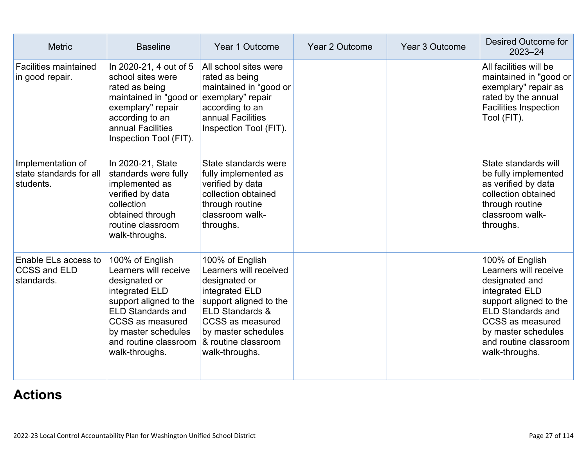| <b>Metric</b>                                             | <b>Baseline</b>                                                                                                                                                                                                                | Year 1 Outcome                                                                                                                                                                                                           | Year 2 Outcome | Year 3 Outcome | <b>Desired Outcome for</b><br>$2023 - 24$                                                                                                                                                                                       |
|-----------------------------------------------------------|--------------------------------------------------------------------------------------------------------------------------------------------------------------------------------------------------------------------------------|--------------------------------------------------------------------------------------------------------------------------------------------------------------------------------------------------------------------------|----------------|----------------|---------------------------------------------------------------------------------------------------------------------------------------------------------------------------------------------------------------------------------|
| <b>Facilities maintained</b><br>in good repair.           | In 2020-21, 4 out of 5<br>school sites were<br>rated as being<br>maintained in "good or exemplary" repair<br>exemplary" repair<br>according to an<br>annual Facilities<br>Inspection Tool (FIT).                               | All school sites were<br>rated as being<br>maintained in "good or<br>according to an<br>annual Facilities<br>Inspection Tool (FIT).                                                                                      |                |                | All facilities will be<br>maintained in "good or<br>exemplary" repair as<br>rated by the annual<br><b>Facilities Inspection</b><br>Tool (FIT).                                                                                  |
| Implementation of<br>state standards for all<br>students. | In 2020-21, State<br>standards were fully<br>implemented as<br>verified by data<br>collection<br>obtained through<br>routine classroom<br>walk-throughs.                                                                       | State standards were<br>fully implemented as<br>verified by data<br>collection obtained<br>through routine<br>classroom walk-<br>throughs.                                                                               |                |                | State standards will<br>be fully implemented<br>as verified by data<br>collection obtained<br>through routine<br>classroom walk-<br>throughs.                                                                                   |
| Enable ELs access to<br>CCSS and ELD<br>standards.        | 100% of English<br>Learners will receive<br>designated or<br>integrated ELD<br>support aligned to the<br><b>ELD Standards and</b><br><b>CCSS as measured</b><br>by master schedules<br>and routine classroom<br>walk-throughs. | 100% of English<br>Learners will received<br>designated or<br>integrated ELD<br>support aligned to the<br><b>ELD Standards &amp;</b><br>CCSS as measured<br>by master schedules<br>& routine classroom<br>walk-throughs. |                |                | 100% of English<br>Learners will receive<br>designated and<br>integrated ELD<br>support aligned to the<br><b>ELD Standards and</b><br><b>CCSS as measured</b><br>by master schedules<br>and routine classroom<br>walk-throughs. |

# **[Actions](http://www.doc-tracking.com/screenshots/22LCAP/Instructions/22LCAPInstructions.htm#actions)**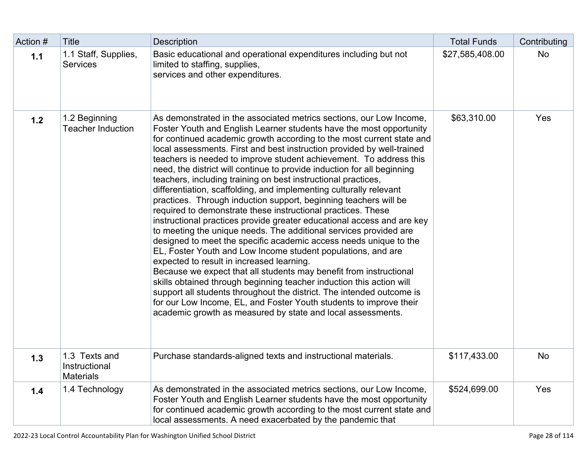| Action # | Title                                              | <b>Description</b>                                                                                                                                                                                                                                                                                                                                                                                                                                                                                                                                                                                                                                                                                                                                                                                                                                                                                                                                                                                                                                                                                                                                                                                                                                                                                                                                                                                                     | <b>Total Funds</b> | Contributing |
|----------|----------------------------------------------------|------------------------------------------------------------------------------------------------------------------------------------------------------------------------------------------------------------------------------------------------------------------------------------------------------------------------------------------------------------------------------------------------------------------------------------------------------------------------------------------------------------------------------------------------------------------------------------------------------------------------------------------------------------------------------------------------------------------------------------------------------------------------------------------------------------------------------------------------------------------------------------------------------------------------------------------------------------------------------------------------------------------------------------------------------------------------------------------------------------------------------------------------------------------------------------------------------------------------------------------------------------------------------------------------------------------------------------------------------------------------------------------------------------------------|--------------------|--------------|
| 1.1      | 1.1 Staff, Supplies,<br><b>Services</b>            | Basic educational and operational expenditures including but not<br>limited to staffing, supplies,<br>services and other expenditures.                                                                                                                                                                                                                                                                                                                                                                                                                                                                                                                                                                                                                                                                                                                                                                                                                                                                                                                                                                                                                                                                                                                                                                                                                                                                                 | \$27,585,408.00    | <b>No</b>    |
| 1.2      | 1.2 Beginning<br><b>Teacher Induction</b>          | As demonstrated in the associated metrics sections, our Low Income,<br>Foster Youth and English Learner students have the most opportunity<br>for continued academic growth according to the most current state and<br>local assessments. First and best instruction provided by well-trained<br>teachers is needed to improve student achievement. To address this<br>need, the district will continue to provide induction for all beginning<br>teachers, including training on best instructional practices,<br>differentiation, scaffolding, and implementing culturally relevant<br>practices. Through induction support, beginning teachers will be<br>required to demonstrate these instructional practices. These<br>instructional practices provide greater educational access and are key<br>to meeting the unique needs. The additional services provided are<br>designed to meet the specific academic access needs unique to the<br>EL, Foster Youth and Low Income student populations, and are<br>expected to result in increased learning.<br>Because we expect that all students may benefit from instructional<br>skills obtained through beginning teacher induction this action will<br>support all students throughout the district. The intended outcome is<br>for our Low Income, EL, and Foster Youth students to improve their<br>academic growth as measured by state and local assessments. | \$63,310.00        | Yes          |
| 1.3      | 1.3 Texts and<br>Instructional<br><b>Materials</b> | Purchase standards-aligned texts and instructional materials.                                                                                                                                                                                                                                                                                                                                                                                                                                                                                                                                                                                                                                                                                                                                                                                                                                                                                                                                                                                                                                                                                                                                                                                                                                                                                                                                                          | \$117,433.00       | <b>No</b>    |
| 1.4      | 1.4 Technology                                     | As demonstrated in the associated metrics sections, our Low Income,<br>Foster Youth and English Learner students have the most opportunity<br>for continued academic growth according to the most current state and<br>local assessments. A need exacerbated by the pandemic that                                                                                                                                                                                                                                                                                                                                                                                                                                                                                                                                                                                                                                                                                                                                                                                                                                                                                                                                                                                                                                                                                                                                      | \$524,699.00       | Yes          |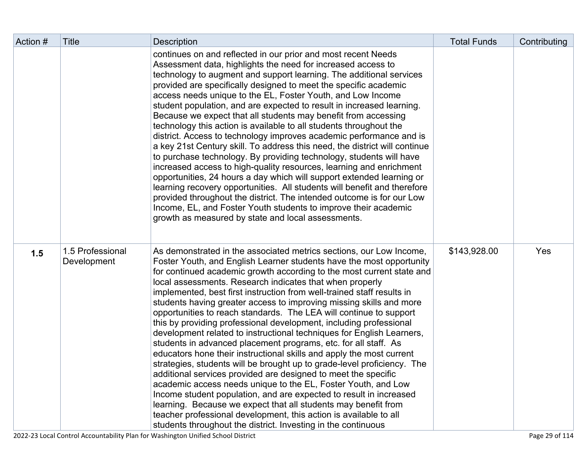| Action # | <b>Title</b>                    | <b>Description</b>                                                                                                                                                                                                                                                                                                                                                                                                                                                                                                                                                                                                                                                                                                                                                                                                                                                                                                                                                                                                                                                                                                                                                                                                                                                                            | <b>Total Funds</b> | Contributing |
|----------|---------------------------------|-----------------------------------------------------------------------------------------------------------------------------------------------------------------------------------------------------------------------------------------------------------------------------------------------------------------------------------------------------------------------------------------------------------------------------------------------------------------------------------------------------------------------------------------------------------------------------------------------------------------------------------------------------------------------------------------------------------------------------------------------------------------------------------------------------------------------------------------------------------------------------------------------------------------------------------------------------------------------------------------------------------------------------------------------------------------------------------------------------------------------------------------------------------------------------------------------------------------------------------------------------------------------------------------------|--------------------|--------------|
|          |                                 | continues on and reflected in our prior and most recent Needs<br>Assessment data, highlights the need for increased access to<br>technology to augment and support learning. The additional services<br>provided are specifically designed to meet the specific academic<br>access needs unique to the EL, Foster Youth, and Low Income<br>student population, and are expected to result in increased learning.<br>Because we expect that all students may benefit from accessing<br>technology this action is available to all students throughout the<br>district. Access to technology improves academic performance and is<br>a key 21st Century skill. To address this need, the district will continue<br>to purchase technology. By providing technology, students will have<br>increased access to high-quality resources, learning and enrichment<br>opportunities, 24 hours a day which will support extended learning or<br>learning recovery opportunities. All students will benefit and therefore<br>provided throughout the district. The intended outcome is for our Low<br>Income, EL, and Foster Youth students to improve their academic<br>growth as measured by state and local assessments.                                                                            |                    |              |
| 1.5      | 1.5 Professional<br>Development | As demonstrated in the associated metrics sections, our Low Income,<br>Foster Youth, and English Learner students have the most opportunity<br>for continued academic growth according to the most current state and<br>local assessments. Research indicates that when properly<br>implemented, best first instruction from well-trained staff results in<br>students having greater access to improving missing skills and more<br>opportunities to reach standards. The LEA will continue to support<br>this by providing professional development, including professional<br>development related to instructional techniques for English Learners,<br>students in advanced placement programs, etc. for all staff. As<br>educators hone their instructional skills and apply the most current<br>strategies, students will be brought up to grade-level proficiency. The<br>additional services provided are designed to meet the specific<br>academic access needs unique to the EL, Foster Youth, and Low<br>Income student population, and are expected to result in increased<br>learning. Because we expect that all students may benefit from<br>teacher professional development, this action is available to all<br>students throughout the district. Investing in the continuous | \$143,928.00       | Yes          |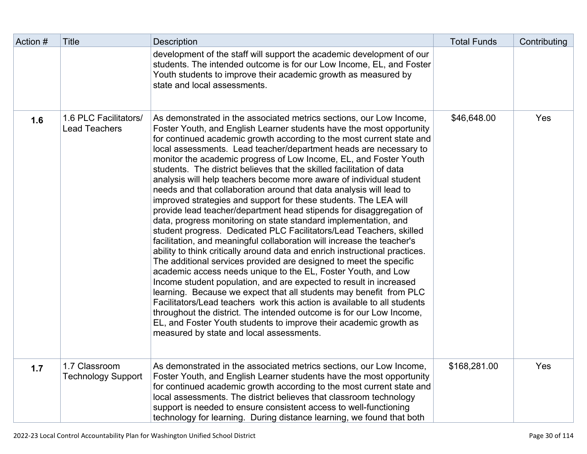| Action # | <b>Title</b>                                  | <b>Description</b>                                                                                                                                                                                                                                                                                                                                                                                                                                                                                                                                                                                                                                                                                                                                                                                                                                                                                                                                                                                                                                                                                                                                                                                                                                                                                                                                                                                                                                                                                                                                                                          | <b>Total Funds</b> | Contributing |
|----------|-----------------------------------------------|---------------------------------------------------------------------------------------------------------------------------------------------------------------------------------------------------------------------------------------------------------------------------------------------------------------------------------------------------------------------------------------------------------------------------------------------------------------------------------------------------------------------------------------------------------------------------------------------------------------------------------------------------------------------------------------------------------------------------------------------------------------------------------------------------------------------------------------------------------------------------------------------------------------------------------------------------------------------------------------------------------------------------------------------------------------------------------------------------------------------------------------------------------------------------------------------------------------------------------------------------------------------------------------------------------------------------------------------------------------------------------------------------------------------------------------------------------------------------------------------------------------------------------------------------------------------------------------------|--------------------|--------------|
|          |                                               | development of the staff will support the academic development of our<br>students. The intended outcome is for our Low Income, EL, and Foster<br>Youth students to improve their academic growth as measured by<br>state and local assessments.                                                                                                                                                                                                                                                                                                                                                                                                                                                                                                                                                                                                                                                                                                                                                                                                                                                                                                                                                                                                                                                                                                                                                                                                                                                                                                                                             |                    |              |
| 1.6      | 1.6 PLC Facilitators/<br><b>Lead Teachers</b> | As demonstrated in the associated metrics sections, our Low Income,<br>Foster Youth, and English Learner students have the most opportunity<br>for continued academic growth according to the most current state and<br>local assessments. Lead teacher/department heads are necessary to<br>monitor the academic progress of Low Income, EL, and Foster Youth<br>students. The district believes that the skilled facilitation of data<br>analysis will help teachers become more aware of individual student<br>needs and that collaboration around that data analysis will lead to<br>improved strategies and support for these students. The LEA will<br>provide lead teacher/department head stipends for disaggregation of<br>data, progress monitoring on state standard implementation, and<br>student progress. Dedicated PLC Facilitators/Lead Teachers, skilled<br>facilitation, and meaningful collaboration will increase the teacher's<br>ability to think critically around data and enrich instructional practices.<br>The additional services provided are designed to meet the specific<br>academic access needs unique to the EL, Foster Youth, and Low<br>Income student population, and are expected to result in increased<br>learning. Because we expect that all students may benefit from PLC<br>Facilitators/Lead teachers work this action is available to all students<br>throughout the district. The intended outcome is for our Low Income,<br>EL, and Foster Youth students to improve their academic growth as<br>measured by state and local assessments. | \$46,648.00        | Yes          |
| 1.7      | 1.7 Classroom<br><b>Technology Support</b>    | As demonstrated in the associated metrics sections, our Low Income,<br>Foster Youth, and English Learner students have the most opportunity<br>for continued academic growth according to the most current state and<br>local assessments. The district believes that classroom technology<br>support is needed to ensure consistent access to well-functioning<br>technology for learning. During distance learning, we found that both                                                                                                                                                                                                                                                                                                                                                                                                                                                                                                                                                                                                                                                                                                                                                                                                                                                                                                                                                                                                                                                                                                                                                    | \$168,281.00       | Yes          |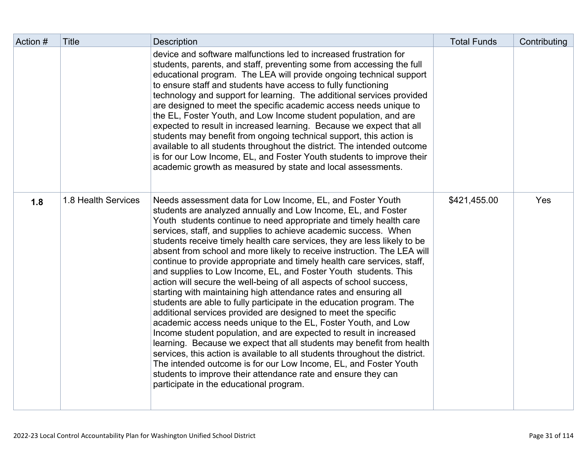| Action # | <b>Title</b>        | <b>Description</b>                                                                                                                                                                                                                                                                                                                                                                                                                                                                                                                                                                                                                                                                                                                                                                                                                                                                                                                                                                                                                                                                                                                                                                                                                                                                                                                            | <b>Total Funds</b> | Contributing |
|----------|---------------------|-----------------------------------------------------------------------------------------------------------------------------------------------------------------------------------------------------------------------------------------------------------------------------------------------------------------------------------------------------------------------------------------------------------------------------------------------------------------------------------------------------------------------------------------------------------------------------------------------------------------------------------------------------------------------------------------------------------------------------------------------------------------------------------------------------------------------------------------------------------------------------------------------------------------------------------------------------------------------------------------------------------------------------------------------------------------------------------------------------------------------------------------------------------------------------------------------------------------------------------------------------------------------------------------------------------------------------------------------|--------------------|--------------|
|          |                     | device and software malfunctions led to increased frustration for<br>students, parents, and staff, preventing some from accessing the full<br>educational program. The LEA will provide ongoing technical support<br>to ensure staff and students have access to fully functioning<br>technology and support for learning. The additional services provided<br>are designed to meet the specific academic access needs unique to<br>the EL, Foster Youth, and Low Income student population, and are<br>expected to result in increased learning. Because we expect that all<br>students may benefit from ongoing technical support, this action is<br>available to all students throughout the district. The intended outcome<br>is for our Low Income, EL, and Foster Youth students to improve their<br>academic growth as measured by state and local assessments.                                                                                                                                                                                                                                                                                                                                                                                                                                                                        |                    |              |
| 1.8      | 1.8 Health Services | Needs assessment data for Low Income, EL, and Foster Youth<br>students are analyzed annually and Low Income, EL, and Foster<br>Youth students continue to need appropriate and timely health care<br>services, staff, and supplies to achieve academic success. When<br>students receive timely health care services, they are less likely to be<br>absent from school and more likely to receive instruction. The LEA will<br>continue to provide appropriate and timely health care services, staff,<br>and supplies to Low Income, EL, and Foster Youth students. This<br>action will secure the well-being of all aspects of school success,<br>starting with maintaining high attendance rates and ensuring all<br>students are able to fully participate in the education program. The<br>additional services provided are designed to meet the specific<br>academic access needs unique to the EL, Foster Youth, and Low<br>Income student population, and are expected to result in increased<br>learning. Because we expect that all students may benefit from health<br>services, this action is available to all students throughout the district.<br>The intended outcome is for our Low Income, EL, and Foster Youth<br>students to improve their attendance rate and ensure they can<br>participate in the educational program. | \$421,455.00       | Yes          |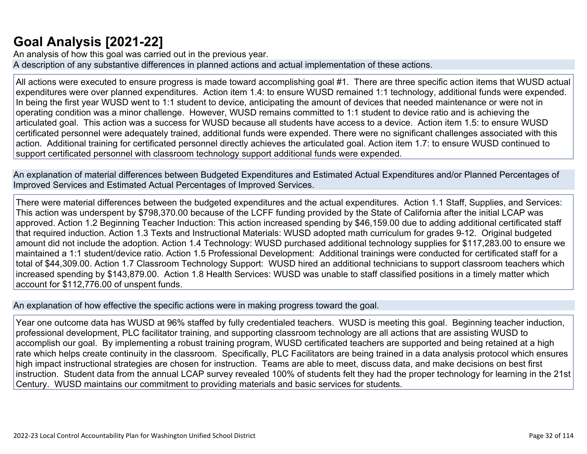## **[Goal Analysis \[2021-22\]](http://www.doc-tracking.com/screenshots/22LCAP/Instructions/22LCAPInstructions.htm#GoalAnalysis)**

An analysis of how this goal was carried out in the previous year. A description of any substantive differences in planned actions and actual implementation of these actions.

All actions were executed to ensure progress is made toward accomplishing goal #1. There are three specific action items that WUSD actual expenditures were over planned expenditures. Action item 1.4: to ensure WUSD remained 1:1 technology, additional funds were expended. In being the first year WUSD went to 1:1 student to device, anticipating the amount of devices that needed maintenance or were not in operating condition was a minor challenge. However, WUSD remains committed to 1:1 student to device ratio and is achieving the articulated goal. This action was a success for WUSD because all students have access to a device. Action item 1.5: to ensure WUSD certificated personnel were adequately trained, additional funds were expended. There were no significant challenges associated with this action. Additional training for certificated personnel directly achieves the articulated goal. Action item 1.7: to ensure WUSD continued to support certificated personnel with classroom technology support additional funds were expended.

An explanation of material differences between Budgeted Expenditures and Estimated Actual Expenditures and/or Planned Percentages of Improved Services and Estimated Actual Percentages of Improved Services.

There were material differences between the budgeted expenditures and the actual expenditures. Action 1.1 Staff, Supplies, and Services: This action was underspent by \$798,370.00 because of the LCFF funding provided by the State of California after the initial LCAP was approved. Action 1.2 Beginning Teacher Induction: This action increased spending by \$46,159.00 due to adding additional certificated staff that required induction. Action 1.3 Texts and Instructional Materials: WUSD adopted math curriculum for grades 9-12. Original budgeted amount did not include the adoption. Action 1.4 Technology: WUSD purchased additional technology supplies for \$117,283.00 to ensure we maintained a 1:1 student/device ratio. Action 1.5 Professional Development: Additional trainings were conducted for certificated staff for a total of \$44,309.00. Action 1.7 Classroom Technology Support: WUSD hired an additional technicians to support classroom teachers which increased spending by \$143,879.00. Action 1.8 Health Services: WUSD was unable to staff classified positions in a timely matter which account for \$112,776.00 of unspent funds.

An explanation of how effective the specific actions were in making progress toward the goal.

Year one outcome data has WUSD at 96% staffed by fully credentialed teachers. WUSD is meeting this goal. Beginning teacher induction, professional development, PLC facilitator training, and supporting classroom technology are all actions that are assisting WUSD to accomplish our goal. By implementing a robust training program, WUSD certificated teachers are supported and being retained at a high rate which helps create continuity in the classroom. Specifically, PLC Facilitators are being trained in a data analysis protocol which ensures high impact instructional strategies are chosen for instruction. Teams are able to meet, discuss data, and make decisions on best first instruction. Student data from the annual LCAP survey revealed 100% of students felt they had the proper technology for learning in the 21st Century. WUSD maintains our commitment to providing materials and basic services for students.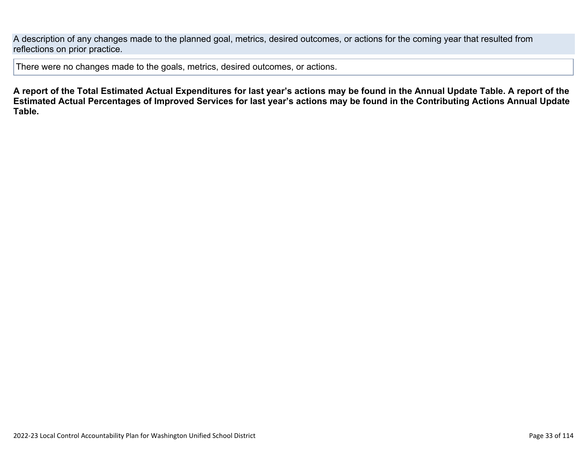A description of any changes made to the planned goal, metrics, desired outcomes, or actions for the coming year that resulted from reflections on prior practice.

There were no changes made to the goals, metrics, desired outcomes, or actions.

**A report of the Total Estimated Actual Expenditures for last year's actions may be found in the Annual Update Table. A report of the Estimated Actual Percentages of Improved Services for last year's actions may be found in the Contributing Actions Annual Update Table.**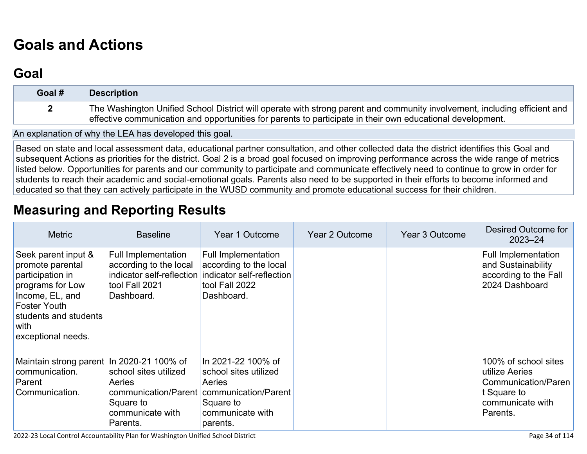# **[Goals and Actions](http://www.doc-tracking.com/screenshots/22LCAP/Instructions/22LCAPInstructions.htm#GoalsandActions)**

### **[Goal](http://www.doc-tracking.com/screenshots/22LCAP/Instructions/22LCAPInstructions.htm#goalDescription)**

| Goal # | <b>Description</b>                                                                                                                                                                                                                      |
|--------|-----------------------------------------------------------------------------------------------------------------------------------------------------------------------------------------------------------------------------------------|
|        | The Washington Unified School District will operate with strong parent and community involvement, including efficient and<br>effective communication and opportunities for parents to participate in their own educational development. |

An explanation of why the LEA has developed this goal.

Based on state and local assessment data, educational partner consultation, and other collected data the district identifies this Goal and subsequent Actions as priorities for the district. Goal 2 is a broad goal focused on improving performance across the wide range of metrics listed below. Opportunities for parents and our community to participate and communicate effectively need to continue to grow in order for students to reach their academic and social-emotional goals. Parents also need to be supported in their efforts to become informed and educated so that they can actively participate in the WUSD community and promote educational success for their children.

## **[Measuring and Reporting Results](http://www.doc-tracking.com/screenshots/22LCAP/Instructions/22LCAPInstructions.htm#MeasuringandReportingResults)**

| <b>Metric</b>                                                                                                                                                                    | <b>Baseline</b>                                                               | Year 1 Outcome                                                                                                                                    | Year 2 Outcome | Year 3 Outcome | Desired Outcome for<br>$2023 - 24$                                                                           |
|----------------------------------------------------------------------------------------------------------------------------------------------------------------------------------|-------------------------------------------------------------------------------|---------------------------------------------------------------------------------------------------------------------------------------------------|----------------|----------------|--------------------------------------------------------------------------------------------------------------|
| Seek parent input &<br>promote parental<br>participation in<br>programs for Low<br>Income, EL, and<br><b>Foster Youth</b><br>students and students<br>with<br>exceptional needs. | Full Implementation<br>according to the local<br>tool Fall 2021<br>Dashboard. | <b>Full Implementation</b><br>according to the local<br>indicator self-reflection indicator self-reflection<br>tool Fall 2022<br>Dashboard.       |                |                | Full Implementation<br>and Sustainability<br>according to the Fall<br>2024 Dashboard                         |
| Maintain strong parent In 2020-21 100% of<br>communication.<br>Parent<br>Communication.                                                                                          | school sites utilized<br>Aeries<br>Square to<br>communicate with<br>Parents.  | In 2021-22 100% of<br>school sites utilized<br>Aeries<br>communication/Parent   communication/Parent<br>Square to<br>communicate with<br>parents. |                |                | 100% of school sites<br>utilize Aeries<br>Communication/Paren<br>t Square to<br>communicate with<br>Parents. |

2022-23 Local Control Accountability Plan for Washington Unified School District **Page 34 of 114** and 2022-23 Local Control Accountability Plan for Washington Unified School District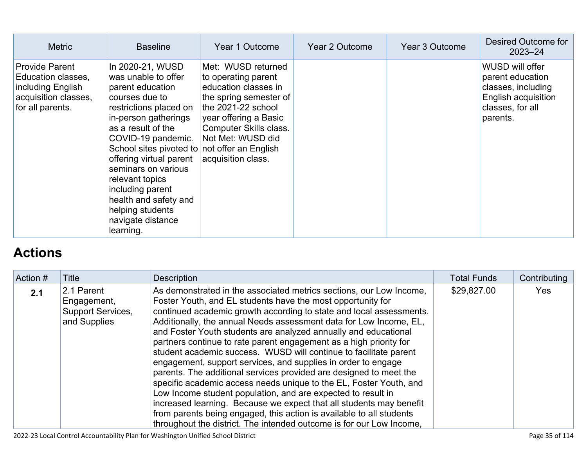| <b>Metric</b>                                                                                                | <b>Baseline</b>                                                                                                                                                                                                                                                                                                                                                                                     | Year 1 Outcome                                                                                                                                                                                                  | <b>Year 2 Outcome</b> | Year 3 Outcome | Desired Outcome for<br>$2023 - 24$                                                                               |
|--------------------------------------------------------------------------------------------------------------|-----------------------------------------------------------------------------------------------------------------------------------------------------------------------------------------------------------------------------------------------------------------------------------------------------------------------------------------------------------------------------------------------------|-----------------------------------------------------------------------------------------------------------------------------------------------------------------------------------------------------------------|-----------------------|----------------|------------------------------------------------------------------------------------------------------------------|
| <b>Provide Parent</b><br>Education classes,<br>including English<br>acquisition classes,<br>for all parents. | In 2020-21, WUSD<br>was unable to offer<br>parent education<br>courses due to<br>restrictions placed on<br>in-person gatherings<br>as a result of the<br>COVID-19 pandemic.<br>School sites pivoted to not offer an English<br>offering virtual parent<br>seminars on various<br>relevant topics<br>including parent<br>health and safety and<br>helping students<br>navigate distance<br>learning. | Met: WUSD returned<br>to operating parent<br>education classes in<br>the spring semester of<br>the 2021-22 school<br>year offering a Basic<br>Computer Skills class.<br>Not Met: WUSD did<br>acquisition class. |                       |                | WUSD will offer<br>parent education<br>classes, including<br>English acquisition<br>classes, for all<br>parents. |

## **[Actions](http://www.doc-tracking.com/screenshots/22LCAP/Instructions/22LCAPInstructions.htm#actions)**

| Action # | Title                                                          | <b>Description</b>                                                                                                                                                                                                                                                                                                                                                                                                                                                                                                                                                                                                                                                                                                                                                                                                                                                                                                                                                                                | <b>Total Funds</b> | Contributing |
|----------|----------------------------------------------------------------|---------------------------------------------------------------------------------------------------------------------------------------------------------------------------------------------------------------------------------------------------------------------------------------------------------------------------------------------------------------------------------------------------------------------------------------------------------------------------------------------------------------------------------------------------------------------------------------------------------------------------------------------------------------------------------------------------------------------------------------------------------------------------------------------------------------------------------------------------------------------------------------------------------------------------------------------------------------------------------------------------|--------------------|--------------|
| 2.1      | 2.1 Parent<br>Engagement,<br>Support Services,<br>and Supplies | As demonstrated in the associated metrics sections, our Low Income,<br>Foster Youth, and EL students have the most opportunity for<br>continued academic growth according to state and local assessments.<br>Additionally, the annual Needs assessment data for Low Income, EL,<br>and Foster Youth students are analyzed annually and educational<br>partners continue to rate parent engagement as a high priority for<br>student academic success. WUSD will continue to facilitate parent<br>engagement, support services, and supplies in order to engage<br>parents. The additional services provided are designed to meet the<br>specific academic access needs unique to the EL, Foster Youth, and<br>Low Income student population, and are expected to result in<br>increased learning. Because we expect that all students may benefit<br>from parents being engaged, this action is available to all students<br>throughout the district. The intended outcome is for our Low Income, | \$29,827.00        | Yes          |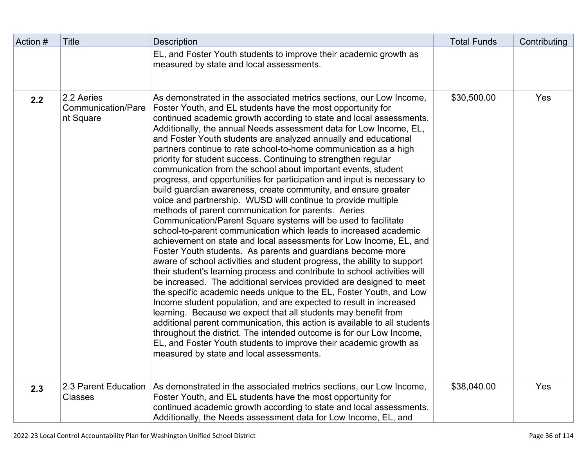| Action # | <b>Title</b>                                  | <b>Description</b>                                                                                                                                                                                                                                                                                                                                                                                                                                                                                                                                                                                                                                                                                                                                                                                                                                                                                                                                                                                                                                                                                                                                                                                                                                                                                                                                                                                                                                                                                                                                                                                                                                                                                                                                                                                                            | <b>Total Funds</b> | Contributing |
|----------|-----------------------------------------------|-------------------------------------------------------------------------------------------------------------------------------------------------------------------------------------------------------------------------------------------------------------------------------------------------------------------------------------------------------------------------------------------------------------------------------------------------------------------------------------------------------------------------------------------------------------------------------------------------------------------------------------------------------------------------------------------------------------------------------------------------------------------------------------------------------------------------------------------------------------------------------------------------------------------------------------------------------------------------------------------------------------------------------------------------------------------------------------------------------------------------------------------------------------------------------------------------------------------------------------------------------------------------------------------------------------------------------------------------------------------------------------------------------------------------------------------------------------------------------------------------------------------------------------------------------------------------------------------------------------------------------------------------------------------------------------------------------------------------------------------------------------------------------------------------------------------------------|--------------------|--------------|
|          |                                               | EL, and Foster Youth students to improve their academic growth as<br>measured by state and local assessments.                                                                                                                                                                                                                                                                                                                                                                                                                                                                                                                                                                                                                                                                                                                                                                                                                                                                                                                                                                                                                                                                                                                                                                                                                                                                                                                                                                                                                                                                                                                                                                                                                                                                                                                 |                    |              |
| 2.2      | 2.2 Aeries<br>Communication/Pare<br>nt Square | As demonstrated in the associated metrics sections, our Low Income,<br>Foster Youth, and EL students have the most opportunity for<br>continued academic growth according to state and local assessments.<br>Additionally, the annual Needs assessment data for Low Income, EL,<br>and Foster Youth students are analyzed annually and educational<br>partners continue to rate school-to-home communication as a high<br>priority for student success. Continuing to strengthen regular<br>communication from the school about important events, student<br>progress, and opportunities for participation and input is necessary to<br>build guardian awareness, create community, and ensure greater<br>voice and partnership. WUSD will continue to provide multiple<br>methods of parent communication for parents. Aeries<br>Communication/Parent Square systems will be used to facilitate<br>school-to-parent communication which leads to increased academic<br>achievement on state and local assessments for Low Income, EL, and<br>Foster Youth students. As parents and guardians become more<br>aware of school activities and student progress, the ability to support<br>their student's learning process and contribute to school activities will<br>be increased. The additional services provided are designed to meet<br>the specific academic needs unique to the EL, Foster Youth, and Low<br>Income student population, and are expected to result in increased<br>learning. Because we expect that all students may benefit from<br>additional parent communication, this action is available to all students<br>throughout the district. The intended outcome is for our Low Income,<br>EL, and Foster Youth students to improve their academic growth as<br>measured by state and local assessments. | \$30,500.00        | Yes          |
| 2.3      | 2.3 Parent Education<br><b>Classes</b>        | As demonstrated in the associated metrics sections, our Low Income.<br>Foster Youth, and EL students have the most opportunity for<br>continued academic growth according to state and local assessments.<br>Additionally, the Needs assessment data for Low Income, EL, and                                                                                                                                                                                                                                                                                                                                                                                                                                                                                                                                                                                                                                                                                                                                                                                                                                                                                                                                                                                                                                                                                                                                                                                                                                                                                                                                                                                                                                                                                                                                                  | \$38,040.00        | Yes          |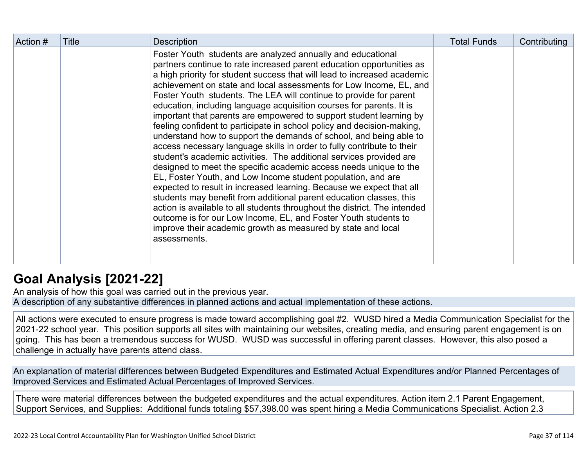| Action # | Title | <b>Description</b>                                                                                                                                                                                                                                                                                                                                                                                                                                                                                                                                                                                                                                                                                                                                                                                                                                                                                                                                                                                                                                                                                                                                                                                                                                                                                                               | <b>Total Funds</b> | Contributing |
|----------|-------|----------------------------------------------------------------------------------------------------------------------------------------------------------------------------------------------------------------------------------------------------------------------------------------------------------------------------------------------------------------------------------------------------------------------------------------------------------------------------------------------------------------------------------------------------------------------------------------------------------------------------------------------------------------------------------------------------------------------------------------------------------------------------------------------------------------------------------------------------------------------------------------------------------------------------------------------------------------------------------------------------------------------------------------------------------------------------------------------------------------------------------------------------------------------------------------------------------------------------------------------------------------------------------------------------------------------------------|--------------------|--------------|
|          |       | Foster Youth students are analyzed annually and educational<br>partners continue to rate increased parent education opportunities as<br>a high priority for student success that will lead to increased academic<br>achievement on state and local assessments for Low Income, EL, and<br>Foster Youth students. The LEA will continue to provide for parent<br>education, including language acquisition courses for parents. It is<br>important that parents are empowered to support student learning by<br>feeling confident to participate in school policy and decision-making,<br>understand how to support the demands of school, and being able to<br>access necessary language skills in order to fully contribute to their<br>student's academic activities. The additional services provided are<br>designed to meet the specific academic access needs unique to the<br>EL, Foster Youth, and Low Income student population, and are<br>expected to result in increased learning. Because we expect that all<br>students may benefit from additional parent education classes, this<br>action is available to all students throughout the district. The intended<br>outcome is for our Low Income, EL, and Foster Youth students to<br>improve their academic growth as measured by state and local<br>assessments. |                    |              |

An analysis of how this goal was carried out in the previous year. A description of any substantive differences in planned actions and actual implementation of these actions.

All actions were executed to ensure progress is made toward accomplishing goal #2. WUSD hired a Media Communication Specialist for the 2021-22 school year. This position supports all sites with maintaining our websites, creating media, and ensuring parent engagement is on going. This has been a tremendous success for WUSD. WUSD was successful in offering parent classes. However, this also posed a challenge in actually have parents attend class.

An explanation of material differences between Budgeted Expenditures and Estimated Actual Expenditures and/or Planned Percentages of Improved Services and Estimated Actual Percentages of Improved Services.

There were material differences between the budgeted expenditures and the actual expenditures. Action item 2.1 Parent Engagement, Support Services, and Supplies: Additional funds totaling \$57,398.00 was spent hiring a Media Communications Specialist. Action 2.3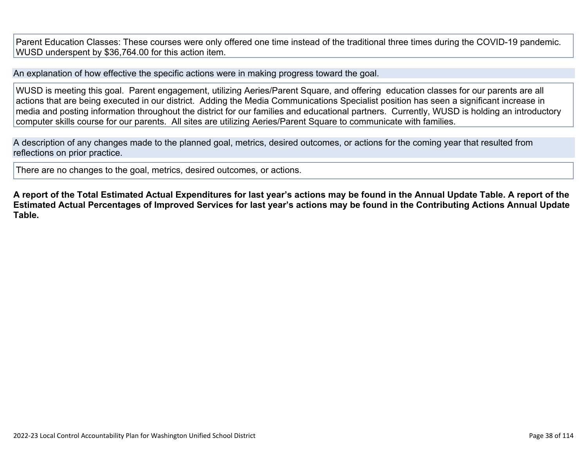Parent Education Classes: These courses were only offered one time instead of the traditional three times during the COVID-19 pandemic. WUSD underspent by \$36,764.00 for this action item.

An explanation of how effective the specific actions were in making progress toward the goal.

WUSD is meeting this goal. Parent engagement, utilizing Aeries/Parent Square, and offering education classes for our parents are all actions that are being executed in our district. Adding the Media Communications Specialist position has seen a significant increase in media and posting information throughout the district for our families and educational partners. Currently, WUSD is holding an introductory computer skills course for our parents. All sites are utilizing Aeries/Parent Square to communicate with families.

A description of any changes made to the planned goal, metrics, desired outcomes, or actions for the coming year that resulted from reflections on prior practice.

There are no changes to the goal, metrics, desired outcomes, or actions.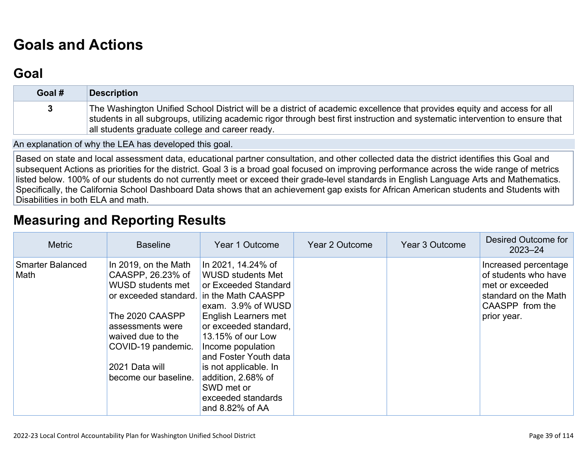# **[Goals and Actions](http://www.doc-tracking.com/screenshots/22LCAP/Instructions/22LCAPInstructions.htm#GoalsandActions)**

## **[Goal](http://www.doc-tracking.com/screenshots/22LCAP/Instructions/22LCAPInstructions.htm#goalDescription)**

| Goal # | <b>Description</b>                                                                                                                                                                                                                                                                                           |
|--------|--------------------------------------------------------------------------------------------------------------------------------------------------------------------------------------------------------------------------------------------------------------------------------------------------------------|
|        | The Washington Unified School District will be a district of academic excellence that provides equity and access for all<br>students in all subgroups, utilizing academic rigor through best first instruction and systematic intervention to ensure that<br>all students graduate college and career ready. |

An explanation of why the LEA has developed this goal.

Based on state and local assessment data, educational partner consultation, and other collected data the district identifies this Goal and subsequent Actions as priorities for the district. Goal 3 is a broad goal focused on improving performance across the wide range of metrics listed below. 100% of our students do not currently meet or exceed their grade-level standards in English Language Arts and Mathematics. Specifically, the California School Dashboard Data shows that an achievement gap exists for African American students and Students with Disabilities in both ELA and math.

## **[Measuring and Reporting Results](http://www.doc-tracking.com/screenshots/22LCAP/Instructions/22LCAPInstructions.htm#MeasuringandReportingResults)**

| <b>Metric</b>                   | <b>Baseline</b>                                                                                                                                                                                                                        | Year 1 Outcome                                                                                                                                                                                                                                                                                                         | Year 2 Outcome | Year 3 Outcome | Desired Outcome for<br>$2023 - 24$                                                                                        |
|---------------------------------|----------------------------------------------------------------------------------------------------------------------------------------------------------------------------------------------------------------------------------------|------------------------------------------------------------------------------------------------------------------------------------------------------------------------------------------------------------------------------------------------------------------------------------------------------------------------|----------------|----------------|---------------------------------------------------------------------------------------------------------------------------|
| <b>Smarter Balanced</b><br>Math | In 2019, on the Math<br>CAASPP, 26.23% of<br>WUSD students met<br>or exceeded standard. In the Math CAASPP<br>The 2020 CAASPP<br>assessments were<br>waived due to the<br>COVID-19 pandemic.<br>2021 Data will<br>become our baseline. | In 2021, 14.24% of<br>WUSD students Met<br>or Exceeded Standard<br>exam. 3.9% of WUSD<br><b>English Learners met</b><br>or exceeded standard.<br>13.15% of our Low<br>Income population<br>and Foster Youth data<br>is not applicable. In<br>addition, 2.68% of<br>SWD met or<br>exceeded standards<br>and 8.82% of AA |                |                | Increased percentage<br>of students who have<br>met or exceeded<br>standard on the Math<br>CAASPP from the<br>prior year. |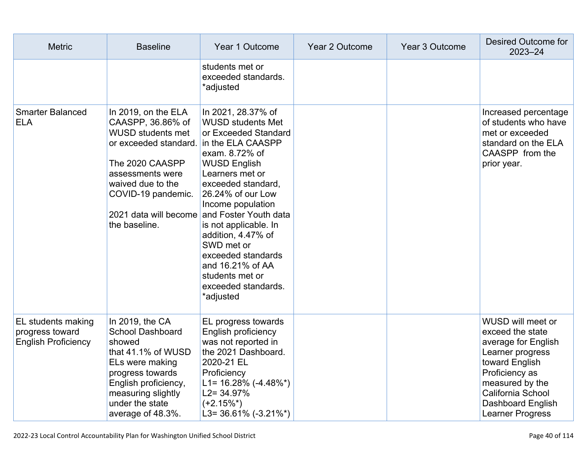| <b>Metric</b>                                                       | <b>Baseline</b>                                                                                                                                                                                                    | Year 1 Outcome                                                                                                                                                                                                                                                                                                                                                                                                  | Year 2 Outcome | Year 3 Outcome | <b>Desired Outcome for</b><br>2023-24                                                                                                                                                                 |
|---------------------------------------------------------------------|--------------------------------------------------------------------------------------------------------------------------------------------------------------------------------------------------------------------|-----------------------------------------------------------------------------------------------------------------------------------------------------------------------------------------------------------------------------------------------------------------------------------------------------------------------------------------------------------------------------------------------------------------|----------------|----------------|-------------------------------------------------------------------------------------------------------------------------------------------------------------------------------------------------------|
|                                                                     |                                                                                                                                                                                                                    | students met or<br>exceeded standards.<br>*adjusted                                                                                                                                                                                                                                                                                                                                                             |                |                |                                                                                                                                                                                                       |
| <b>Smarter Balanced</b><br><b>ELA</b>                               | In 2019, on the ELA<br>CAASPP, 36.86% of<br><b>WUSD students met</b><br>or exceeded standard. in the ELA CAASPP<br>The 2020 CAASPP<br>assessments were<br>waived due to the<br>COVID-19 pandemic.<br>the baseline. | In 2021, 28.37% of<br><b>WUSD students Met</b><br>or Exceeded Standard<br>exam. 8.72% of<br><b>WUSD English</b><br>Learners met or<br>exceeded standard,<br>26.24% of our Low<br>Income population<br>2021 data will become and Foster Youth data<br>is not applicable. In<br>addition, 4.47% of<br>SWD met or<br>exceeded standards<br>and 16.21% of AA<br>students met or<br>exceeded standards.<br>*adjusted |                |                | Increased percentage<br>of students who have<br>met or exceeded<br>standard on the ELA<br>CAASPP from the<br>prior year.                                                                              |
| EL students making<br>progress toward<br><b>English Proficiency</b> | In 2019, the CA<br><b>School Dashboard</b><br>showed<br>that 41.1% of WUSD<br>ELs were making<br>progress towards<br>English proficiency,<br>measuring slightly<br>under the state<br>average of 48.3%.            | EL progress towards<br>English proficiency<br>was not reported in<br>the 2021 Dashboard.<br>2020-21 EL<br>Proficiency<br>L1= $16.28\%$ (-4.48%*)<br>$L2 = 34.97%$<br>$(+2.15\%*)$<br>L3= $36.61\%$ (-3.21%*)                                                                                                                                                                                                    |                |                | WUSD will meet or<br>exceed the state<br>average for English<br>Learner progress<br>toward English<br>Proficiency as<br>measured by the<br>California School<br>Dashboard English<br>Learner Progress |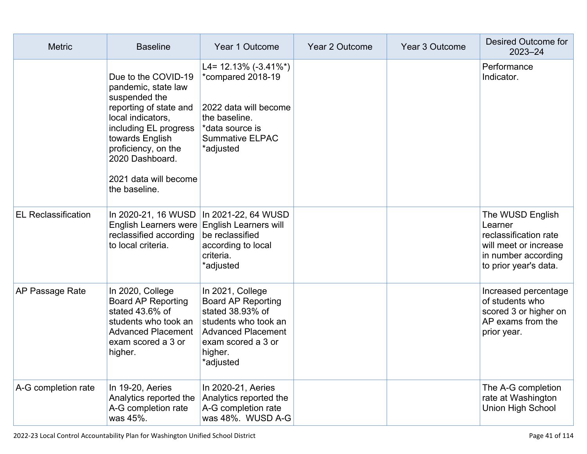| <b>Metric</b>              | <b>Baseline</b>                                                                                                                                                                                                                            | Year 1 Outcome                                                                                                                                                       | Year 2 Outcome | Year 3 Outcome | Desired Outcome for<br>$2023 - 24$                                                                                            |
|----------------------------|--------------------------------------------------------------------------------------------------------------------------------------------------------------------------------------------------------------------------------------------|----------------------------------------------------------------------------------------------------------------------------------------------------------------------|----------------|----------------|-------------------------------------------------------------------------------------------------------------------------------|
|                            | Due to the COVID-19<br>pandemic, state law<br>suspended the<br>reporting of state and<br>local indicators.<br>including EL progress<br>towards English<br>proficiency, on the<br>2020 Dashboard.<br>2021 data will become<br>the baseline. | L4= $12.13\%$ (-3.41%*)<br>*compared 2018-19<br>2022 data will become<br>the baseline.<br>*data source is<br><b>Summative ELPAC</b><br>*adjusted                     |                |                | Performance<br>Indicator.                                                                                                     |
| <b>EL Reclassification</b> | In 2020-21, 16 WUSD<br>English Learners were<br>reclassified according<br>to local criteria.                                                                                                                                               | In 2021-22, 64 WUSD<br><b>English Learners will</b><br>be reclassified<br>according to local<br>criteria.<br>*adjusted                                               |                |                | The WUSD English<br>Learner<br>reclassification rate<br>will meet or increase<br>in number according<br>to prior year's data. |
| AP Passage Rate            | In 2020, College<br><b>Board AP Reporting</b><br>stated 43.6% of<br>students who took an<br><b>Advanced Placement</b><br>exam scored a 3 or<br>higher.                                                                                     | In 2021, College<br><b>Board AP Reporting</b><br>stated 38.93% of<br>students who took an<br><b>Advanced Placement</b><br>exam scored a 3 or<br>higher.<br>*adjusted |                |                | Increased percentage<br>of students who<br>scored 3 or higher on<br>AP exams from the<br>prior year.                          |
| A-G completion rate        | In 19-20, Aeries<br>Analytics reported the<br>A-G completion rate<br>was 45%.                                                                                                                                                              | In 2020-21, Aeries<br>Analytics reported the<br>A-G completion rate<br>was 48%. WUSD A-G                                                                             |                |                | The A-G completion<br>rate at Washington<br>Union High School                                                                 |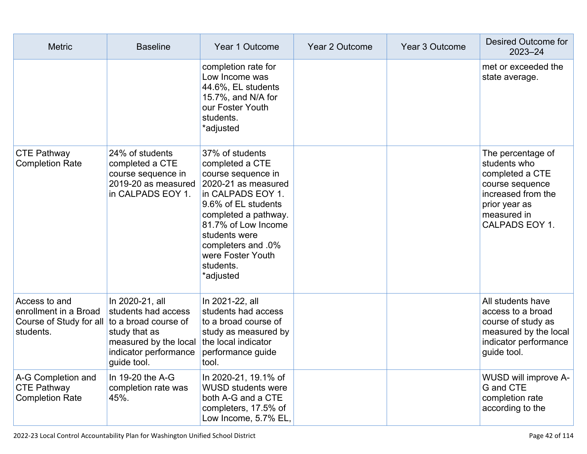| <b>Metric</b>                                                                                       | <b>Baseline</b>                                                                                                          | Year 1 Outcome                                                                                                                                                                                                                                                   | Year 2 Outcome | Year 3 Outcome | Desired Outcome for<br>$2023 - 24$                                                                                                                     |
|-----------------------------------------------------------------------------------------------------|--------------------------------------------------------------------------------------------------------------------------|------------------------------------------------------------------------------------------------------------------------------------------------------------------------------------------------------------------------------------------------------------------|----------------|----------------|--------------------------------------------------------------------------------------------------------------------------------------------------------|
|                                                                                                     |                                                                                                                          | completion rate for<br>Low Income was<br>44.6%, EL students<br>15.7%, and N/A for<br>our Foster Youth<br>students.<br>*adjusted                                                                                                                                  |                |                | met or exceeded the<br>state average.                                                                                                                  |
| <b>CTE Pathway</b><br><b>Completion Rate</b>                                                        | 24% of students<br>completed a CTE<br>course sequence in<br>2019-20 as measured<br>in CALPADS EOY 1.                     | 37% of students<br>completed a CTE<br>course sequence in<br>2020-21 as measured<br>in CALPADS EOY 1.<br>9.6% of EL students<br>completed a pathway.<br>81.7% of Low Income<br>students were<br>completers and .0%<br>were Foster Youth<br>students.<br>*adjusted |                |                | The percentage of<br>students who<br>completed a CTE<br>course sequence<br>increased from the<br>prior year as<br>measured in<br><b>CALPADS EOY 1.</b> |
| Access to and<br>enrollment in a Broad<br>Course of Study for all to a broad course of<br>students. | In 2020-21, all<br>students had access<br>study that as<br>measured by the local<br>indicator performance<br>guide tool. | In 2021-22, all<br>students had access<br>to a broad course of<br>study as measured by<br>the local indicator<br>performance guide<br>tool.                                                                                                                      |                |                | All students have<br>access to a broad<br>course of study as<br>measured by the local<br>indicator performance<br>guide tool.                          |
| A-G Completion and<br><b>CTE Pathway</b><br><b>Completion Rate</b>                                  | In 19-20 the A-G<br>completion rate was<br>45%.                                                                          | In 2020-21, 19.1% of<br><b>WUSD students were</b><br>both A-G and a CTE<br>completers, 17.5% of<br>Low Income, 5.7% EL,                                                                                                                                          |                |                | <b>WUSD will improve A-</b><br>G and CTE<br>completion rate<br>according to the                                                                        |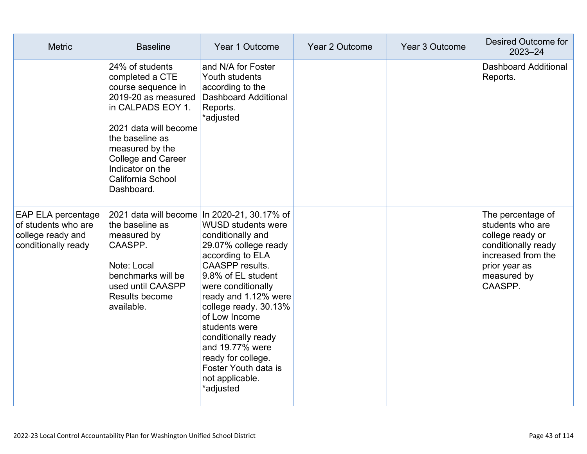| <b>Metric</b>                                                                         | <b>Baseline</b>                                                                                                                                                                                                                                         | Year 1 Outcome                                                                                                                                                                                                                                                                                                                                                                                                               | Year 2 Outcome | Year 3 Outcome | Desired Outcome for<br>$2023 - 24$                                                                                                                |
|---------------------------------------------------------------------------------------|---------------------------------------------------------------------------------------------------------------------------------------------------------------------------------------------------------------------------------------------------------|------------------------------------------------------------------------------------------------------------------------------------------------------------------------------------------------------------------------------------------------------------------------------------------------------------------------------------------------------------------------------------------------------------------------------|----------------|----------------|---------------------------------------------------------------------------------------------------------------------------------------------------|
|                                                                                       | 24% of students<br>completed a CTE<br>course sequence in<br>2019-20 as measured<br>in CALPADS EOY 1.<br>2021 data will become<br>the baseline as<br>measured by the<br><b>College and Career</b><br>Indicator on the<br>California School<br>Dashboard. | and N/A for Foster<br>Youth students<br>according to the<br><b>Dashboard Additional</b><br>Reports.<br>*adjusted                                                                                                                                                                                                                                                                                                             |                |                | Dashboard Additional<br>Reports.                                                                                                                  |
| EAP ELA percentage<br>of students who are<br>college ready and<br>conditionally ready | the baseline as<br>measured by<br>CAASPP.<br>Note: Local<br>benchmarks will be<br>used until CAASPP<br>Results become<br>available.                                                                                                                     | 2021 data will become   In 2020-21, 30.17% of<br><b>WUSD students were</b><br>conditionally and<br>29.07% college ready<br>according to ELA<br><b>CAASPP</b> results.<br>9.8% of EL student<br>were conditionally<br>ready and 1.12% were<br>college ready. 30.13%<br>of Low Income<br>students were<br>conditionally ready<br>and 19.77% were<br>ready for college.<br>Foster Youth data is<br>not applicable.<br>*adjusted |                |                | The percentage of<br>students who are<br>college ready or<br>conditionally ready<br>increased from the<br>prior year as<br>measured by<br>CAASPP. |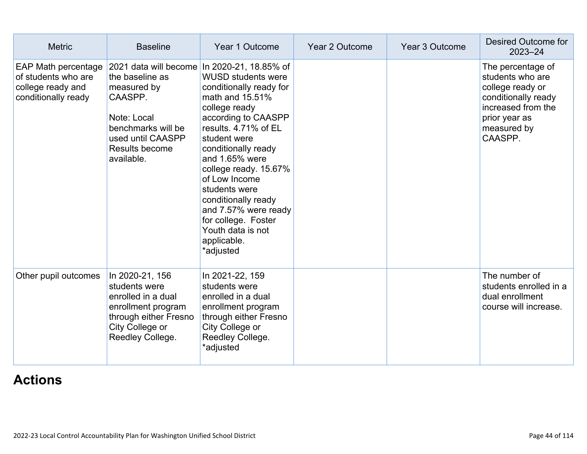| <b>Metric</b>                                                                          | <b>Baseline</b>                                                                                                                              | Year 1 Outcome                                                                                                                                                                                                                                                                                                                                                                                                                      | Year 2 Outcome | Year 3 Outcome | Desired Outcome for<br>$2023 - 24$                                                                                                                |
|----------------------------------------------------------------------------------------|----------------------------------------------------------------------------------------------------------------------------------------------|-------------------------------------------------------------------------------------------------------------------------------------------------------------------------------------------------------------------------------------------------------------------------------------------------------------------------------------------------------------------------------------------------------------------------------------|----------------|----------------|---------------------------------------------------------------------------------------------------------------------------------------------------|
| EAP Math percentage<br>of students who are<br>college ready and<br>conditionally ready | the baseline as<br>measured by<br>CAASPP.<br>Note: Local<br>benchmarks will be<br>used until CAASPP<br>Results become<br>available.          | 2021 data will become   In 2020-21, 18.85% of<br><b>WUSD students were</b><br>conditionally ready for<br>math and 15.51%<br>college ready<br>according to CAASPP<br>results, 4.71% of EL<br>student were<br>conditionally ready<br>and 1.65% were<br>college ready. 15.67%<br>of Low Income<br>students were<br>conditionally ready<br>and 7.57% were ready<br>for college. Foster<br>Youth data is not<br>applicable.<br>*adjusted |                |                | The percentage of<br>students who are<br>college ready or<br>conditionally ready<br>increased from the<br>prior year as<br>measured by<br>CAASPP. |
| Other pupil outcomes                                                                   | In 2020-21, 156<br>students were<br>enrolled in a dual<br>enrollment program<br>through either Fresno<br>City College or<br>Reedley College. | In 2021-22, 159<br>students were<br>enrolled in a dual<br>enrollment program<br>through either Fresno<br>City College or<br>Reedley College.<br>*adjusted                                                                                                                                                                                                                                                                           |                |                | The number of<br>students enrolled in a<br>dual enrollment<br>course will increase.                                                               |

# **[Actions](http://www.doc-tracking.com/screenshots/22LCAP/Instructions/22LCAPInstructions.htm#actions)**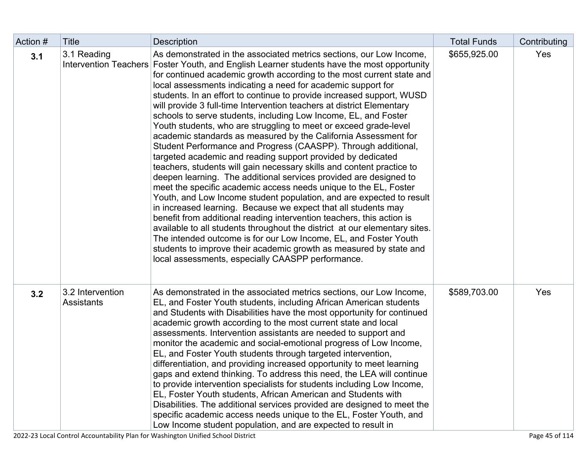| Action # | <b>Title</b>                                | <b>Description</b>                                                                                                                                                                                                                                                                                                                                                                                                                                                                                                                                                                                                                                                                                                                                                                                                                                                                                                                                                                                                                                                                                                                                                                                                                                                                                                                                                                                                                                                                                  | <b>Total Funds</b> | Contributing |
|----------|---------------------------------------------|-----------------------------------------------------------------------------------------------------------------------------------------------------------------------------------------------------------------------------------------------------------------------------------------------------------------------------------------------------------------------------------------------------------------------------------------------------------------------------------------------------------------------------------------------------------------------------------------------------------------------------------------------------------------------------------------------------------------------------------------------------------------------------------------------------------------------------------------------------------------------------------------------------------------------------------------------------------------------------------------------------------------------------------------------------------------------------------------------------------------------------------------------------------------------------------------------------------------------------------------------------------------------------------------------------------------------------------------------------------------------------------------------------------------------------------------------------------------------------------------------------|--------------------|--------------|
| 3.1      | 3.1 Reading<br><b>Intervention Teachers</b> | As demonstrated in the associated metrics sections, our Low Income,<br>Foster Youth, and English Learner students have the most opportunity<br>for continued academic growth according to the most current state and<br>local assessments indicating a need for academic support for<br>students. In an effort to continue to provide increased support, WUSD<br>will provide 3 full-time Intervention teachers at district Elementary<br>schools to serve students, including Low Income, EL, and Foster<br>Youth students, who are struggling to meet or exceed grade-level<br>academic standards as measured by the California Assessment for<br>Student Performance and Progress (CAASPP). Through additional,<br>targeted academic and reading support provided by dedicated<br>teachers, students will gain necessary skills and content practice to<br>deepen learning. The additional services provided are designed to<br>meet the specific academic access needs unique to the EL, Foster<br>Youth, and Low Income student population, and are expected to result<br>in increased learning. Because we expect that all students may<br>benefit from additional reading intervention teachers, this action is<br>available to all students throughout the district at our elementary sites.<br>The intended outcome is for our Low Income, EL, and Foster Youth<br>students to improve their academic growth as measured by state and<br>local assessments, especially CAASPP performance. | \$655,925.00       | Yes          |
| 3.2      | 3.2 Intervention<br><b>Assistants</b>       | As demonstrated in the associated metrics sections, our Low Income,<br>EL, and Foster Youth students, including African American students<br>and Students with Disabilities have the most opportunity for continued<br>academic growth according to the most current state and local<br>assessments. Intervention assistants are needed to support and<br>monitor the academic and social-emotional progress of Low Income,<br>EL, and Foster Youth students through targeted intervention,<br>differentiation, and providing increased opportunity to meet learning<br>gaps and extend thinking. To address this need, the LEA will continue<br>to provide intervention specialists for students including Low Income,<br>EL, Foster Youth students, African American and Students with<br>Disabilities. The additional services provided are designed to meet the<br>specific academic access needs unique to the EL, Foster Youth, and<br>Low Income student population, and are expected to result in                                                                                                                                                                                                                                                                                                                                                                                                                                                                                           | \$589,703.00       | Yes          |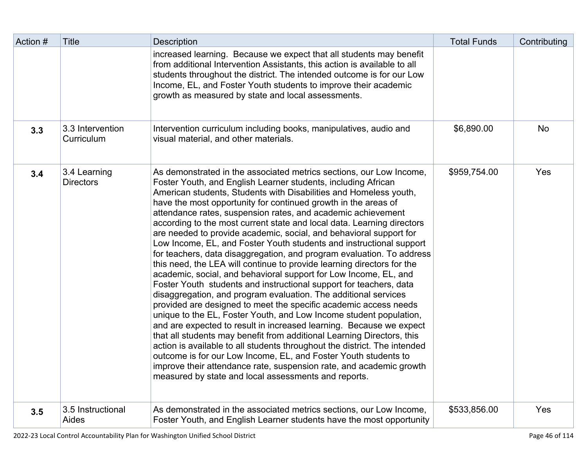| Action # | <b>Title</b>                     | <b>Description</b>                                                                                                                                                                                                                                                                                                                                                                                                                                                                                                                                                                                                                                                                                                                                                                                                                                                                                                                                                                                                                                                                                                                                                                                                                                                                                                                                                                                                                                                                                           | <b>Total Funds</b> | Contributing |
|----------|----------------------------------|--------------------------------------------------------------------------------------------------------------------------------------------------------------------------------------------------------------------------------------------------------------------------------------------------------------------------------------------------------------------------------------------------------------------------------------------------------------------------------------------------------------------------------------------------------------------------------------------------------------------------------------------------------------------------------------------------------------------------------------------------------------------------------------------------------------------------------------------------------------------------------------------------------------------------------------------------------------------------------------------------------------------------------------------------------------------------------------------------------------------------------------------------------------------------------------------------------------------------------------------------------------------------------------------------------------------------------------------------------------------------------------------------------------------------------------------------------------------------------------------------------------|--------------------|--------------|
|          |                                  | increased learning. Because we expect that all students may benefit<br>from additional Intervention Assistants, this action is available to all<br>students throughout the district. The intended outcome is for our Low<br>Income, EL, and Foster Youth students to improve their academic<br>growth as measured by state and local assessments.                                                                                                                                                                                                                                                                                                                                                                                                                                                                                                                                                                                                                                                                                                                                                                                                                                                                                                                                                                                                                                                                                                                                                            |                    |              |
| 3.3      | 3.3 Intervention<br>Curriculum   | Intervention curriculum including books, manipulatives, audio and<br>visual material, and other materials.                                                                                                                                                                                                                                                                                                                                                                                                                                                                                                                                                                                                                                                                                                                                                                                                                                                                                                                                                                                                                                                                                                                                                                                                                                                                                                                                                                                                   | \$6,890.00         | No.          |
| 3.4      | 3.4 Learning<br><b>Directors</b> | As demonstrated in the associated metrics sections, our Low Income,<br>Foster Youth, and English Learner students, including African<br>American students, Students with Disabilities and Homeless youth,<br>have the most opportunity for continued growth in the areas of<br>attendance rates, suspension rates, and academic achievement<br>according to the most current state and local data. Learning directors<br>are needed to provide academic, social, and behavioral support for<br>Low Income, EL, and Foster Youth students and instructional support<br>for teachers, data disaggregation, and program evaluation. To address<br>this need, the LEA will continue to provide learning directors for the<br>academic, social, and behavioral support for Low Income, EL, and<br>Foster Youth students and instructional support for teachers, data<br>disaggregation, and program evaluation. The additional services<br>provided are designed to meet the specific academic access needs<br>unique to the EL, Foster Youth, and Low Income student population,<br>and are expected to result in increased learning. Because we expect<br>that all students may benefit from additional Learning Directors, this<br>action is available to all students throughout the district. The intended<br>outcome is for our Low Income, EL, and Foster Youth students to<br>improve their attendance rate, suspension rate, and academic growth<br>measured by state and local assessments and reports. | \$959,754.00       | Yes          |
| 3.5      | 3.5 Instructional<br>Aides       | As demonstrated in the associated metrics sections, our Low Income,<br>Foster Youth, and English Learner students have the most opportunity                                                                                                                                                                                                                                                                                                                                                                                                                                                                                                                                                                                                                                                                                                                                                                                                                                                                                                                                                                                                                                                                                                                                                                                                                                                                                                                                                                  | \$533,856.00       | Yes          |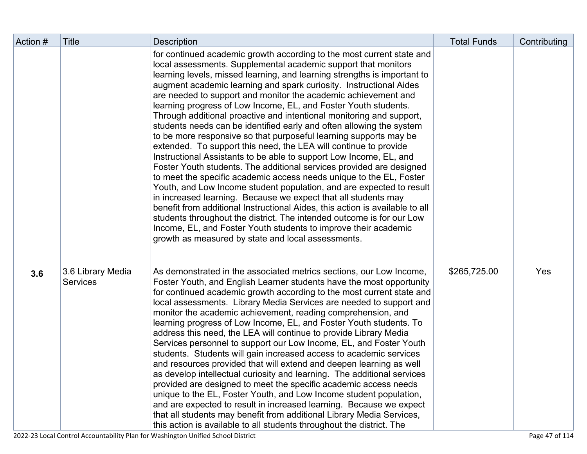| Action # | <b>Title</b>                         | <b>Description</b>                                                                                                                                                                                                                                                                                                                                                                                                                                                                                                                                                                                                                                                                                                                                                                                                                                                                                                                                                                                                                                                                                                                                                                                                                                                                                                                                                       | <b>Total Funds</b> | Contributing |
|----------|--------------------------------------|--------------------------------------------------------------------------------------------------------------------------------------------------------------------------------------------------------------------------------------------------------------------------------------------------------------------------------------------------------------------------------------------------------------------------------------------------------------------------------------------------------------------------------------------------------------------------------------------------------------------------------------------------------------------------------------------------------------------------------------------------------------------------------------------------------------------------------------------------------------------------------------------------------------------------------------------------------------------------------------------------------------------------------------------------------------------------------------------------------------------------------------------------------------------------------------------------------------------------------------------------------------------------------------------------------------------------------------------------------------------------|--------------------|--------------|
|          |                                      | for continued academic growth according to the most current state and<br>local assessments. Supplemental academic support that monitors<br>learning levels, missed learning, and learning strengths is important to<br>augment academic learning and spark curiosity. Instructional Aides<br>are needed to support and monitor the academic achievement and<br>learning progress of Low Income, EL, and Foster Youth students.<br>Through additional proactive and intentional monitoring and support,<br>students needs can be identified early and often allowing the system<br>to be more responsive so that purposeful learning supports may be<br>extended. To support this need, the LEA will continue to provide<br>Instructional Assistants to be able to support Low Income, EL, and<br>Foster Youth students. The additional services provided are designed<br>to meet the specific academic access needs unique to the EL, Foster<br>Youth, and Low Income student population, and are expected to result<br>in increased learning. Because we expect that all students may<br>benefit from additional Instructional Aides, this action is available to all<br>students throughout the district. The intended outcome is for our Low<br>Income, EL, and Foster Youth students to improve their academic<br>growth as measured by state and local assessments. |                    |              |
| 3.6      | 3.6 Library Media<br><b>Services</b> | As demonstrated in the associated metrics sections, our Low Income,<br>Foster Youth, and English Learner students have the most opportunity<br>for continued academic growth according to the most current state and<br>local assessments. Library Media Services are needed to support and<br>monitor the academic achievement, reading comprehension, and<br>learning progress of Low Income, EL, and Foster Youth students. To<br>address this need, the LEA will continue to provide Library Media<br>Services personnel to support our Low Income, EL, and Foster Youth<br>students. Students will gain increased access to academic services<br>and resources provided that will extend and deepen learning as well<br>as develop intellectual curiosity and learning. The additional services<br>provided are designed to meet the specific academic access needs<br>unique to the EL, Foster Youth, and Low Income student population,<br>and are expected to result in increased learning. Because we expect<br>that all students may benefit from additional Library Media Services,<br>this action is available to all students throughout the district. The                                                                                                                                                                                                  | \$265,725.00       | Yes          |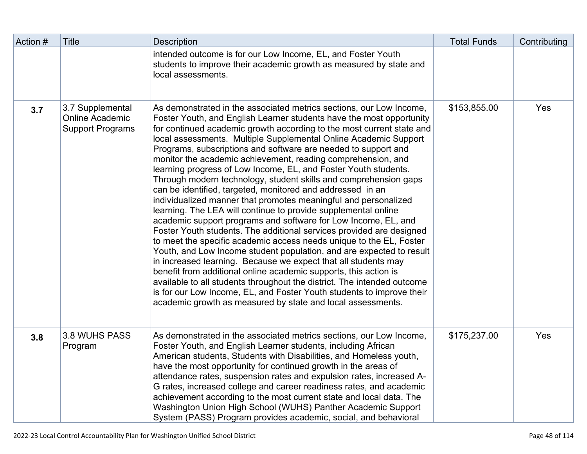| Action # | <b>Title</b>                                                          | <b>Description</b>                                                                                                                                                                                                                                                                                                                                                                                                                                                                                                                                                                                                                                                                                                                                                                                                                                                                                                                                                                                                                                                                                                                                                                                                                                                                                                                                                                                                     | <b>Total Funds</b> | Contributing |
|----------|-----------------------------------------------------------------------|------------------------------------------------------------------------------------------------------------------------------------------------------------------------------------------------------------------------------------------------------------------------------------------------------------------------------------------------------------------------------------------------------------------------------------------------------------------------------------------------------------------------------------------------------------------------------------------------------------------------------------------------------------------------------------------------------------------------------------------------------------------------------------------------------------------------------------------------------------------------------------------------------------------------------------------------------------------------------------------------------------------------------------------------------------------------------------------------------------------------------------------------------------------------------------------------------------------------------------------------------------------------------------------------------------------------------------------------------------------------------------------------------------------------|--------------------|--------------|
|          |                                                                       | intended outcome is for our Low Income, EL, and Foster Youth<br>students to improve their academic growth as measured by state and<br>local assessments.                                                                                                                                                                                                                                                                                                                                                                                                                                                                                                                                                                                                                                                                                                                                                                                                                                                                                                                                                                                                                                                                                                                                                                                                                                                               |                    |              |
| 3.7      | 3.7 Supplemental<br><b>Online Academic</b><br><b>Support Programs</b> | As demonstrated in the associated metrics sections, our Low Income,<br>Foster Youth, and English Learner students have the most opportunity<br>for continued academic growth according to the most current state and<br>local assessments. Multiple Supplemental Online Academic Support<br>Programs, subscriptions and software are needed to support and<br>monitor the academic achievement, reading comprehension, and<br>learning progress of Low Income, EL, and Foster Youth students.<br>Through modern technology, student skills and comprehension gaps<br>can be identified, targeted, monitored and addressed in an<br>individualized manner that promotes meaningful and personalized<br>learning. The LEA will continue to provide supplemental online<br>academic support programs and software for Low Income, EL, and<br>Foster Youth students. The additional services provided are designed<br>to meet the specific academic access needs unique to the EL, Foster<br>Youth, and Low Income student population, and are expected to result<br>in increased learning. Because we expect that all students may<br>benefit from additional online academic supports, this action is<br>available to all students throughout the district. The intended outcome<br>is for our Low Income, EL, and Foster Youth students to improve their<br>academic growth as measured by state and local assessments. | \$153,855.00       | Yes          |
| 3.8      | 3.8 WUHS PASS<br>Program                                              | As demonstrated in the associated metrics sections, our Low Income,<br>Foster Youth, and English Learner students, including African<br>American students, Students with Disabilities, and Homeless youth,<br>have the most opportunity for continued growth in the areas of<br>attendance rates, suspension rates and expulsion rates, increased A-<br>G rates, increased college and career readiness rates, and academic<br>achievement according to the most current state and local data. The<br>Washington Union High School (WUHS) Panther Academic Support<br>System (PASS) Program provides academic, social, and behavioral                                                                                                                                                                                                                                                                                                                                                                                                                                                                                                                                                                                                                                                                                                                                                                                  | \$175,237.00       | Yes          |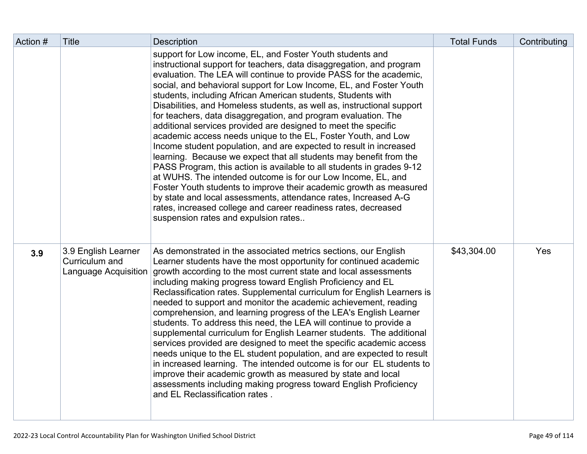| Action # | <b>Title</b>                                                         | <b>Description</b>                                                                                                                                                                                                                                                                                                                                                                                                                                                                                                                                                                                                                                                                                                                                                                                                                                                                                                                                                                                                                                                                                                                                                     | <b>Total Funds</b> | Contributing |
|----------|----------------------------------------------------------------------|------------------------------------------------------------------------------------------------------------------------------------------------------------------------------------------------------------------------------------------------------------------------------------------------------------------------------------------------------------------------------------------------------------------------------------------------------------------------------------------------------------------------------------------------------------------------------------------------------------------------------------------------------------------------------------------------------------------------------------------------------------------------------------------------------------------------------------------------------------------------------------------------------------------------------------------------------------------------------------------------------------------------------------------------------------------------------------------------------------------------------------------------------------------------|--------------------|--------------|
|          |                                                                      | support for Low income, EL, and Foster Youth students and<br>instructional support for teachers, data disaggregation, and program<br>evaluation. The LEA will continue to provide PASS for the academic,<br>social, and behavioral support for Low Income, EL, and Foster Youth<br>students, including African American students, Students with<br>Disabilities, and Homeless students, as well as, instructional support<br>for teachers, data disaggregation, and program evaluation. The<br>additional services provided are designed to meet the specific<br>academic access needs unique to the EL, Foster Youth, and Low<br>Income student population, and are expected to result in increased<br>learning. Because we expect that all students may benefit from the<br>PASS Program, this action is available to all students in grades 9-12<br>at WUHS. The intended outcome is for our Low Income, EL, and<br>Foster Youth students to improve their academic growth as measured<br>by state and local assessments, attendance rates, Increased A-G<br>rates, increased college and career readiness rates, decreased<br>suspension rates and expulsion rates |                    |              |
| 3.9      | 3.9 English Learner<br>Curriculum and<br><b>Language Acquisition</b> | As demonstrated in the associated metrics sections, our English<br>Learner students have the most opportunity for continued academic<br>growth according to the most current state and local assessments<br>including making progress toward English Proficiency and EL<br>Reclassification rates. Supplemental curriculum for English Learners is<br>needed to support and monitor the academic achievement, reading<br>comprehension, and learning progress of the LEA's English Learner<br>students. To address this need, the LEA will continue to provide a<br>supplemental curriculum for English Learner students. The additional<br>services provided are designed to meet the specific academic access<br>needs unique to the EL student population, and are expected to result<br>in increased learning. The intended outcome is for our EL students to<br>improve their academic growth as measured by state and local<br>assessments including making progress toward English Proficiency<br>and EL Reclassification rates.                                                                                                                                | \$43,304.00        | Yes          |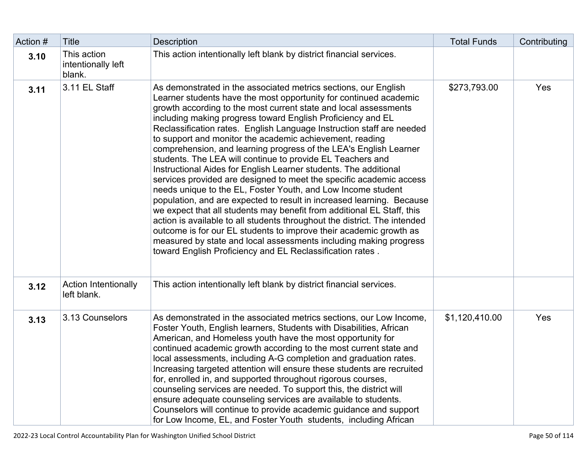| Action # | <b>Title</b>                                | <b>Description</b>                                                                                                                                                                                                                                                                                                                                                                                                                                                                                                                                                                                                                                                                                                                                                                                                                                                                                                                                                                                                                                                                                                                                                                                 | <b>Total Funds</b> | Contributing |
|----------|---------------------------------------------|----------------------------------------------------------------------------------------------------------------------------------------------------------------------------------------------------------------------------------------------------------------------------------------------------------------------------------------------------------------------------------------------------------------------------------------------------------------------------------------------------------------------------------------------------------------------------------------------------------------------------------------------------------------------------------------------------------------------------------------------------------------------------------------------------------------------------------------------------------------------------------------------------------------------------------------------------------------------------------------------------------------------------------------------------------------------------------------------------------------------------------------------------------------------------------------------------|--------------------|--------------|
| 3.10     | This action<br>intentionally left<br>blank. | This action intentionally left blank by district financial services.                                                                                                                                                                                                                                                                                                                                                                                                                                                                                                                                                                                                                                                                                                                                                                                                                                                                                                                                                                                                                                                                                                                               |                    |              |
| 3.11     | 3.11 EL Staff                               | As demonstrated in the associated metrics sections, our English<br>Learner students have the most opportunity for continued academic<br>growth according to the most current state and local assessments<br>including making progress toward English Proficiency and EL<br>Reclassification rates. English Language Instruction staff are needed<br>to support and monitor the academic achievement, reading<br>comprehension, and learning progress of the LEA's English Learner<br>students. The LEA will continue to provide EL Teachers and<br>Instructional Aides for English Learner students. The additional<br>services provided are designed to meet the specific academic access<br>needs unique to the EL, Foster Youth, and Low Income student<br>population, and are expected to result in increased learning. Because<br>we expect that all students may benefit from additional EL Staff, this<br>action is available to all students throughout the district. The intended<br>outcome is for our EL students to improve their academic growth as<br>measured by state and local assessments including making progress<br>toward English Proficiency and EL Reclassification rates. | \$273,793.00       | Yes          |
| 3.12     | <b>Action Intentionally</b><br>left blank.  | This action intentionally left blank by district financial services.                                                                                                                                                                                                                                                                                                                                                                                                                                                                                                                                                                                                                                                                                                                                                                                                                                                                                                                                                                                                                                                                                                                               |                    |              |
| 3.13     | 3.13 Counselors                             | As demonstrated in the associated metrics sections, our Low Income,<br>Foster Youth, English learners, Students with Disabilities, African<br>American, and Homeless youth have the most opportunity for<br>continued academic growth according to the most current state and<br>local assessments, including A-G completion and graduation rates.<br>Increasing targeted attention will ensure these students are recruited<br>for, enrolled in, and supported throughout rigorous courses,<br>counseling services are needed. To support this, the district will<br>ensure adequate counseling services are available to students.<br>Counselors will continue to provide academic guidance and support<br>for Low Income, EL, and Foster Youth students, including African                                                                                                                                                                                                                                                                                                                                                                                                                      | \$1,120,410.00     | Yes          |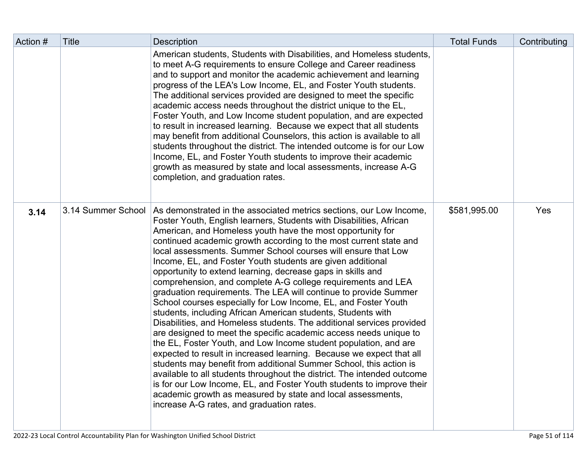| Action # | <b>Title</b>       | <b>Description</b>                                                                                                                                                                                                                                                                                                                                                                                                                                                                                                                                                                                                                                                                                                                                                                                                                                                                                                                                                                                                                                                                                                                                                                                                                                                                                                                                                                | <b>Total Funds</b> | Contributing |
|----------|--------------------|-----------------------------------------------------------------------------------------------------------------------------------------------------------------------------------------------------------------------------------------------------------------------------------------------------------------------------------------------------------------------------------------------------------------------------------------------------------------------------------------------------------------------------------------------------------------------------------------------------------------------------------------------------------------------------------------------------------------------------------------------------------------------------------------------------------------------------------------------------------------------------------------------------------------------------------------------------------------------------------------------------------------------------------------------------------------------------------------------------------------------------------------------------------------------------------------------------------------------------------------------------------------------------------------------------------------------------------------------------------------------------------|--------------------|--------------|
|          |                    | American students, Students with Disabilities, and Homeless students,<br>to meet A-G requirements to ensure College and Career readiness<br>and to support and monitor the academic achievement and learning<br>progress of the LEA's Low Income, EL, and Foster Youth students.<br>The additional services provided are designed to meet the specific<br>academic access needs throughout the district unique to the EL,<br>Foster Youth, and Low Income student population, and are expected<br>to result in increased learning. Because we expect that all students<br>may benefit from additional Counselors, this action is available to all<br>students throughout the district. The intended outcome is for our Low<br>Income, EL, and Foster Youth students to improve their academic<br>growth as measured by state and local assessments, increase A-G<br>completion, and graduation rates.                                                                                                                                                                                                                                                                                                                                                                                                                                                                             |                    |              |
| 3.14     | 3.14 Summer School | As demonstrated in the associated metrics sections, our Low Income,<br>Foster Youth, English learners, Students with Disabilities, African<br>American, and Homeless youth have the most opportunity for<br>continued academic growth according to the most current state and<br>local assessments. Summer School courses will ensure that Low<br>Income, EL, and Foster Youth students are given additional<br>opportunity to extend learning, decrease gaps in skills and<br>comprehension, and complete A-G college requirements and LEA<br>graduation requirements. The LEA will continue to provide Summer<br>School courses especially for Low Income, EL, and Foster Youth<br>students, including African American students, Students with<br>Disabilities, and Homeless students. The additional services provided<br>are designed to meet the specific academic access needs unique to<br>the EL, Foster Youth, and Low Income student population, and are<br>expected to result in increased learning. Because we expect that all<br>students may benefit from additional Summer School, this action is<br>available to all students throughout the district. The intended outcome<br>is for our Low Income, EL, and Foster Youth students to improve their<br>academic growth as measured by state and local assessments,<br>increase A-G rates, and graduation rates. | \$581,995.00       | Yes          |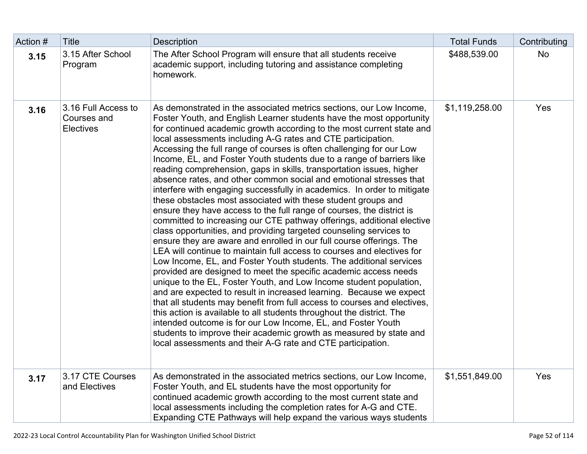| Action # | <b>Title</b>                                           | <b>Description</b>                                                                                                                                                                                                                                                                                                                                                                                                                                                                                                                                                                                                                                                                                                                                                                                                                                                                                                                                                                                                                                                                                                                                                                                                                                                                                                                                                                                                                                                                                                                                                                                                                                                                                                                                          | <b>Total Funds</b> | Contributing |
|----------|--------------------------------------------------------|-------------------------------------------------------------------------------------------------------------------------------------------------------------------------------------------------------------------------------------------------------------------------------------------------------------------------------------------------------------------------------------------------------------------------------------------------------------------------------------------------------------------------------------------------------------------------------------------------------------------------------------------------------------------------------------------------------------------------------------------------------------------------------------------------------------------------------------------------------------------------------------------------------------------------------------------------------------------------------------------------------------------------------------------------------------------------------------------------------------------------------------------------------------------------------------------------------------------------------------------------------------------------------------------------------------------------------------------------------------------------------------------------------------------------------------------------------------------------------------------------------------------------------------------------------------------------------------------------------------------------------------------------------------------------------------------------------------------------------------------------------------|--------------------|--------------|
| 3.15     | 3.15 After School<br>Program                           | The After School Program will ensure that all students receive<br>academic support, including tutoring and assistance completing<br>homework.                                                                                                                                                                                                                                                                                                                                                                                                                                                                                                                                                                                                                                                                                                                                                                                                                                                                                                                                                                                                                                                                                                                                                                                                                                                                                                                                                                                                                                                                                                                                                                                                               | \$488,539.00       | <b>No</b>    |
| 3.16     | 3.16 Full Access to<br>Courses and<br><b>Electives</b> | As demonstrated in the associated metrics sections, our Low Income,<br>Foster Youth, and English Learner students have the most opportunity<br>for continued academic growth according to the most current state and<br>local assessments including A-G rates and CTE participation.<br>Accessing the full range of courses is often challenging for our Low<br>Income, EL, and Foster Youth students due to a range of barriers like<br>reading comprehension, gaps in skills, transportation issues, higher<br>absence rates, and other common social and emotional stresses that<br>interfere with engaging successfully in academics. In order to mitigate<br>these obstacles most associated with these student groups and<br>ensure they have access to the full range of courses, the district is<br>committed to increasing our CTE pathway offerings, additional elective<br>class opportunities, and providing targeted counseling services to<br>ensure they are aware and enrolled in our full course offerings. The<br>LEA will continue to maintain full access to courses and electives for<br>Low Income, EL, and Foster Youth students. The additional services<br>provided are designed to meet the specific academic access needs<br>unique to the EL, Foster Youth, and Low Income student population,<br>and are expected to result in increased learning. Because we expect<br>that all students may benefit from full access to courses and electives,<br>this action is available to all students throughout the district. The<br>intended outcome is for our Low Income, EL, and Foster Youth<br>students to improve their academic growth as measured by state and<br>local assessments and their A-G rate and CTE participation. | \$1,119,258.00     | Yes          |
| 3.17     | 3.17 CTE Courses<br>and Electives                      | As demonstrated in the associated metrics sections, our Low Income.<br>Foster Youth, and EL students have the most opportunity for<br>continued academic growth according to the most current state and<br>local assessments including the completion rates for A-G and CTE.<br>Expanding CTE Pathways will help expand the various ways students                                                                                                                                                                                                                                                                                                                                                                                                                                                                                                                                                                                                                                                                                                                                                                                                                                                                                                                                                                                                                                                                                                                                                                                                                                                                                                                                                                                                           | \$1,551,849.00     | Yes          |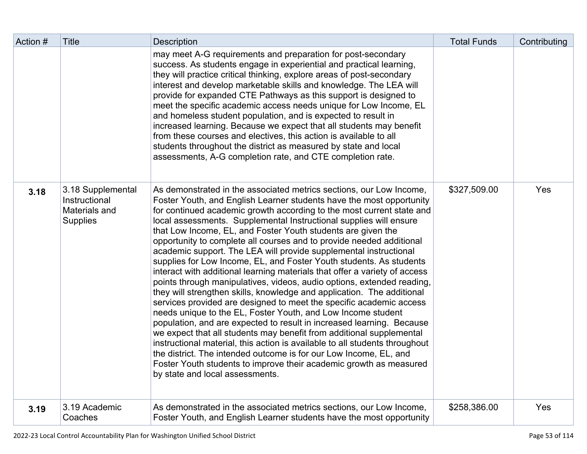| Action # | <b>Title</b>                                                           | <b>Description</b>                                                                                                                                                                                                                                                                                                                                                                                                                                                                                                                                                                                                                                                                                                                                                                                                                                                                                                                                                                                                                                                                                                                                                                                                                                                                                                                                                    | <b>Total Funds</b> | Contributing |
|----------|------------------------------------------------------------------------|-----------------------------------------------------------------------------------------------------------------------------------------------------------------------------------------------------------------------------------------------------------------------------------------------------------------------------------------------------------------------------------------------------------------------------------------------------------------------------------------------------------------------------------------------------------------------------------------------------------------------------------------------------------------------------------------------------------------------------------------------------------------------------------------------------------------------------------------------------------------------------------------------------------------------------------------------------------------------------------------------------------------------------------------------------------------------------------------------------------------------------------------------------------------------------------------------------------------------------------------------------------------------------------------------------------------------------------------------------------------------|--------------------|--------------|
|          |                                                                        | may meet A-G requirements and preparation for post-secondary<br>success. As students engage in experiential and practical learning,<br>they will practice critical thinking, explore areas of post-secondary<br>interest and develop marketable skills and knowledge. The LEA will<br>provide for expanded CTE Pathways as this support is designed to<br>meet the specific academic access needs unique for Low Income, EL<br>and homeless student population, and is expected to result in<br>increased learning. Because we expect that all students may benefit<br>from these courses and electives, this action is available to all<br>students throughout the district as measured by state and local<br>assessments, A-G completion rate, and CTE completion rate.                                                                                                                                                                                                                                                                                                                                                                                                                                                                                                                                                                                             |                    |              |
| 3.18     | 3.18 Supplemental<br>Instructional<br>Materials and<br><b>Supplies</b> | As demonstrated in the associated metrics sections, our Low Income,<br>Foster Youth, and English Learner students have the most opportunity<br>for continued academic growth according to the most current state and<br>local assessments. Supplemental Instructional supplies will ensure<br>that Low Income, EL, and Foster Youth students are given the<br>opportunity to complete all courses and to provide needed additional<br>academic support. The LEA will provide supplemental instructional<br>supplies for Low Income, EL, and Foster Youth students. As students<br>interact with additional learning materials that offer a variety of access<br>points through manipulatives, videos, audio options, extended reading,<br>they will strengthen skills, knowledge and application. The additional<br>services provided are designed to meet the specific academic access<br>needs unique to the EL, Foster Youth, and Low Income student<br>population, and are expected to result in increased learning. Because<br>we expect that all students may benefit from additional supplemental<br>instructional material, this action is available to all students throughout<br>the district. The intended outcome is for our Low Income, EL, and<br>Foster Youth students to improve their academic growth as measured<br>by state and local assessments. | \$327,509.00       | Yes          |
| 3.19     | 3.19 Academic<br>Coaches                                               | As demonstrated in the associated metrics sections, our Low Income,<br>Foster Youth, and English Learner students have the most opportunity                                                                                                                                                                                                                                                                                                                                                                                                                                                                                                                                                                                                                                                                                                                                                                                                                                                                                                                                                                                                                                                                                                                                                                                                                           | \$258,386.00       | Yes          |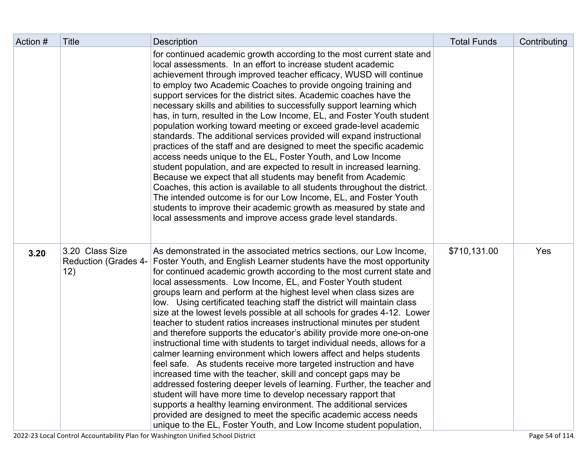| Action # | <b>Title</b>                                          | <b>Description</b>                                                                                                                                                                                                                                                                                                                                                                                                                                                                                                                                                                                                                                                                                                                                                                                                                                                                                                                                                                                                                                                                                                                                                                                                                                                                                                     | <b>Total Funds</b> | Contributing |
|----------|-------------------------------------------------------|------------------------------------------------------------------------------------------------------------------------------------------------------------------------------------------------------------------------------------------------------------------------------------------------------------------------------------------------------------------------------------------------------------------------------------------------------------------------------------------------------------------------------------------------------------------------------------------------------------------------------------------------------------------------------------------------------------------------------------------------------------------------------------------------------------------------------------------------------------------------------------------------------------------------------------------------------------------------------------------------------------------------------------------------------------------------------------------------------------------------------------------------------------------------------------------------------------------------------------------------------------------------------------------------------------------------|--------------------|--------------|
|          |                                                       | for continued academic growth according to the most current state and<br>local assessments. In an effort to increase student academic<br>achievement through improved teacher efficacy, WUSD will continue<br>to employ two Academic Coaches to provide ongoing training and<br>support services for the district sites. Academic coaches have the<br>necessary skills and abilities to successfully support learning which<br>has, in turn, resulted in the Low Income, EL, and Foster Youth student<br>population working toward meeting or exceed grade-level academic<br>standards. The additional services provided will expand instructional<br>practices of the staff and are designed to meet the specific academic<br>access needs unique to the EL, Foster Youth, and Low Income<br>student population, and are expected to result in increased learning.<br>Because we expect that all students may benefit from Academic<br>Coaches, this action is available to all students throughout the district.<br>The intended outcome is for our Low Income, EL, and Foster Youth<br>students to improve their academic growth as measured by state and<br>local assessments and improve access grade level standards.                                                                                            |                    |              |
| 3.20     | 3.20 Class Size<br><b>Reduction (Grades 4-</b><br>12) | As demonstrated in the associated metrics sections, our Low Income,<br>Foster Youth, and English Learner students have the most opportunity<br>for continued academic growth according to the most current state and<br>local assessments. Low Income, EL, and Foster Youth student<br>groups learn and perform at the highest level when class sizes are<br>low. Using certificated teaching staff the district will maintain class<br>size at the lowest levels possible at all schools for grades 4-12. Lower<br>teacher to student ratios increases instructional minutes per student<br>and therefore supports the educator's ability provide more one-on-one<br>instructional time with students to target individual needs, allows for a<br>calmer learning environment which lowers affect and helps students<br>feel safe. As students receive more targeted instruction and have<br>increased time with the teacher, skill and concept gaps may be<br>addressed fostering deeper levels of learning. Further, the teacher and<br>student will have more time to develop necessary rapport that<br>supports a healthy learning environment. The additional services<br>provided are designed to meet the specific academic access needs<br>unique to the EL, Foster Youth, and Low Income student population, | \$710,131.00       | Yes          |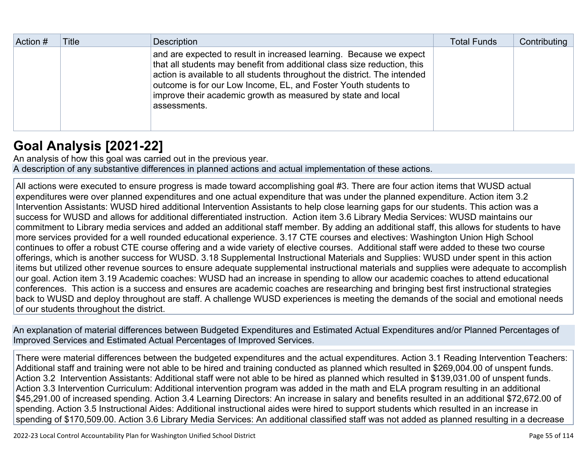| Action # | Title | Description                                                                                                                                                                                                                                                                                                                                                                     | <b>Total Funds</b> | Contributing |
|----------|-------|---------------------------------------------------------------------------------------------------------------------------------------------------------------------------------------------------------------------------------------------------------------------------------------------------------------------------------------------------------------------------------|--------------------|--------------|
|          |       | and are expected to result in increased learning. Because we expect<br>that all students may benefit from additional class size reduction, this<br>action is available to all students throughout the district. The intended<br>outcome is for our Low Income, EL, and Foster Youth students to<br>improve their academic growth as measured by state and local<br>assessments. |                    |              |

An analysis of how this goal was carried out in the previous year. A description of any substantive differences in planned actions and actual implementation of these actions.

All actions were executed to ensure progress is made toward accomplishing goal #3. There are four action items that WUSD actual expenditures were over planned expenditures and one actual expenditure that was under the planned expenditure. Action item 3.2 Intervention Assistants: WUSD hired additional Intervention Assistants to help close learning gaps for our students. This action was a success for WUSD and allows for additional differentiated instruction. Action item 3.6 Library Media Services: WUSD maintains our commitment to Library media services and added an additional staff member. By adding an additional staff, this allows for students to have more services provided for a well rounded educational experience. 3.17 CTE courses and electives: Washington Union High School continues to offer a robust CTE course offering and a wide variety of elective courses. Additional staff were added to these two course offerings, which is another success for WUSD. 3.18 Supplemental Instructional Materials and Supplies: WUSD under spent in this action items but utilized other revenue sources to ensure adequate supplemental instructional materials and supplies were adequate to accomplish our goal. Action item 3.19 Academic coaches: WUSD had an increase in spending to allow our academic coaches to attend educational conferences. This action is a success and ensures are academic coaches are researching and bringing best first instructional strategies back to WUSD and deploy throughout are staff. A challenge WUSD experiences is meeting the demands of the social and emotional needs of our students throughout the district.

An explanation of material differences between Budgeted Expenditures and Estimated Actual Expenditures and/or Planned Percentages of Improved Services and Estimated Actual Percentages of Improved Services.

There were material differences between the budgeted expenditures and the actual expenditures. Action 3.1 Reading Intervention Teachers: Additional staff and training were not able to be hired and training conducted as planned which resulted in \$269,004.00 of unspent funds. Action 3.2 Intervention Assistants: Additional staff were not able to be hired as planned which resulted in \$139,031.00 of unspent funds. Action 3.3 Intervention Curriculum: Additional intervention program was added in the math and ELA program resulting in an additional \$45,291.00 of increased spending. Action 3.4 Learning Directors: An increase in salary and benefits resulted in an additional \$72,672.00 of spending. Action 3.5 Instructional Aides: Additional instructional aides were hired to support students which resulted in an increase in spending of \$170,509.00. Action 3.6 Library Media Services: An additional classified staff was not added as planned resulting in a decrease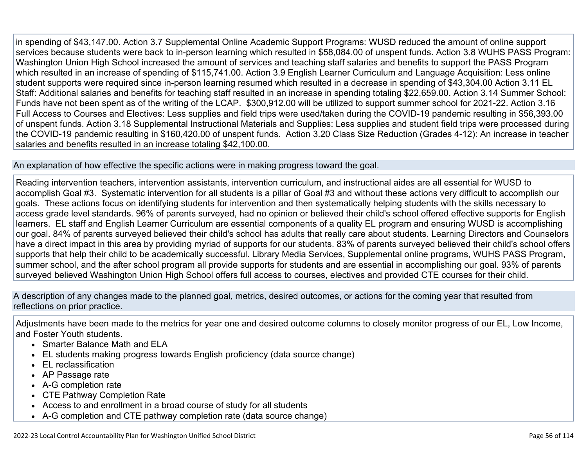in spending of \$43,147.00. Action 3.7 Supplemental Online Academic Support Programs: WUSD reduced the amount of online support services because students were back to in-person learning which resulted in \$58,084.00 of unspent funds. Action 3.8 WUHS PASS Program: Washington Union High School increased the amount of services and teaching staff salaries and benefits to support the PASS Program which resulted in an increase of spending of \$115,741.00. Action 3.9 English Learner Curriculum and Language Acquisition: Less online student supports were required since in-person learning resumed which resulted in a decrease in spending of \$43,304.00 Action 3.11 EL Staff: Additional salaries and benefits for teaching staff resulted in an increase in spending totaling \$22,659.00. Action 3.14 Summer School: Funds have not been spent as of the writing of the LCAP. \$300,912.00 will be utilized to support summer school for 2021-22. Action 3.16 Full Access to Courses and Electives: Less supplies and field trips were used/taken during the COVID-19 pandemic resulting in \$56,393.00 of unspent funds. Action 3.18 Supplemental Instructional Materials and Supplies: Less supplies and student field trips were processed during the COVID-19 pandemic resulting in \$160,420.00 of unspent funds. Action 3.20 Class Size Reduction (Grades 4-12): An increase in teacher salaries and benefits resulted in an increase totaling \$42,100.00.

An explanation of how effective the specific actions were in making progress toward the goal.

Reading intervention teachers, intervention assistants, intervention curriculum, and instructional aides are all essential for WUSD to accomplish Goal #3. Systematic intervention for all students is a pillar of Goal #3 and without these actions very difficult to accomplish our goals. These actions focus on identifying students for intervention and then systematically helping students with the skills necessary to access grade level standards. 96% of parents surveyed, had no opinion or believed their child's school offered effective supports for English learners. EL staff and English Learner Curriculum are essential components of a quality EL program and ensuring WUSD is accomplishing our goal. 84% of parents surveyed believed their child's school has adults that really care about students. Learning Directors and Counselors have a direct impact in this area by providing myriad of supports for our students. 83% of parents surveyed believed their child's school offers supports that help their child to be academically successful. Library Media Services, Supplemental online programs, WUHS PASS Program, summer school, and the after school program all provide supports for students and are essential in accomplishing our goal. 93% of parents surveyed believed Washington Union High School offers full access to courses, electives and provided CTE courses for their child.

A description of any changes made to the planned goal, metrics, desired outcomes, or actions for the coming year that resulted from reflections on prior practice.

Adjustments have been made to the metrics for year one and desired outcome columns to closely monitor progress of our EL, Low Income, and Foster Youth students.

- Smarter Balance Math and ELA
- EL students making progress towards English proficiency (data source change)
- EL reclassification
- AP Passage rate
- A-G completion rate
- CTE Pathway Completion Rate
- Access to and enrollment in a broad course of study for all students
- A-G completion and CTE pathway completion rate (data source change)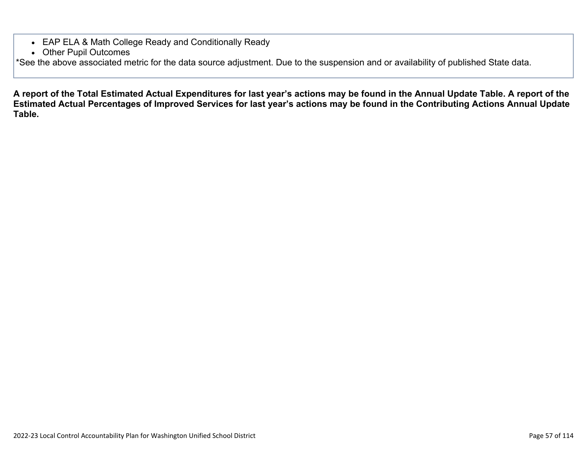- EAP ELA & Math College Ready and Conditionally Ready
- Other Pupil Outcomes

\*See the above associated metric for the data source adjustment. Due to the suspension and or availability of published State data.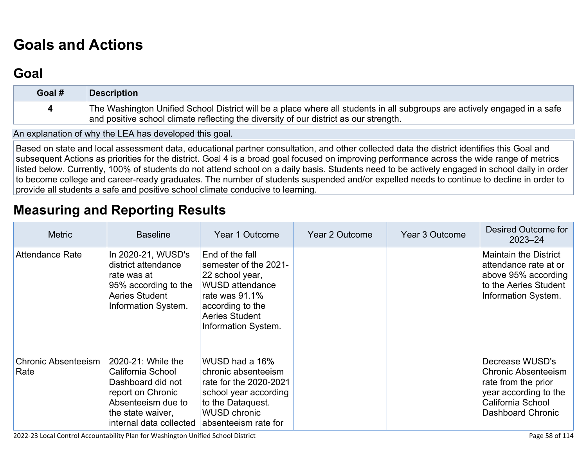# **[Goals and Actions](http://www.doc-tracking.com/screenshots/22LCAP/Instructions/22LCAPInstructions.htm#GoalsandActions)**

## **[Goal](http://www.doc-tracking.com/screenshots/22LCAP/Instructions/22LCAPInstructions.htm#goalDescription)**

| Goal #       | <b>Description</b>                                                                                                                                                                                                 |
|--------------|--------------------------------------------------------------------------------------------------------------------------------------------------------------------------------------------------------------------|
| $\mathbf{A}$ | The Washington Unified School District will be a place where all students in all subgroups are actively engaged in a safe<br>and positive school climate reflecting the diversity of our district as our strength. |

An explanation of why the LEA has developed this goal.

Based on state and local assessment data, educational partner consultation, and other collected data the district identifies this Goal and subsequent Actions as priorities for the district. Goal 4 is a broad goal focused on improving performance across the wide range of metrics listed below. Currently, 100% of students do not attend school on a daily basis. Students need to be actively engaged in school daily in order to become college and career-ready graduates. The number of students suspended and/or expelled needs to continue to decline in order to provide all students a safe and positive school climate conducive to learning.

## **[Measuring and Reporting Results](http://www.doc-tracking.com/screenshots/22LCAP/Instructions/22LCAPInstructions.htm#MeasuringandReportingResults)**

| <b>Metric</b>                      | <b>Baseline</b>                                                                                                                                         | Year 1 Outcome                                                                                                                                                          | Year 2 Outcome | Year 3 Outcome | Desired Outcome for<br>$2023 - 24$                                                                                                      |
|------------------------------------|---------------------------------------------------------------------------------------------------------------------------------------------------------|-------------------------------------------------------------------------------------------------------------------------------------------------------------------------|----------------|----------------|-----------------------------------------------------------------------------------------------------------------------------------------|
| <b>Attendance Rate</b>             | In 2020-21, WUSD's<br>district attendance<br>rate was at<br>95% according to the<br>Aeries Student<br>Information System.                               | End of the fall<br>semester of the 2021-<br>22 school year,<br><b>WUSD attendance</b><br>rate was $91.1\%$<br>according to the<br>Aeries Student<br>Information System. |                |                | <b>Maintain the District</b><br>attendance rate at or<br>above 95% according<br>to the Aeries Student<br>Information System.            |
| <b>Chronic Absenteeism</b><br>Rate | 2020-21: While the<br>California School<br>Dashboard did not<br>report on Chronic<br>Absenteeism due to<br>the state waiver,<br>internal data collected | WUSD had a 16%<br>chronic absenteeism<br>rate for the 2020-2021<br>school year according<br>to the Dataquest.<br><b>WUSD chronic</b><br>absenteeism rate for            |                |                | Decrease WUSD's<br><b>Chronic Absenteeism</b><br>rate from the prior<br>year according to the<br>California School<br>Dashboard Chronic |

2022-23 Local Control Accountability Plan for Washington Unified School District **Page 198 of 114** and 2022-23 Local Control Accountability Plan for Washington Unified School District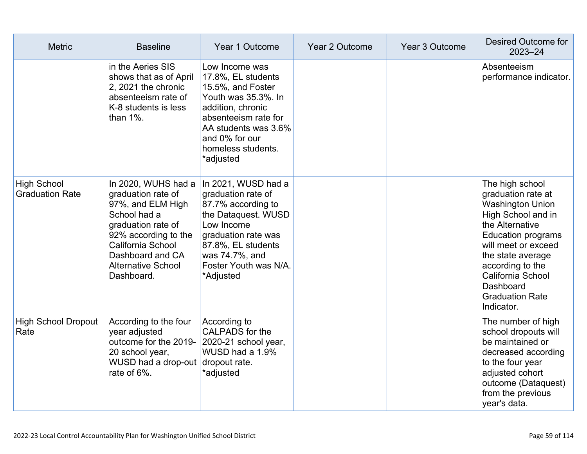| <b>Metric</b>                                | <b>Baseline</b>                                                                                                                                                                                                  | Year 1 Outcome                                                                                                                                                                                             | Year 2 Outcome | Year 3 Outcome | <b>Desired Outcome for</b><br>$2023 - 24$                                                                                                                                                                                                                                        |
|----------------------------------------------|------------------------------------------------------------------------------------------------------------------------------------------------------------------------------------------------------------------|------------------------------------------------------------------------------------------------------------------------------------------------------------------------------------------------------------|----------------|----------------|----------------------------------------------------------------------------------------------------------------------------------------------------------------------------------------------------------------------------------------------------------------------------------|
|                                              | in the Aeries SIS<br>shows that as of April<br>2, 2021 the chronic<br>absenteeism rate of<br>K-8 students is less<br>than $1\%$ .                                                                                | Low Income was<br>17.8%, EL students<br>15.5%, and Foster<br>Youth was 35.3%. In<br>addition, chronic<br>absenteeism rate for<br>AA students was 3.6%<br>and 0% for our<br>homeless students.<br>*adjusted |                |                | Absenteeism<br>performance indicator.                                                                                                                                                                                                                                            |
| <b>High School</b><br><b>Graduation Rate</b> | In 2020, WUHS had a<br>graduation rate of<br>97%, and ELM High<br>School had a<br>graduation rate of<br>92% according to the<br>California School<br>Dashboard and CA<br><b>Alternative School</b><br>Dashboard. | In 2021, WUSD had a<br>graduation rate of<br>87.7% according to<br>the Dataquest. WUSD<br>Low Income<br>graduation rate was<br>87.8%, EL students<br>was 74.7%, and<br>Foster Youth was N/A.<br>*Adjusted  |                |                | The high school<br>graduation rate at<br><b>Washington Union</b><br>High School and in<br>the Alternative<br><b>Education programs</b><br>will meet or exceed<br>the state average<br>according to the<br>California School<br>Dashboard<br><b>Graduation Rate</b><br>Indicator. |
| <b>High School Dropout</b><br>Rate           | According to the four<br>year adjusted<br>outcome for the 2019-<br>20 school year,<br>WUSD had a drop-out<br>rate of 6%.                                                                                         | According to<br><b>CALPADS</b> for the<br>2020-21 school year,<br>WUSD had a 1.9%<br>dropout rate.<br>*adjusted                                                                                            |                |                | The number of high<br>school dropouts will<br>be maintained or<br>decreased according<br>to the four year<br>adjusted cohort<br>outcome (Dataquest)<br>from the previous<br>year's data.                                                                                         |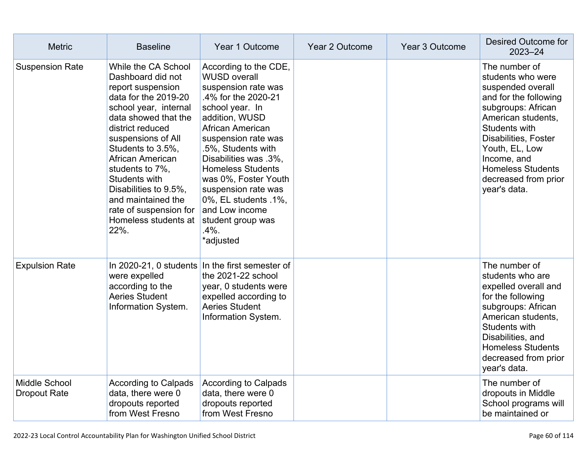| <b>Metric</b>                                 | <b>Baseline</b>                                                                                                                                                                                                                                                                                                                                                        | Year 1 Outcome                                                                                                                                                                                                                                                                                                                                                                               | Year 2 Outcome | Year 3 Outcome | Desired Outcome for<br>$2023 - 24$                                                                                                                                                                                                                                                |
|-----------------------------------------------|------------------------------------------------------------------------------------------------------------------------------------------------------------------------------------------------------------------------------------------------------------------------------------------------------------------------------------------------------------------------|----------------------------------------------------------------------------------------------------------------------------------------------------------------------------------------------------------------------------------------------------------------------------------------------------------------------------------------------------------------------------------------------|----------------|----------------|-----------------------------------------------------------------------------------------------------------------------------------------------------------------------------------------------------------------------------------------------------------------------------------|
| <b>Suspension Rate</b>                        | While the CA School<br>Dashboard did not<br>report suspension<br>data for the 2019-20<br>school year, internal<br>data showed that the<br>district reduced<br>suspensions of All<br>Students to 3.5%,<br>African American<br>students to 7%,<br>Students with<br>Disabilities to 9.5%,<br>and maintained the<br>rate of suspension for<br>Homeless students at<br>22%. | According to the CDE,<br><b>WUSD overall</b><br>suspension rate was<br>.4% for the 2020-21<br>school year. In<br>addition, WUSD<br>African American<br>suspension rate was<br>.5%, Students with<br>Disabilities was .3%,<br><b>Homeless Students</b><br>was 0%, Foster Youth<br>suspension rate was<br>0%, EL students .1%,<br>and Low income<br>student group was<br>$.4\%$ .<br>*adjusted |                |                | The number of<br>students who were<br>suspended overall<br>and for the following<br>subgroups: African<br>American students,<br>Students with<br><b>Disabilities, Foster</b><br>Youth, EL, Low<br>Income, and<br><b>Homeless Students</b><br>decreased from prior<br>year's data. |
| <b>Expulsion Rate</b><br><b>Middle School</b> | were expelled<br>according to the<br><b>Aeries Student</b><br>Information System.<br><b>According to Calpads</b>                                                                                                                                                                                                                                                       | In 2020-21, 0 students In the first semester of<br>the 2021-22 school<br>year, 0 students were<br>expelled according to<br><b>Aeries Student</b><br>Information System.<br><b>According to Calpads</b>                                                                                                                                                                                       |                |                | The number of<br>students who are<br>expelled overall and<br>for the following<br>subgroups: African<br>American students,<br>Students with<br>Disabilities, and<br><b>Homeless Students</b><br>decreased from prior<br>year's data.<br>The number of                             |
| <b>Dropout Rate</b>                           | data, there were 0<br>dropouts reported<br>from West Fresno                                                                                                                                                                                                                                                                                                            | data, there were 0<br>dropouts reported<br>from West Fresno                                                                                                                                                                                                                                                                                                                                  |                |                | dropouts in Middle<br>School programs will<br>be maintained or                                                                                                                                                                                                                    |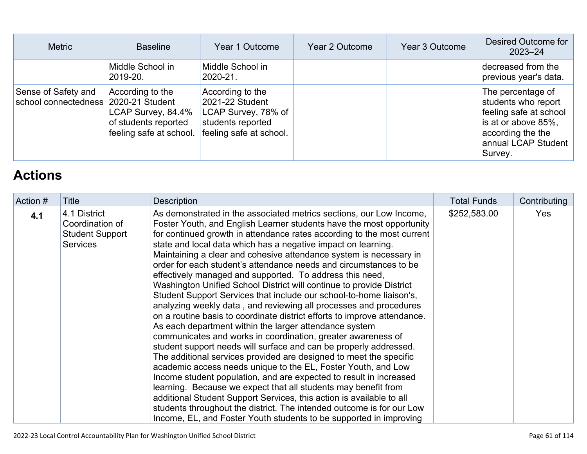| <b>Metric</b>                                               | <b>Baseline</b>                                                                           | Year 1 Outcome                                                                                             | Year 2 Outcome | Year 3 Outcome | Desired Outcome for<br>$2023 - 24$                                                                                                               |
|-------------------------------------------------------------|-------------------------------------------------------------------------------------------|------------------------------------------------------------------------------------------------------------|----------------|----------------|--------------------------------------------------------------------------------------------------------------------------------------------------|
|                                                             | Middle School in<br>2019-20.                                                              | Middle School in<br>2020-21.                                                                               |                |                | decreased from the<br>previous year's data.                                                                                                      |
| Sense of Safety and<br>school connectedness 2020-21 Student | According to the<br>LCAP Survey, 84.4%<br>of students reported<br>feeling safe at school. | According to the<br>2021-22 Student<br>LCAP Survey, 78% of<br>students reported<br>feeling safe at school. |                |                | The percentage of<br>students who report<br>feeling safe at school<br>is at or above 85%,<br>according the the<br>annual LCAP Student<br>Survey. |

## **[Actions](http://www.doc-tracking.com/screenshots/22LCAP/Instructions/22LCAPInstructions.htm#actions)**

| Action # | Title                                                                        | <b>Description</b>                                                                                                                                                                                                                                                                                                                                                                                                                                                                                                                                                                                                                                                                                                                                                                                                                                                                                                                                                                                                                                                                                                                                                                                                                                                                                                                                                                                                                                                                                 | <b>Total Funds</b> | Contributing |
|----------|------------------------------------------------------------------------------|----------------------------------------------------------------------------------------------------------------------------------------------------------------------------------------------------------------------------------------------------------------------------------------------------------------------------------------------------------------------------------------------------------------------------------------------------------------------------------------------------------------------------------------------------------------------------------------------------------------------------------------------------------------------------------------------------------------------------------------------------------------------------------------------------------------------------------------------------------------------------------------------------------------------------------------------------------------------------------------------------------------------------------------------------------------------------------------------------------------------------------------------------------------------------------------------------------------------------------------------------------------------------------------------------------------------------------------------------------------------------------------------------------------------------------------------------------------------------------------------------|--------------------|--------------|
| 4.1      | 4.1 District<br>Coordination of<br><b>Student Support</b><br><b>Services</b> | As demonstrated in the associated metrics sections, our Low Income,<br>Foster Youth, and English Learner students have the most opportunity<br>for continued growth in attendance rates according to the most current<br>state and local data which has a negative impact on learning.<br>Maintaining a clear and cohesive attendance system is necessary in<br>order for each student's attendance needs and circumstances to be<br>effectively managed and supported. To address this need,<br>Washington Unified School District will continue to provide District<br>Student Support Services that include our school-to-home liaison's,<br>analyzing weekly data, and reviewing all processes and procedures<br>on a routine basis to coordinate district efforts to improve attendance.<br>As each department within the larger attendance system<br>communicates and works in coordination, greater awareness of<br>student support needs will surface and can be properly addressed.<br>The additional services provided are designed to meet the specific<br>academic access needs unique to the EL, Foster Youth, and Low<br>Income student population, and are expected to result in increased<br>learning. Because we expect that all students may benefit from<br>additional Student Support Services, this action is available to all<br>students throughout the district. The intended outcome is for our Low<br>Income, EL, and Foster Youth students to be supported in improving | \$252,583.00       | <b>Yes</b>   |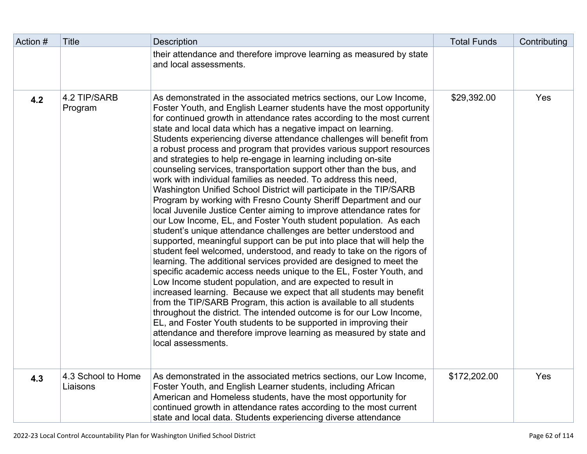| Action # | <b>Title</b>                   | <b>Description</b>                                                                                                                                                                                                                                                                                                                                                                                                                                                                                                                                                                                                                                                                                                                                                                                                                                                                                                                                                                                                                                                                                                                                                                                                                                                                                                                                                                                                                                                                                                                                                                                                                                                                                                                                                  | <b>Total Funds</b> | Contributing |
|----------|--------------------------------|---------------------------------------------------------------------------------------------------------------------------------------------------------------------------------------------------------------------------------------------------------------------------------------------------------------------------------------------------------------------------------------------------------------------------------------------------------------------------------------------------------------------------------------------------------------------------------------------------------------------------------------------------------------------------------------------------------------------------------------------------------------------------------------------------------------------------------------------------------------------------------------------------------------------------------------------------------------------------------------------------------------------------------------------------------------------------------------------------------------------------------------------------------------------------------------------------------------------------------------------------------------------------------------------------------------------------------------------------------------------------------------------------------------------------------------------------------------------------------------------------------------------------------------------------------------------------------------------------------------------------------------------------------------------------------------------------------------------------------------------------------------------|--------------------|--------------|
|          |                                | their attendance and therefore improve learning as measured by state<br>and local assessments.                                                                                                                                                                                                                                                                                                                                                                                                                                                                                                                                                                                                                                                                                                                                                                                                                                                                                                                                                                                                                                                                                                                                                                                                                                                                                                                                                                                                                                                                                                                                                                                                                                                                      |                    |              |
| 4.2      | 4.2 TIP/SARB<br>Program        | As demonstrated in the associated metrics sections, our Low Income,<br>Foster Youth, and English Learner students have the most opportunity<br>for continued growth in attendance rates according to the most current<br>state and local data which has a negative impact on learning.<br>Students experiencing diverse attendance challenges will benefit from<br>a robust process and program that provides various support resources<br>and strategies to help re-engage in learning including on-site<br>counseling services, transportation support other than the bus, and<br>work with individual families as needed. To address this need,<br>Washington Unified School District will participate in the TIP/SARB<br>Program by working with Fresno County Sheriff Department and our<br>local Juvenile Justice Center aiming to improve attendance rates for<br>our Low Income, EL, and Foster Youth student population. As each<br>student's unique attendance challenges are better understood and<br>supported, meaningful support can be put into place that will help the<br>student feel welcomed, understood, and ready to take on the rigors of<br>learning. The additional services provided are designed to meet the<br>specific academic access needs unique to the EL, Foster Youth, and<br>Low Income student population, and are expected to result in<br>increased learning. Because we expect that all students may benefit<br>from the TIP/SARB Program, this action is available to all students<br>throughout the district. The intended outcome is for our Low Income,<br>EL, and Foster Youth students to be supported in improving their<br>attendance and therefore improve learning as measured by state and<br>local assessments. | \$29,392.00        | Yes          |
| 4.3      | 4.3 School to Home<br>Liaisons | As demonstrated in the associated metrics sections, our Low Income,<br>Foster Youth, and English Learner students, including African<br>American and Homeless students, have the most opportunity for<br>continued growth in attendance rates according to the most current<br>state and local data. Students experiencing diverse attendance                                                                                                                                                                                                                                                                                                                                                                                                                                                                                                                                                                                                                                                                                                                                                                                                                                                                                                                                                                                                                                                                                                                                                                                                                                                                                                                                                                                                                       | \$172,202.00       | Yes          |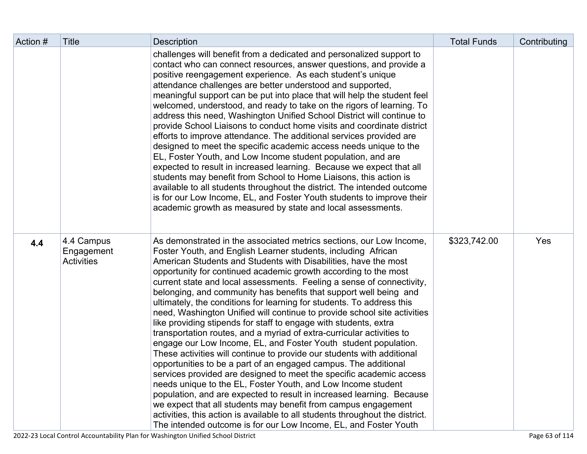| Action # | <b>Title</b>                                  | <b>Description</b>                                                                                                                                                                                                                                                                                                                                                                                                                                                                                                                                                                                                                                                                                                                                                                                                                                                                                                                                                                                                                                                                                                                                                                                                                                                                                                                                                                | <b>Total Funds</b> | Contributing |
|----------|-----------------------------------------------|-----------------------------------------------------------------------------------------------------------------------------------------------------------------------------------------------------------------------------------------------------------------------------------------------------------------------------------------------------------------------------------------------------------------------------------------------------------------------------------------------------------------------------------------------------------------------------------------------------------------------------------------------------------------------------------------------------------------------------------------------------------------------------------------------------------------------------------------------------------------------------------------------------------------------------------------------------------------------------------------------------------------------------------------------------------------------------------------------------------------------------------------------------------------------------------------------------------------------------------------------------------------------------------------------------------------------------------------------------------------------------------|--------------------|--------------|
|          |                                               | challenges will benefit from a dedicated and personalized support to<br>contact who can connect resources, answer questions, and provide a<br>positive reengagement experience. As each student's unique<br>attendance challenges are better understood and supported,<br>meaningful support can be put into place that will help the student feel<br>welcomed, understood, and ready to take on the rigors of learning. To<br>address this need, Washington Unified School District will continue to<br>provide School Liaisons to conduct home visits and coordinate district<br>efforts to improve attendance. The additional services provided are<br>designed to meet the specific academic access needs unique to the<br>EL, Foster Youth, and Low Income student population, and are<br>expected to result in increased learning. Because we expect that all<br>students may benefit from School to Home Liaisons, this action is<br>available to all students throughout the district. The intended outcome<br>is for our Low Income, EL, and Foster Youth students to improve their<br>academic growth as measured by state and local assessments.                                                                                                                                                                                                                       |                    |              |
| 4.4      | 4.4 Campus<br>Engagement<br><b>Activities</b> | As demonstrated in the associated metrics sections, our Low Income,<br>Foster Youth, and English Learner students, including African<br>American Students and Students with Disabilities, have the most<br>opportunity for continued academic growth according to the most<br>current state and local assessments. Feeling a sense of connectivity,<br>belonging, and community has benefits that support well being and<br>ultimately, the conditions for learning for students. To address this<br>need, Washington Unified will continue to provide school site activities<br>like providing stipends for staff to engage with students, extra<br>transportation routes, and a myriad of extra-curricular activities to<br>engage our Low Income, EL, and Foster Youth student population.<br>These activities will continue to provide our students with additional<br>opportunities to be a part of an engaged campus. The additional<br>services provided are designed to meet the specific academic access<br>needs unique to the EL, Foster Youth, and Low Income student<br>population, and are expected to result in increased learning. Because<br>we expect that all students may benefit from campus engagement<br>activities, this action is available to all students throughout the district.<br>The intended outcome is for our Low Income, EL, and Foster Youth | \$323,742.00       | <b>Yes</b>   |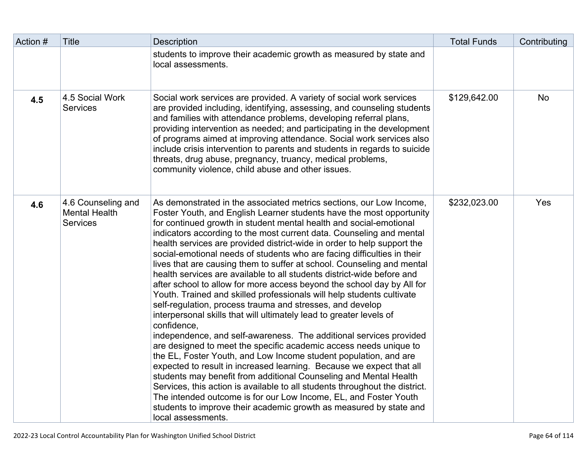| Action # | <b>Title</b>                                                  | <b>Description</b>                                                                                                                                                                                                                                                                                                                                                                                                                                                                                                                                                                                                                                                                                                                                                                                                                                                                                                                                                                                                                                                                                                                                                                                                                                                                                                                                                                                                                                                                                                   | <b>Total Funds</b> | Contributing |
|----------|---------------------------------------------------------------|----------------------------------------------------------------------------------------------------------------------------------------------------------------------------------------------------------------------------------------------------------------------------------------------------------------------------------------------------------------------------------------------------------------------------------------------------------------------------------------------------------------------------------------------------------------------------------------------------------------------------------------------------------------------------------------------------------------------------------------------------------------------------------------------------------------------------------------------------------------------------------------------------------------------------------------------------------------------------------------------------------------------------------------------------------------------------------------------------------------------------------------------------------------------------------------------------------------------------------------------------------------------------------------------------------------------------------------------------------------------------------------------------------------------------------------------------------------------------------------------------------------------|--------------------|--------------|
|          |                                                               | students to improve their academic growth as measured by state and<br>local assessments.                                                                                                                                                                                                                                                                                                                                                                                                                                                                                                                                                                                                                                                                                                                                                                                                                                                                                                                                                                                                                                                                                                                                                                                                                                                                                                                                                                                                                             |                    |              |
| 4.5      | 4.5 Social Work<br><b>Services</b>                            | Social work services are provided. A variety of social work services<br>are provided including, identifying, assessing, and counseling students<br>and families with attendance problems, developing referral plans,<br>providing intervention as needed; and participating in the development<br>of programs aimed at improving attendance. Social work services also<br>include crisis intervention to parents and students in regards to suicide<br>threats, drug abuse, pregnancy, truancy, medical problems,<br>community violence, child abuse and other issues.                                                                                                                                                                                                                                                                                                                                                                                                                                                                                                                                                                                                                                                                                                                                                                                                                                                                                                                                               | \$129,642.00       | <b>No</b>    |
| 4.6      | 4.6 Counseling and<br><b>Mental Health</b><br><b>Services</b> | As demonstrated in the associated metrics sections, our Low Income,<br>Foster Youth, and English Learner students have the most opportunity<br>for continued growth in student mental health and social-emotional<br>indicators according to the most current data. Counseling and mental<br>health services are provided district-wide in order to help support the<br>social-emotional needs of students who are facing difficulties in their<br>lives that are causing them to suffer at school. Counseling and mental<br>health services are available to all students district-wide before and<br>after school to allow for more access beyond the school day by All for<br>Youth. Trained and skilled professionals will help students cultivate<br>self-regulation, process trauma and stresses, and develop<br>interpersonal skills that will ultimately lead to greater levels of<br>confidence,<br>independence, and self-awareness. The additional services provided<br>are designed to meet the specific academic access needs unique to<br>the EL, Foster Youth, and Low Income student population, and are<br>expected to result in increased learning. Because we expect that all<br>students may benefit from additional Counseling and Mental Health<br>Services, this action is available to all students throughout the district.<br>The intended outcome is for our Low Income, EL, and Foster Youth<br>students to improve their academic growth as measured by state and<br>local assessments. | \$232,023.00       | Yes          |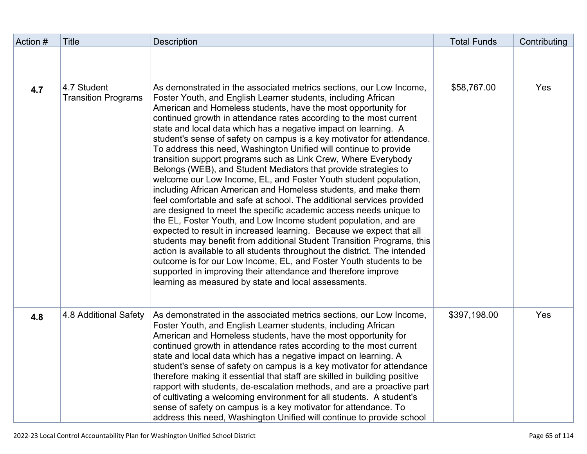| Action # | <b>Title</b>                              | <b>Description</b>                                                                                                                                                                                                                                                                                                                                                                                                                                                                                                                                                                                                                                                                                                                                                                                                                                                                                                                                                                                                                                                                                                                                                                                                                                                                                                                                                                                                        | <b>Total Funds</b> | Contributing |
|----------|-------------------------------------------|---------------------------------------------------------------------------------------------------------------------------------------------------------------------------------------------------------------------------------------------------------------------------------------------------------------------------------------------------------------------------------------------------------------------------------------------------------------------------------------------------------------------------------------------------------------------------------------------------------------------------------------------------------------------------------------------------------------------------------------------------------------------------------------------------------------------------------------------------------------------------------------------------------------------------------------------------------------------------------------------------------------------------------------------------------------------------------------------------------------------------------------------------------------------------------------------------------------------------------------------------------------------------------------------------------------------------------------------------------------------------------------------------------------------------|--------------------|--------------|
|          |                                           |                                                                                                                                                                                                                                                                                                                                                                                                                                                                                                                                                                                                                                                                                                                                                                                                                                                                                                                                                                                                                                                                                                                                                                                                                                                                                                                                                                                                                           |                    |              |
| 4.7      | 4.7 Student<br><b>Transition Programs</b> | As demonstrated in the associated metrics sections, our Low Income,<br>Foster Youth, and English Learner students, including African<br>American and Homeless students, have the most opportunity for<br>continued growth in attendance rates according to the most current<br>state and local data which has a negative impact on learning. A<br>student's sense of safety on campus is a key motivator for attendance.<br>To address this need, Washington Unified will continue to provide<br>transition support programs such as Link Crew, Where Everybody<br>Belongs (WEB), and Student Mediators that provide strategies to<br>welcome our Low Income, EL, and Foster Youth student population,<br>including African American and Homeless students, and make them<br>feel comfortable and safe at school. The additional services provided<br>are designed to meet the specific academic access needs unique to<br>the EL, Foster Youth, and Low Income student population, and are<br>expected to result in increased learning. Because we expect that all<br>students may benefit from additional Student Transition Programs, this<br>action is available to all students throughout the district. The intended<br>outcome is for our Low Income, EL, and Foster Youth students to be<br>supported in improving their attendance and therefore improve<br>learning as measured by state and local assessments. | \$58,767.00        | Yes          |
| 4.8      | 4.8 Additional Safety                     | As demonstrated in the associated metrics sections, our Low Income,<br>Foster Youth, and English Learner students, including African<br>American and Homeless students, have the most opportunity for<br>continued growth in attendance rates according to the most current<br>state and local data which has a negative impact on learning. A<br>student's sense of safety on campus is a key motivator for attendance<br>therefore making it essential that staff are skilled in building positive<br>rapport with students, de-escalation methods, and are a proactive part<br>of cultivating a welcoming environment for all students. A student's<br>sense of safety on campus is a key motivator for attendance. To<br>address this need, Washington Unified will continue to provide school                                                                                                                                                                                                                                                                                                                                                                                                                                                                                                                                                                                                                        | \$397,198.00       | Yes          |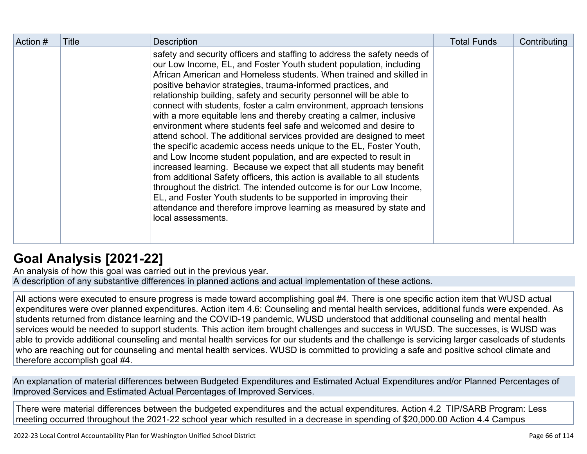| Action # | Title | <b>Description</b>                                                                                                                                                                                                                                                                                                                                                                                                                                                                                                                                                                                                                                                                                                                                                                                                                                                                                                                                                                                                                                                                                                                                                                           | <b>Total Funds</b> | Contributing |
|----------|-------|----------------------------------------------------------------------------------------------------------------------------------------------------------------------------------------------------------------------------------------------------------------------------------------------------------------------------------------------------------------------------------------------------------------------------------------------------------------------------------------------------------------------------------------------------------------------------------------------------------------------------------------------------------------------------------------------------------------------------------------------------------------------------------------------------------------------------------------------------------------------------------------------------------------------------------------------------------------------------------------------------------------------------------------------------------------------------------------------------------------------------------------------------------------------------------------------|--------------------|--------------|
|          |       | safety and security officers and staffing to address the safety needs of<br>our Low Income, EL, and Foster Youth student population, including<br>African American and Homeless students. When trained and skilled in<br>positive behavior strategies, trauma-informed practices, and<br>relationship building, safety and security personnel will be able to<br>connect with students, foster a calm environment, approach tensions<br>with a more equitable lens and thereby creating a calmer, inclusive<br>environment where students feel safe and welcomed and desire to<br>attend school. The additional services provided are designed to meet<br>the specific academic access needs unique to the EL, Foster Youth,<br>and Low Income student population, and are expected to result in<br>increased learning. Because we expect that all students may benefit<br>from additional Safety officers, this action is available to all students<br>throughout the district. The intended outcome is for our Low Income,<br>EL, and Foster Youth students to be supported in improving their<br>attendance and therefore improve learning as measured by state and<br>local assessments. |                    |              |

An analysis of how this goal was carried out in the previous year. A description of any substantive differences in planned actions and actual implementation of these actions.

All actions were executed to ensure progress is made toward accomplishing goal #4. There is one specific action item that WUSD actual expenditures were over planned expenditures. Action item 4.6: Counseling and mental health services, additional funds were expended. As students returned from distance learning and the COVID-19 pandemic, WUSD understood that additional counseling and mental health services would be needed to support students. This action item brought challenges and success in WUSD. The successes, is WUSD was able to provide additional counseling and mental health services for our students and the challenge is servicing larger caseloads of students who are reaching out for counseling and mental health services. WUSD is committed to providing a safe and positive school climate and therefore accomplish goal #4.

An explanation of material differences between Budgeted Expenditures and Estimated Actual Expenditures and/or Planned Percentages of Improved Services and Estimated Actual Percentages of Improved Services.

There were material differences between the budgeted expenditures and the actual expenditures. Action 4.2 TIP/SARB Program: Less meeting occurred throughout the 2021-22 school year which resulted in a decrease in spending of \$20,000.00 Action 4.4 Campus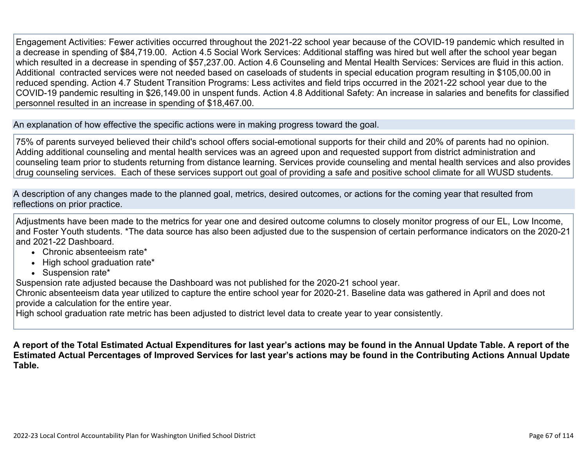Engagement Activities: Fewer activities occurred throughout the 2021-22 school year because of the COVID-19 pandemic which resulted in a decrease in spending of \$84,719.00. Action 4.5 Social Work Services: Additional staffing was hired but well after the school year began which resulted in a decrease in spending of \$57,237.00. Action 4.6 Counseling and Mental Health Services: Services are fluid in this action. Additional contracted services were not needed based on caseloads of students in special education program resulting in \$105,00.00 in reduced spending. Action 4.7 Student Transition Programs: Less activites and field trips occurred in the 2021-22 school year due to the COVID-19 pandemic resulting in \$26,149.00 in unspent funds. Action 4.8 Additional Safety: An increase in salaries and benefits for classified personnel resulted in an increase in spending of \$18,467.00.

An explanation of how effective the specific actions were in making progress toward the goal.

75% of parents surveyed believed their child's school offers social-emotional supports for their child and 20% of parents had no opinion. Adding additional counseling and mental health services was an agreed upon and requested support from district administration and counseling team prior to students returning from distance learning. Services provide counseling and mental health services and also provides drug counseling services. Each of these services support out goal of providing a safe and positive school climate for all WUSD students.

A description of any changes made to the planned goal, metrics, desired outcomes, or actions for the coming year that resulted from reflections on prior practice.

Adjustments have been made to the metrics for year one and desired outcome columns to closely monitor progress of our EL, Low Income, and Foster Youth students. \*The data source has also been adjusted due to the suspension of certain performance indicators on the 2020-21 and 2021-22 Dashboard.

- Chronic absenteeism rate\*
- High school graduation rate\*
- Suspension rate\*

Suspension rate adjusted because the Dashboard was not published for the 2020-21 school year.

Chronic absenteeism data year utilized to capture the entire school year for 2020-21. Baseline data was gathered in April and does not provide a calculation for the entire year.

High school graduation rate metric has been adjusted to district level data to create year to year consistently.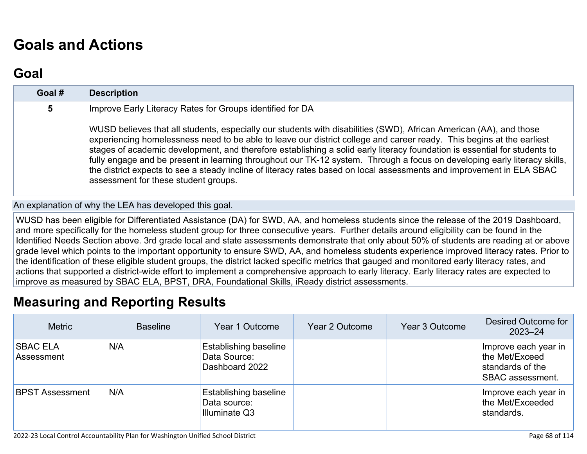# **[Goals and Actions](http://www.doc-tracking.com/screenshots/22LCAP/Instructions/22LCAPInstructions.htm#GoalsandActions)**

## **[Goal](http://www.doc-tracking.com/screenshots/22LCAP/Instructions/22LCAPInstructions.htm#goalDescription)**

| Goal # | <b>Description</b>                                                                                                                                                                                                                                                                                                                                                                                                                                                                                                                                                                                                                                                     |
|--------|------------------------------------------------------------------------------------------------------------------------------------------------------------------------------------------------------------------------------------------------------------------------------------------------------------------------------------------------------------------------------------------------------------------------------------------------------------------------------------------------------------------------------------------------------------------------------------------------------------------------------------------------------------------------|
| 5      | Improve Early Literacy Rates for Groups identified for DA                                                                                                                                                                                                                                                                                                                                                                                                                                                                                                                                                                                                              |
|        | WUSD believes that all students, especially our students with disabilities (SWD), African American (AA), and those<br>experiencing homelessness need to be able to leave our district college and career ready. This begins at the earliest<br>stages of academic development, and therefore establishing a solid early literacy foundation is essential for students to<br>fully engage and be present in learning throughout our TK-12 system. Through a focus on developing early literacy skills,<br>the district expects to see a steady incline of literacy rates based on local assessments and improvement in ELA SBAC<br>assessment for these student groups. |

An explanation of why the LEA has developed this goal.

WUSD has been eligible for Differentiated Assistance (DA) for SWD, AA, and homeless students since the release of the 2019 Dashboard, and more specifically for the homeless student group for three consecutive years. Further details around eligibility can be found in the Identified Needs Section above. 3rd grade local and state assessments demonstrate that only about 50% of students are reading at or above grade level which points to the important opportunity to ensure SWD, AA, and homeless students experience improved literacy rates. Prior to the identification of these eligible student groups, the district lacked specific metrics that gauged and monitored early literacy rates, and actions that supported a district-wide effort to implement a comprehensive approach to early literacy. Early literacy rates are expected to improve as measured by SBAC ELA, BPST, DRA, Foundational Skills, iReady district assessments.

#### **[Measuring and Reporting Results](http://www.doc-tracking.com/screenshots/22LCAP/Instructions/22LCAPInstructions.htm#MeasuringandReportingResults)**

| <b>Metric</b>                 | <b>Baseline</b> | Year 1 Outcome                                                 | Year 2 Outcome | Year 3 Outcome | Desired Outcome for<br>$2023 - 24$                                                    |
|-------------------------------|-----------------|----------------------------------------------------------------|----------------|----------------|---------------------------------------------------------------------------------------|
| <b>SBAC ELA</b><br>Assessment | N/A             | <b>Establishing baseline</b><br>Data Source:<br>Dashboard 2022 |                |                | Improve each year in<br>the Met/Exceed<br>standards of the<br><b>SBAC</b> assessment. |
| <b>BPST Assessment</b>        | N/A             | <b>Establishing baseline</b><br>Data source:<br>Illuminate Q3  |                |                | Improve each year in<br>the Met/Exceeded<br>standards.                                |

2022-23 Local Control Accountability Plan for Washington Unified School District **Page 68** of 114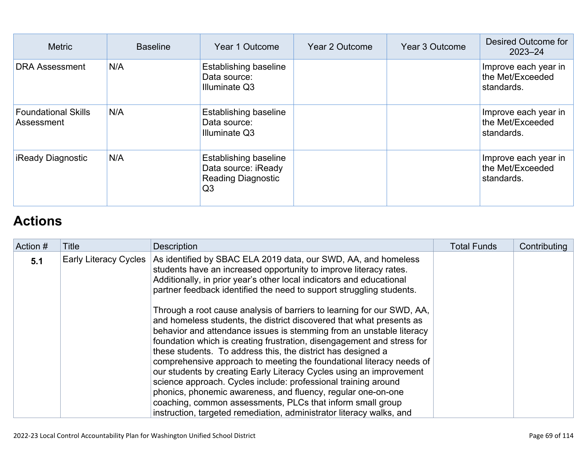| <b>Metric</b>                            | <b>Baseline</b> | Year 1 Outcome                                                                  | Year 2 Outcome | Year 3 Outcome | Desired Outcome for<br>$2023 - 24$                     |
|------------------------------------------|-----------------|---------------------------------------------------------------------------------|----------------|----------------|--------------------------------------------------------|
| <b>DRA Assessment</b>                    | N/A             | <b>Establishing baseline</b><br>Data source:<br>Illuminate Q3                   |                |                | Improve each year in<br>the Met/Exceeded<br>standards. |
| <b>Foundational Skills</b><br>Assessment | N/A             | <b>Establishing baseline</b><br>Data source:<br>Illuminate Q3                   |                |                | Improve each year in<br>the Met/Exceeded<br>standards. |
| <b>iReady Diagnostic</b>                 | N/A             | Establishing baseline<br>Data source: iReady<br><b>Reading Diagnostic</b><br>Q3 |                |                | Improve each year in<br>the Met/Exceeded<br>standards. |

# **[Actions](http://www.doc-tracking.com/screenshots/22LCAP/Instructions/22LCAPInstructions.htm#actions)**

| Action # | <b>Title</b>                 | <b>Description</b>                                                                                                                                                                                                                                                                                                                                                                                                                                                                                                                                                                                                                                                                                                                                                                      | <b>Total Funds</b> | Contributing |
|----------|------------------------------|-----------------------------------------------------------------------------------------------------------------------------------------------------------------------------------------------------------------------------------------------------------------------------------------------------------------------------------------------------------------------------------------------------------------------------------------------------------------------------------------------------------------------------------------------------------------------------------------------------------------------------------------------------------------------------------------------------------------------------------------------------------------------------------------|--------------------|--------------|
| 5.1      | <b>Early Literacy Cycles</b> | As identified by SBAC ELA 2019 data, our SWD, AA, and homeless<br>students have an increased opportunity to improve literacy rates.<br>Additionally, in prior year's other local indicators and educational<br>partner feedback identified the need to support struggling students.                                                                                                                                                                                                                                                                                                                                                                                                                                                                                                     |                    |              |
|          |                              | Through a root cause analysis of barriers to learning for our SWD, AA,<br>and homeless students, the district discovered that what presents as<br>behavior and attendance issues is stemming from an unstable literacy<br>foundation which is creating frustration, disengagement and stress for<br>these students. To address this, the district has designed a<br>comprehensive approach to meeting the foundational literacy needs of<br>our students by creating Early Literacy Cycles using an improvement<br>science approach. Cycles include: professional training around<br>phonics, phonemic awareness, and fluency, regular one-on-one<br>coaching, common assessments, PLCs that inform small group<br>instruction, targeted remediation, administrator literacy walks, and |                    |              |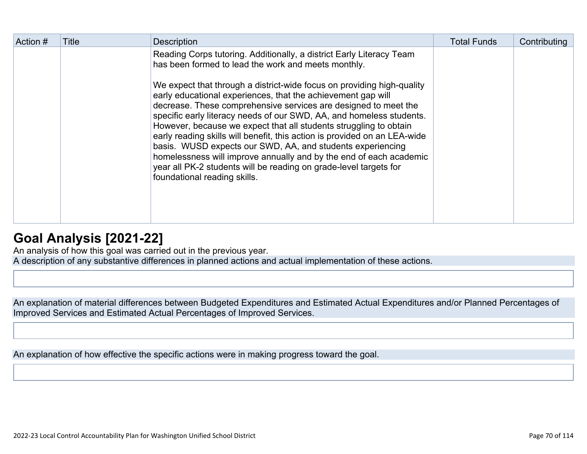| Action # | Title | <b>Description</b>                                                                                                                                                                                                                                                                                                                                                                                                                                                                                                                                                                                                                                                           | <b>Total Funds</b> | Contributing |
|----------|-------|------------------------------------------------------------------------------------------------------------------------------------------------------------------------------------------------------------------------------------------------------------------------------------------------------------------------------------------------------------------------------------------------------------------------------------------------------------------------------------------------------------------------------------------------------------------------------------------------------------------------------------------------------------------------------|--------------------|--------------|
|          |       | Reading Corps tutoring. Additionally, a district Early Literacy Team<br>has been formed to lead the work and meets monthly.                                                                                                                                                                                                                                                                                                                                                                                                                                                                                                                                                  |                    |              |
|          |       | We expect that through a district-wide focus on providing high-quality<br>early educational experiences, that the achievement gap will<br>decrease. These comprehensive services are designed to meet the<br>specific early literacy needs of our SWD, AA, and homeless students.<br>However, because we expect that all students struggling to obtain<br>early reading skills will benefit, this action is provided on an LEA-wide<br>basis. WUSD expects our SWD, AA, and students experiencing<br>homelessness will improve annually and by the end of each academic<br>year all PK-2 students will be reading on grade-level targets for<br>foundational reading skills. |                    |              |

An analysis of how this goal was carried out in the previous year. A description of any substantive differences in planned actions and actual implementation of these actions.

An explanation of material differences between Budgeted Expenditures and Estimated Actual Expenditures and/or Planned Percentages of Improved Services and Estimated Actual Percentages of Improved Services.

An explanation of how effective the specific actions were in making progress toward the goal.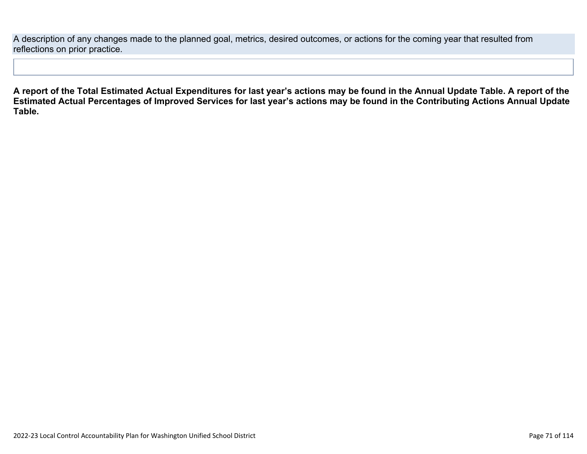A description of any changes made to the planned goal, metrics, desired outcomes, or actions for the coming year that resulted from reflections on prior practice.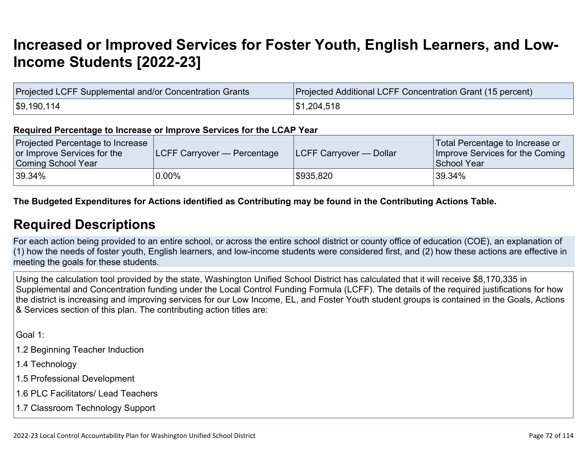# **[Increased or Improved Services for Foster Youth, English Learners, and Low-](http://www.doc-tracking.com/screenshots/22LCAP/Instructions/22LCAPInstructions.htm#IncreasedImprovedServices)[Income Students \[2022-23\]](http://www.doc-tracking.com/screenshots/22LCAP/Instructions/22LCAPInstructions.htm#IncreasedImprovedServices)**

| Projected LCFF Supplemental and/or Concentration Grants | Projected Additional LCFF Concentration Grant (15 percent) |
|---------------------------------------------------------|------------------------------------------------------------|
| \$9,190,114                                             | \$1,204,518                                                |

#### **Required Percentage to Increase or Improve Services for the LCAP Year**

| Projected Percentage to Increase<br>or Improve Services for the<br>Coming School Year | <b>ILCFF Carryover — Percentage</b> | <b>ILCFF Carryover — Dollar</b> | Total Percentage to Increase or<br>Improve Services for the Coming<br>School Year |
|---------------------------------------------------------------------------------------|-------------------------------------|---------------------------------|-----------------------------------------------------------------------------------|
| 39.34%                                                                                | $0.00\%$                            | \$935,820                       | '39.34%                                                                           |

#### **The Budgeted Expenditures for Actions identified as Contributing may be found in the Contributing Actions Table.**

#### **[Required Descriptions](http://www.doc-tracking.com/screenshots/22LCAP/Instructions/22LCAPInstructions.htm#RequiredDescriptions)**

For each action being provided to an entire school, or across the entire school district or county office of education (COE), an explanation of (1) how the needs of foster youth, English learners, and low-income students were considered first, and (2) how these actions are effective in meeting the goals for these students.

Using the calculation tool provided by the state, Washington Unified School District has calculated that it will receive \$8,170,335 in Supplemental and Concentration funding under the Local Control Funding Formula (LCFF). The details of the required justifications for how the district is increasing and improving services for our Low Income, EL, and Foster Youth student groups is contained in the Goals, Actions & Services section of this plan. The contributing action titles are:

Goal 1:

- 1.2 Beginning Teacher Induction
- 1.4 Technology
- 1.5 Professional Development
- 1.6 PLC Facilitators/ Lead Teachers
- 1.7 Classroom Technology Support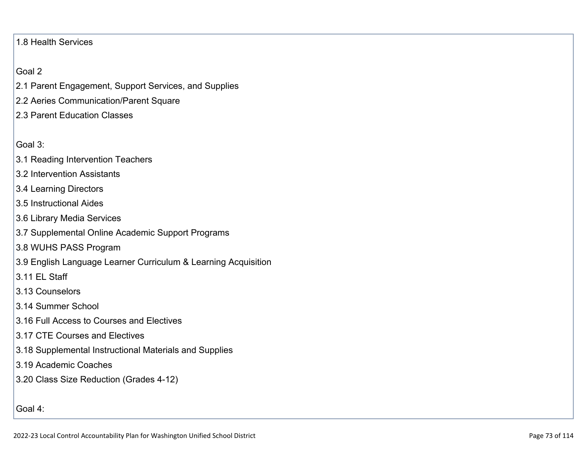1.8 Health Services

Goal 2

- 2.1 Parent Engagement, Support Services, and Supplies
- 2.2 Aeries Communication/Parent Square
- 2.3 Parent Education Classes

Goal 3:

- 3.1 Reading Intervention Teachers
- 3.2 Intervention Assistants
- 3.4 Learning Directors
- 3.5 Instructional Aides
- 3.6 Library Media Services
- 3.7 Supplemental Online Academic Support Programs
- 3.8 WUHS PASS Program
- 3.9 English Language Learner Curriculum & Learning Acquisition
- 3.11 EL Staff
- 3.13 Counselors
- 3.14 Summer School
- 3.16 Full Access to Courses and Electives
- 3.17 CTE Courses and Electives
- 3.18 Supplemental Instructional Materials and Supplies
- 3.19 Academic Coaches
- 3.20 Class Size Reduction (Grades 4-12)

Goal 4: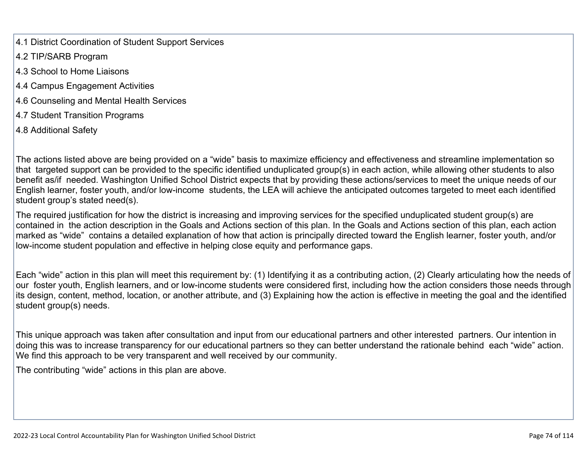4.1 District Coordination of Student Support Services

- 4.2 TIP/SARB Program
- 4.3 School to Home Liaisons
- 4.4 Campus Engagement Activities
- 4.6 Counseling and Mental Health Services
- 4.7 Student Transition Programs
- 4.8 Additional Safety

The actions listed above are being provided on a "wide" basis to maximize efficiency and effectiveness and streamline implementation so that targeted support can be provided to the specific identified unduplicated group(s) in each action, while allowing other students to also benefit as/if needed. Washington Unified School District expects that by providing these actions/services to meet the unique needs of our English learner, foster youth, and/or low-income students, the LEA will achieve the anticipated outcomes targeted to meet each identified student group's stated need(s).

The required justification for how the district is increasing and improving services for the specified unduplicated student group(s) are contained in the action description in the Goals and Actions section of this plan. In the Goals and Actions section of this plan, each action marked as "wide" contains a detailed explanation of how that action is principally directed toward the English learner, foster youth, and/or low-income student population and effective in helping close equity and performance gaps.

Each "wide" action in this plan will meet this requirement by: (1) Identifying it as a contributing action, (2) Clearly articulating how the needs of our foster youth, English learners, and or low-income students were considered first, including how the action considers those needs through its design, content, method, location, or another attribute, and (3) Explaining how the action is effective in meeting the goal and the identified student group(s) needs.

This unique approach was taken after consultation and input from our educational partners and other interested partners. Our intention in doing this was to increase transparency for our educational partners so they can better understand the rationale behind each "wide" action. We find this approach to be very transparent and well received by our community.

The contributing "wide" actions in this plan are above.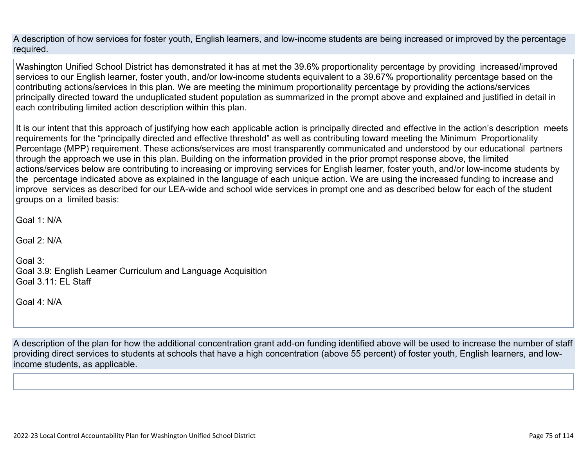A description of how services for foster youth, English learners, and low-income students are being increased or improved by the percentage required.

Washington Unified School District has demonstrated it has at met the 39.6% proportionality percentage by providing increased/improved services to our English learner, foster youth, and/or low-income students equivalent to a 39.67% proportionality percentage based on the contributing actions/services in this plan. We are meeting the minimum proportionality percentage by providing the actions/services principally directed toward the unduplicated student population as summarized in the prompt above and explained and justified in detail in each contributing limited action description within this plan.

It is our intent that this approach of justifying how each applicable action is principally directed and effective in the action's description meets requirements for the "principally directed and effective threshold" as well as contributing toward meeting the Minimum Proportionality Percentage (MPP) requirement. These actions/services are most transparently communicated and understood by our educational partners through the approach we use in this plan. Building on the information provided in the prior prompt response above, the limited actions/services below are contributing to increasing or improving services for English learner, foster youth, and/or low-income students by the percentage indicated above as explained in the language of each unique action. We are using the increased funding to increase and improve services as described for our LEA-wide and school wide services in prompt one and as described below for each of the student groups on a limited basis:

Goal 1: N/A

Goal 2: N/A

Goal 3: Goal 3.9: English Learner Curriculum and Language Acquisition Goal 3.11: EL Staff

Goal 4: N/A

A description of the plan for how the additional concentration grant add-on funding identified above will be used to increase the number of staff providing direct services to students at schools that have a high concentration (above 55 percent) of foster youth, English learners, and lowincome students, as applicable.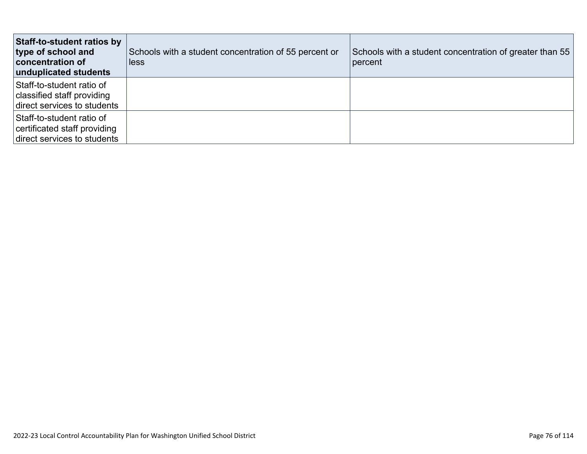| Staff-to-student ratios by<br>type of school and<br>concentration of<br>unduplicated students | Schools with a student concentration of 55 percent or<br>less | Schools with a student concentration of greater than 55<br>percent |
|-----------------------------------------------------------------------------------------------|---------------------------------------------------------------|--------------------------------------------------------------------|
| Staff-to-student ratio of<br>classified staff providing<br>direct services to students        |                                                               |                                                                    |
| Staff-to-student ratio of<br>certificated staff providing<br>direct services to students      |                                                               |                                                                    |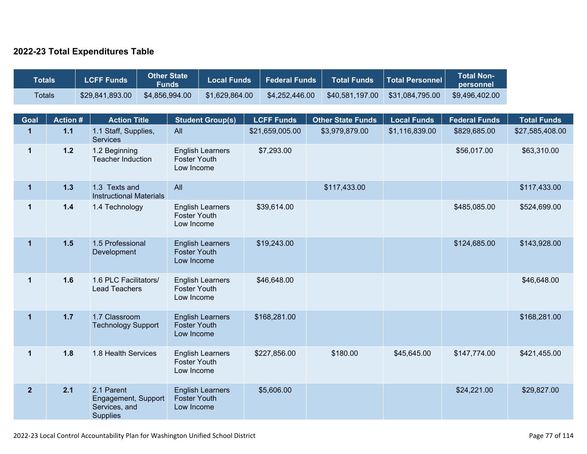### **2022-23 Total Expenditures Table**

| <b>Totals</b>  |                | <b>LCFF Funds</b>                                                     | <b>Funds</b>   | <b>Other State</b>                | <b>Local Funds</b>      | <b>Federal Funds</b> | <b>Total Funds</b>       | <b>Total Personnel</b> | <b>Total Non-</b><br>personnel |                    |
|----------------|----------------|-----------------------------------------------------------------------|----------------|-----------------------------------|-------------------------|----------------------|--------------------------|------------------------|--------------------------------|--------------------|
| <b>Totals</b>  |                | \$29,841,893.00                                                       | \$4,856,994.00 |                                   | \$1,629,864.00          | \$4,252,446.00       | \$40,581,197.00          | \$31,084,795.00        | \$9,496,402.00                 |                    |
| Goal           | <b>Action#</b> | <b>Action Title</b>                                                   |                |                                   | <b>Student Group(s)</b> | <b>LCFF Funds</b>    | <b>Other State Funds</b> | <b>Local Funds</b>     | <b>Federal Funds</b>           | <b>Total Funds</b> |
| $\mathbf{1}$   | $1.1$          | 1.1 Staff, Supplies,<br><b>Services</b>                               |                | All                               |                         | \$21,659,005.00      | \$3,979,879.00           | \$1,116,839.00         | \$829,685.00                   | \$27,585,408.00    |
| $\mathbf 1$    | $1.2$          | 1.2 Beginning<br><b>Teacher Induction</b>                             |                | Foster Youth<br>Low Income        | <b>English Learners</b> | \$7,293.00           |                          |                        | \$56,017.00                    | \$63,310.00        |
| $\mathbf 1$    | $1.3$          | 1.3 Texts and<br><b>Instructional Materials</b>                       |                | All                               |                         |                      | \$117,433.00             |                        |                                | \$117,433.00       |
| $\mathbf 1$    | $1.4$          | 1.4 Technology                                                        |                | <b>Foster Youth</b><br>Low Income | <b>English Learners</b> | \$39,614.00          |                          |                        | \$485,085.00                   | \$524,699.00       |
| $\mathbf 1$    | $1.5$          | 1.5 Professional<br>Development                                       |                | <b>Foster Youth</b><br>Low Income | <b>English Learners</b> | \$19,243.00          |                          |                        | \$124,685.00                   | \$143,928.00       |
| $\mathbf{1}$   | 1.6            | 1.6 PLC Facilitators/<br><b>Lead Teachers</b>                         |                | <b>Foster Youth</b><br>Low Income | <b>English Learners</b> | \$46,648.00          |                          |                        |                                | \$46,648.00        |
| $\mathbf 1$    | $1.7$          | 1.7 Classroom<br><b>Technology Support</b>                            |                | <b>Foster Youth</b><br>Low Income | <b>English Learners</b> | \$168,281.00         |                          |                        |                                | \$168,281.00       |
| $\mathbf 1$    | 1.8            | 1.8 Health Services                                                   |                | <b>Foster Youth</b><br>Low Income | <b>English Learners</b> | \$227,856.00         | \$180.00                 | \$45,645.00            | \$147,774.00                   | \$421,455.00       |
| $\overline{2}$ | 2.1            | 2.1 Parent<br>Engagement, Support<br>Services, and<br><b>Supplies</b> |                | <b>Foster Youth</b><br>Low Income | <b>English Learners</b> | \$5,606.00           |                          |                        | \$24,221.00                    | \$29,827.00        |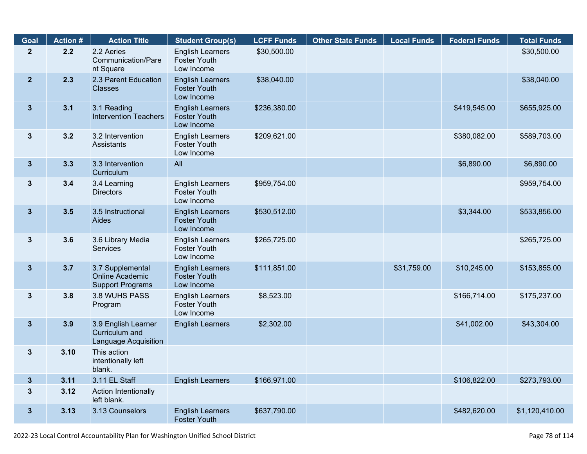| Goal           | <b>Action #</b> | <b>Action Title</b>                                                   | <b>Student Group(s)</b>                                      | <b>LCFF Funds</b> | <b>Other State Funds</b> | <b>Local Funds</b> | <b>Federal Funds</b> | <b>Total Funds</b> |
|----------------|-----------------|-----------------------------------------------------------------------|--------------------------------------------------------------|-------------------|--------------------------|--------------------|----------------------|--------------------|
| $\mathbf{2}$   | 2.2             | 2.2 Aeries<br>Communication/Pare<br>nt Square                         | <b>English Learners</b><br><b>Foster Youth</b><br>Low Income | \$30,500.00       |                          |                    |                      | \$30,500.00        |
| 2 <sup>2</sup> | 2.3             | 2.3 Parent Education<br><b>Classes</b>                                | <b>English Learners</b><br><b>Foster Youth</b><br>Low Income | \$38,040.00       |                          |                    |                      | \$38,040.00        |
| 3 <sup>5</sup> | 3.1             | 3.1 Reading<br><b>Intervention Teachers</b>                           | <b>English Learners</b><br><b>Foster Youth</b><br>Low Income | \$236,380.00      |                          |                    | \$419,545.00         | \$655,925.00       |
| $\mathbf{3}$   | 3.2             | 3.2 Intervention<br>Assistants                                        | <b>English Learners</b><br><b>Foster Youth</b><br>Low Income | \$209,621.00      |                          |                    | \$380,082.00         | \$589,703.00       |
| 3 <sup>5</sup> | 3.3             | 3.3 Intervention<br>Curriculum                                        | All                                                          |                   |                          |                    | \$6,890.00           | \$6,890.00         |
| $\mathbf{3}$   | 3.4             | 3.4 Learning<br><b>Directors</b>                                      | <b>English Learners</b><br><b>Foster Youth</b><br>Low Income | \$959,754.00      |                          |                    |                      | \$959,754.00       |
| 3 <sup>5</sup> | 3.5             | 3.5 Instructional<br>Aides                                            | <b>English Learners</b><br><b>Foster Youth</b><br>Low Income | \$530,512.00      |                          |                    | \$3,344.00           | \$533,856.00       |
| $3\phantom{a}$ | 3.6             | 3.6 Library Media<br><b>Services</b>                                  | <b>English Learners</b><br><b>Foster Youth</b><br>Low Income | \$265,725.00      |                          |                    |                      | \$265,725.00       |
| 3 <sup>5</sup> | 3.7             | 3.7 Supplemental<br><b>Online Academic</b><br><b>Support Programs</b> | <b>English Learners</b><br><b>Foster Youth</b><br>Low Income | \$111,851.00      |                          | \$31,759.00        | \$10,245.00          | \$153,855.00       |
| $\mathbf{3}$   | 3.8             | 3.8 WUHS PASS<br>Program                                              | <b>English Learners</b><br><b>Foster Youth</b><br>Low Income | \$8,523.00        |                          |                    | \$166,714.00         | \$175,237.00       |
| 3 <sup>5</sup> | 3.9             | 3.9 English Learner<br>Curriculum and<br>Language Acquisition         | <b>English Learners</b>                                      | \$2,302.00        |                          |                    | \$41,002.00          | \$43,304.00        |
| $3\phantom{a}$ | 3.10            | This action<br>intentionally left<br>blank.                           |                                                              |                   |                          |                    |                      |                    |
| $\mathbf{3}$   | 3.11            | 3.11 EL Staff                                                         | <b>English Learners</b>                                      | \$166,971.00      |                          |                    | \$106,822.00         | \$273,793.00       |
| 3              | 3.12            | Action Intentionally<br>left blank.                                   |                                                              |                   |                          |                    |                      |                    |
| $\mathbf{3}$   | 3.13            | 3.13 Counselors                                                       | <b>English Learners</b><br><b>Foster Youth</b>               | \$637,790.00      |                          |                    | \$482,620.00         | \$1,120,410.00     |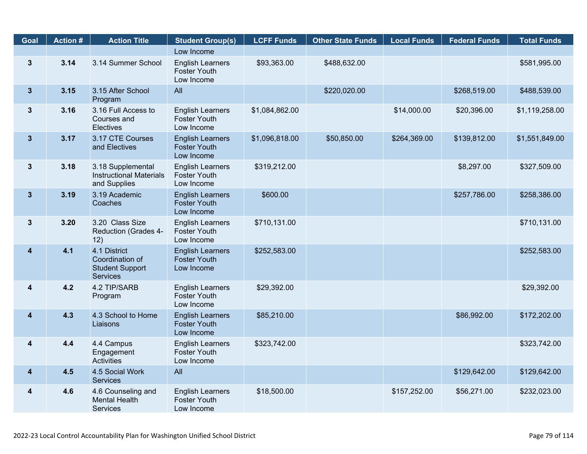| <b>Goal</b>             | <b>Action #</b> | <b>Action Title</b>                                                          | <b>Student Group(s)</b>                                      | <b>LCFF Funds</b> | <b>Other State Funds</b> | <b>Local Funds</b> | <b>Federal Funds</b> | <b>Total Funds</b> |
|-------------------------|-----------------|------------------------------------------------------------------------------|--------------------------------------------------------------|-------------------|--------------------------|--------------------|----------------------|--------------------|
|                         |                 |                                                                              | Low Income                                                   |                   |                          |                    |                      |                    |
| $\mathbf{3}$            | 3.14            | 3.14 Summer School                                                           | <b>English Learners</b><br><b>Foster Youth</b><br>Low Income | \$93,363.00       | \$488,632.00             |                    |                      | \$581,995.00       |
| $3\phantom{a}$          | 3.15            | 3.15 After School<br>Program                                                 | All                                                          |                   | \$220,020.00             |                    | \$268,519.00         | \$488,539.00       |
| $\mathbf{3}$            | 3.16            | 3.16 Full Access to<br>Courses and<br>Electives                              | <b>English Learners</b><br><b>Foster Youth</b><br>Low Income | \$1,084,862.00    |                          | \$14,000.00        | \$20,396.00          | \$1,119,258.00     |
| 3 <sup>5</sup>          | 3.17            | 3.17 CTE Courses<br>and Electives                                            | <b>English Learners</b><br><b>Foster Youth</b><br>Low Income | \$1,096,818.00    | \$50,850.00              | \$264,369.00       | \$139,812.00         | \$1,551,849.00     |
| $\mathbf{3}$            | 3.18            | 3.18 Supplemental<br><b>Instructional Materials</b><br>and Supplies          | <b>English Learners</b><br><b>Foster Youth</b><br>Low Income | \$319,212.00      |                          |                    | \$8,297.00           | \$327,509.00       |
| $3\phantom{a}$          | 3.19            | 3.19 Academic<br>Coaches                                                     | <b>English Learners</b><br><b>Foster Youth</b><br>Low Income | \$600.00          |                          |                    | \$257,786.00         | \$258,386.00       |
| $\mathbf{3}$            | 3.20            | 3.20 Class Size<br><b>Reduction (Grades 4-</b><br>12)                        | <b>English Learners</b><br><b>Foster Youth</b><br>Low Income | \$710,131.00      |                          |                    |                      | \$710,131.00       |
| $\overline{\mathbf{4}}$ | 4.1             | 4.1 District<br>Coordination of<br><b>Student Support</b><br><b>Services</b> | <b>English Learners</b><br><b>Foster Youth</b><br>Low Income | \$252,583.00      |                          |                    |                      | \$252,583.00       |
| $\overline{\mathbf{4}}$ | 4.2             | 4.2 TIP/SARB<br>Program                                                      | <b>English Learners</b><br><b>Foster Youth</b><br>Low Income | \$29,392.00       |                          |                    |                      | \$29,392.00        |
| $\overline{\mathbf{4}}$ | 4.3             | 4.3 School to Home<br>Liaisons                                               | <b>English Learners</b><br><b>Foster Youth</b><br>Low Income | \$85,210.00       |                          |                    | \$86,992.00          | \$172,202.00       |
| 4                       | 4.4             | 4.4 Campus<br>Engagement<br><b>Activities</b>                                | <b>English Learners</b><br><b>Foster Youth</b><br>Low Income | \$323,742.00      |                          |                    |                      | \$323,742.00       |
| $\overline{\mathbf{4}}$ | 4.5             | 4.5 Social Work<br><b>Services</b>                                           | All                                                          |                   |                          |                    | \$129,642.00         | \$129,642.00       |
| $\overline{\mathbf{4}}$ | 4.6             | 4.6 Counseling and<br><b>Mental Health</b><br><b>Services</b>                | <b>English Learners</b><br><b>Foster Youth</b><br>Low Income | \$18,500.00       |                          | \$157,252.00       | \$56,271.00          | \$232,023.00       |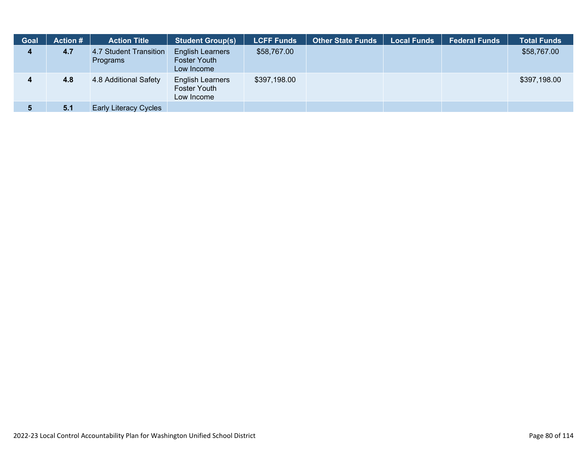| <b>Goal</b> | Action # | <b>Action Title</b>                | <b>Student Group(s)</b>                                      | <b>LCFF Funds</b> | <b>Other State Funds</b> | <b>Local Funds</b> | <b>Federal Funds</b> | <b>Total Funds</b> |
|-------------|----------|------------------------------------|--------------------------------------------------------------|-------------------|--------------------------|--------------------|----------------------|--------------------|
|             | 4.7      | 4.7 Student Transition<br>Programs | <b>English Learners</b><br><b>Foster Youth</b><br>Low Income | \$58,767.00       |                          |                    |                      | \$58,767.00        |
|             | 4.8      | 4.8 Additional Safety              | <b>English Learners</b><br><b>Foster Youth</b><br>Low Income | \$397,198.00      |                          |                    |                      | \$397,198.00       |
|             | 5.1      | <b>Early Literacy Cycles</b>       |                                                              |                   |                          |                    |                      |                    |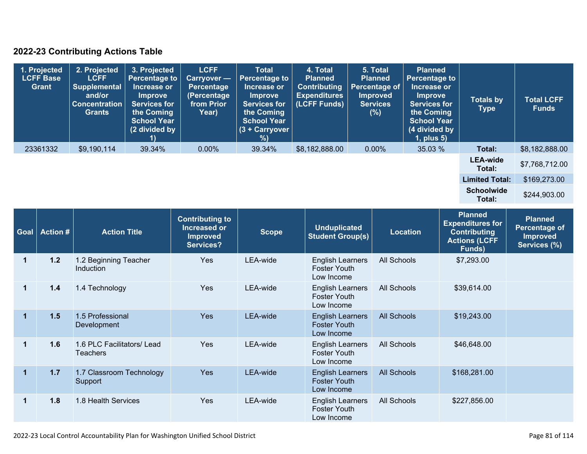### **2022-23 Contributing Actions Table**

| 1. Projected<br>LCFF Base<br>Grant | 2. Projected<br><b>LCFF</b><br><b>Supplemental</b><br>and/or<br><b>Concentration</b><br><b>Grants</b> | 3. Projected<br><b>Percentage to</b><br>Increase or<br><b>Improve</b><br><b>Services for</b><br>the Coming<br><b>School Year</b><br>(2 divided by | <b>LCFF</b><br>Carryover -<br>Percentage<br>(Percentage<br>from Prior<br>Year) | <b>Total</b><br><b>Percentage to</b><br>Increase or<br><b>Improve</b><br><b>Services for</b><br>the Coming<br><b>School Year</b><br>(3 + Carryover<br>%) | 4. Total<br><b>Planned</b><br><b>Contributing</b><br><b>Expenditures</b><br>(LCFF Funds) | 5. Total<br><b>Planned</b><br><b>Percentage of</b><br><b>Improved</b><br><b>Services</b><br>(%) | <b>Planned</b><br><b>Percentage to</b><br>Increase or<br><b>Improve</b><br><b>Services for</b><br>the Coming<br><b>School Year</b><br>(4 divided by<br>$1$ , plus $5$ ) | <b>Totals by</b><br><b>Type</b> | <b>Total LCFF</b><br><b>Funds</b> |
|------------------------------------|-------------------------------------------------------------------------------------------------------|---------------------------------------------------------------------------------------------------------------------------------------------------|--------------------------------------------------------------------------------|----------------------------------------------------------------------------------------------------------------------------------------------------------|------------------------------------------------------------------------------------------|-------------------------------------------------------------------------------------------------|-------------------------------------------------------------------------------------------------------------------------------------------------------------------------|---------------------------------|-----------------------------------|
| 23361332                           | \$9,190,114                                                                                           | 39.34%                                                                                                                                            | $0.00\%$                                                                       | 39.34%                                                                                                                                                   | \$8,182,888.00                                                                           | $0.00\%$                                                                                        | 35.03 %                                                                                                                                                                 | Total:                          | \$8,182,888.00                    |
|                                    |                                                                                                       |                                                                                                                                                   |                                                                                |                                                                                                                                                          |                                                                                          |                                                                                                 |                                                                                                                                                                         | <b>LEA-wide</b><br>Total:       | \$7,768,712.00                    |
|                                    |                                                                                                       |                                                                                                                                                   |                                                                                |                                                                                                                                                          |                                                                                          |                                                                                                 |                                                                                                                                                                         | <b>Limited Total:</b>           | \$169,273.00                      |
|                                    |                                                                                                       |                                                                                                                                                   |                                                                                |                                                                                                                                                          |                                                                                          |                                                                                                 |                                                                                                                                                                         | <b>Schoolwide</b><br>Total:     | \$244,903.00                      |

| Goal        | <b>Action #</b> | <b>Action Title</b>                           | <b>Contributing to</b><br><b>Increased or</b><br><b>Improved</b><br><b>Services?</b> | <b>Scope</b> | <b>Unduplicated</b><br><b>Student Group(s)</b>               | <b>Location</b>    | <b>Planned</b><br><b>Expenditures for</b><br><b>Contributing</b><br><b>Actions (LCFF</b><br>Funds) | <b>Planned</b><br><b>Percentage of</b><br><b>Improved</b><br>Services (%) |
|-------------|-----------------|-----------------------------------------------|--------------------------------------------------------------------------------------|--------------|--------------------------------------------------------------|--------------------|----------------------------------------------------------------------------------------------------|---------------------------------------------------------------------------|
|             | 1.2             | 1.2 Beginning Teacher<br><b>Induction</b>     | Yes                                                                                  | LEA-wide     | <b>English Learners</b><br><b>Foster Youth</b><br>Low Income | <b>All Schools</b> | \$7,293.00                                                                                         |                                                                           |
|             | 1.4             | 1.4 Technology                                | Yes                                                                                  | LEA-wide     | <b>English Learners</b><br><b>Foster Youth</b><br>Low Income | <b>All Schools</b> | \$39,614.00                                                                                        |                                                                           |
|             | 1.5             | 1.5 Professional<br>Development               | <b>Yes</b>                                                                           | LEA-wide     | <b>English Learners</b><br><b>Foster Youth</b><br>Low Income | <b>All Schools</b> | \$19,243.00                                                                                        |                                                                           |
|             | 1.6             | 1.6 PLC Facilitators/ Lead<br><b>Teachers</b> | Yes                                                                                  | LEA-wide     | <b>English Learners</b><br><b>Foster Youth</b><br>Low Income | All Schools        | \$46,648.00                                                                                        |                                                                           |
| $\mathbf 1$ | 1.7             | 1.7 Classroom Technology<br>Support           | <b>Yes</b>                                                                           | LEA-wide     | <b>English Learners</b><br><b>Foster Youth</b><br>Low Income | <b>All Schools</b> | \$168,281.00                                                                                       |                                                                           |
|             | 1.8             | 1.8 Health Services                           | Yes                                                                                  | LEA-wide     | <b>English Learners</b><br><b>Foster Youth</b><br>Low Income | All Schools        | \$227,856.00                                                                                       |                                                                           |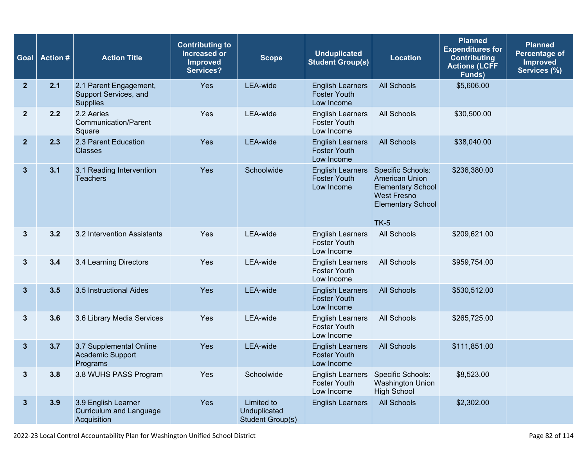| Goal           | <b>Action #</b> | <b>Action Title</b>                                                | <b>Contributing to</b><br>Increased or<br><b>Improved</b><br><b>Services?</b> | <b>Scope</b>                                   | <b>Unduplicated</b><br><b>Student Group(s)</b>               | <b>Location</b>                                                                                                                 | <b>Planned</b><br><b>Expenditures for</b><br><b>Contributing</b><br><b>Actions (LCFF</b><br>Funds) | <b>Planned</b><br>Percentage of<br><b>Improved</b><br>Services (%) |
|----------------|-----------------|--------------------------------------------------------------------|-------------------------------------------------------------------------------|------------------------------------------------|--------------------------------------------------------------|---------------------------------------------------------------------------------------------------------------------------------|----------------------------------------------------------------------------------------------------|--------------------------------------------------------------------|
| $\overline{2}$ | 2.1             | 2.1 Parent Engagement,<br>Support Services, and<br><b>Supplies</b> | Yes                                                                           | <b>LEA-wide</b>                                | <b>English Learners</b><br><b>Foster Youth</b><br>Low Income | <b>All Schools</b>                                                                                                              | \$5,606.00                                                                                         |                                                                    |
| $\mathbf{2}$   | 2.2             | 2.2 Aeries<br><b>Communication/Parent</b><br>Square                | Yes                                                                           | LEA-wide                                       | <b>English Learners</b><br><b>Foster Youth</b><br>Low Income | <b>All Schools</b>                                                                                                              | \$30,500.00                                                                                        |                                                                    |
| $\overline{2}$ | 2.3             | 2.3 Parent Education<br><b>Classes</b>                             | Yes                                                                           | LEA-wide                                       | <b>English Learners</b><br><b>Foster Youth</b><br>Low Income | <b>All Schools</b>                                                                                                              | \$38,040.00                                                                                        |                                                                    |
| $3\phantom{a}$ | 3.1             | 3.1 Reading Intervention<br><b>Teachers</b>                        | Yes                                                                           | Schoolwide                                     | <b>English Learners</b><br><b>Foster Youth</b><br>Low Income | <b>Specific Schools:</b><br><b>American Union</b><br><b>Elementary School</b><br><b>West Fresno</b><br><b>Elementary School</b> | \$236,380.00                                                                                       |                                                                    |
|                |                 |                                                                    |                                                                               |                                                |                                                              | $TK-5$                                                                                                                          |                                                                                                    |                                                                    |
| $\mathbf{3}$   | 3.2             | 3.2 Intervention Assistants                                        | Yes                                                                           | LEA-wide                                       | <b>English Learners</b><br><b>Foster Youth</b><br>Low Income | <b>All Schools</b>                                                                                                              | \$209,621.00                                                                                       |                                                                    |
| $\mathbf{3}$   | 3.4             | 3.4 Learning Directors                                             | Yes                                                                           | LEA-wide                                       | <b>English Learners</b><br><b>Foster Youth</b><br>Low Income | All Schools                                                                                                                     | \$959,754.00                                                                                       |                                                                    |
| $3\phantom{a}$ | 3.5             | 3.5 Instructional Aides                                            | Yes                                                                           | <b>LEA-wide</b>                                | <b>English Learners</b><br><b>Foster Youth</b><br>Low Income | <b>All Schools</b>                                                                                                              | \$530,512.00                                                                                       |                                                                    |
| $\mathbf{3}$   | 3.6             | 3.6 Library Media Services                                         | Yes                                                                           | LEA-wide                                       | <b>English Learners</b><br><b>Foster Youth</b><br>Low Income | All Schools                                                                                                                     | \$265,725.00                                                                                       |                                                                    |
| 3              | 3.7             | 3.7 Supplemental Online<br><b>Academic Support</b><br>Programs     | Yes                                                                           | <b>LEA-wide</b>                                | <b>English Learners</b><br><b>Foster Youth</b><br>Low Income | <b>All Schools</b>                                                                                                              | \$111,851.00                                                                                       |                                                                    |
| $\mathbf{3}$   | 3.8             | 3.8 WUHS PASS Program                                              | Yes                                                                           | Schoolwide                                     | <b>English Learners</b><br><b>Foster Youth</b><br>Low Income | Specific Schools:<br><b>Washington Union</b><br><b>High School</b>                                                              | \$8,523.00                                                                                         |                                                                    |
| $3\phantom{a}$ | 3.9             | 3.9 English Learner<br>Curriculum and Language<br>Acquisition      | Yes                                                                           | Limited to<br>Unduplicated<br>Student Group(s) | <b>English Learners</b>                                      | <b>All Schools</b>                                                                                                              | \$2,302.00                                                                                         |                                                                    |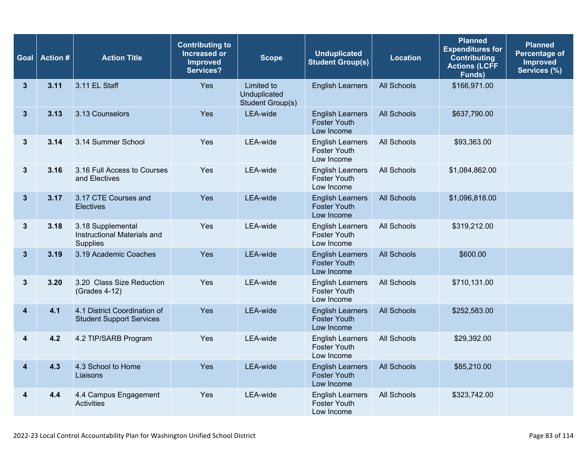| Goal                    | <b>Action#</b> | <b>Action Title</b>                                             | <b>Contributing to</b><br>Increased or<br><b>Improved</b><br><b>Services?</b> | <b>Scope</b>                                   | <b>Unduplicated</b><br><b>Student Group(s)</b>               | <b>Location</b>    | <b>Planned</b><br><b>Expenditures for</b><br><b>Contributing</b><br><b>Actions (LCFF</b><br>Funds) | <b>Planned</b><br>Percentage of<br>Improved<br>Services (%) |
|-------------------------|----------------|-----------------------------------------------------------------|-------------------------------------------------------------------------------|------------------------------------------------|--------------------------------------------------------------|--------------------|----------------------------------------------------------------------------------------------------|-------------------------------------------------------------|
| $\mathbf{3}$            | 3.11           | 3.11 EL Staff                                                   | Yes                                                                           | Limited to<br>Unduplicated<br>Student Group(s) | <b>English Learners</b>                                      | All Schools        | \$166,971.00                                                                                       |                                                             |
| $\mathbf{3}$            | 3.13           | 3.13 Counselors                                                 | Yes                                                                           | <b>LEA-wide</b>                                | <b>English Learners</b><br><b>Foster Youth</b><br>Low Income | <b>All Schools</b> | \$637,790.00                                                                                       |                                                             |
| $\mathbf{3}$            | 3.14           | 3.14 Summer School                                              | Yes                                                                           | LEA-wide                                       | <b>English Learners</b><br><b>Foster Youth</b><br>Low Income | All Schools        | \$93,363.00                                                                                        |                                                             |
| $\mathbf{3}$            | 3.16           | 3.16 Full Access to Courses<br>and Electives                    | Yes                                                                           | LEA-wide                                       | <b>English Learners</b><br><b>Foster Youth</b><br>Low Income | All Schools        | \$1,084,862.00                                                                                     |                                                             |
| $\mathbf{3}$            | 3.17           | 3.17 CTE Courses and<br><b>Electives</b>                        | Yes                                                                           | LEA-wide                                       | <b>English Learners</b><br><b>Foster Youth</b><br>Low Income | <b>All Schools</b> | \$1,096,818.00                                                                                     |                                                             |
| $\mathbf{3}$            | 3.18           | 3.18 Supplemental<br>Instructional Materials and<br>Supplies    | Yes                                                                           | LEA-wide                                       | <b>English Learners</b><br><b>Foster Youth</b><br>Low Income | All Schools        | \$319,212.00                                                                                       |                                                             |
| $\mathbf{3}$            | 3.19           | 3.19 Academic Coaches                                           | Yes                                                                           | LEA-wide                                       | <b>English Learners</b><br><b>Foster Youth</b><br>Low Income | <b>All Schools</b> | \$600.00                                                                                           |                                                             |
| $\mathbf{3}$            | 3.20           | 3.20 Class Size Reduction<br>(Grades 4-12)                      | Yes                                                                           | LEA-wide                                       | <b>English Learners</b><br><b>Foster Youth</b><br>Low Income | All Schools        | \$710,131.00                                                                                       |                                                             |
| $\boldsymbol{4}$        | 4.1            | 4.1 District Coordination of<br><b>Student Support Services</b> | Yes                                                                           | LEA-wide                                       | <b>English Learners</b><br><b>Foster Youth</b><br>Low Income | <b>All Schools</b> | \$252,583.00                                                                                       |                                                             |
| $\overline{\mathbf{4}}$ | 4.2            | 4.2 TIP/SARB Program                                            | Yes                                                                           | LEA-wide                                       | <b>English Learners</b><br><b>Foster Youth</b><br>Low Income | All Schools        | \$29,392.00                                                                                        |                                                             |
| $\overline{\mathbf{4}}$ | 4.3            | 4.3 School to Home<br>Liaisons                                  | Yes                                                                           | LEA-wide                                       | <b>English Learners</b><br><b>Foster Youth</b><br>Low Income | <b>All Schools</b> | \$85,210.00                                                                                        |                                                             |
| $\overline{\mathbf{4}}$ | 4.4            | 4.4 Campus Engagement<br>Activities                             | Yes                                                                           | LEA-wide                                       | <b>English Learners</b><br><b>Foster Youth</b><br>Low Income | All Schools        | \$323,742.00                                                                                       |                                                             |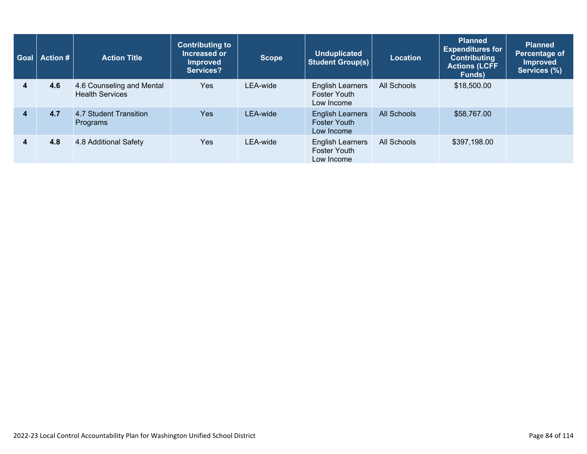| <b>Goal</b>    | <b>Action #</b> | <b>Action Title</b>                                 | <b>Contributing to</b><br>Increased or<br><b>Improved</b><br>Services? | <b>Scope</b> | <b>Unduplicated</b><br><b>Student Group(s)</b>               | Location    | Planned<br><b>Expenditures for</b><br><b>Contributing</b><br><b>Actions (LCFF</b><br>Funds) | <b>Planned</b><br>Percentage of<br>Improved<br>Services (%) |
|----------------|-----------------|-----------------------------------------------------|------------------------------------------------------------------------|--------------|--------------------------------------------------------------|-------------|---------------------------------------------------------------------------------------------|-------------------------------------------------------------|
| $\overline{4}$ | 4.6             | 4.6 Counseling and Mental<br><b>Health Services</b> | <b>Yes</b>                                                             | LEA-wide     | <b>English Learners</b><br><b>Foster Youth</b><br>Low Income | All Schools | \$18,500.00                                                                                 |                                                             |
| $\overline{4}$ | 4.7             | 4.7 Student Transition<br><b>Programs</b>           | <b>Yes</b>                                                             | LEA-wide     | <b>English Learners</b><br><b>Foster Youth</b><br>Low Income | All Schools | \$58,767.00                                                                                 |                                                             |
| $\overline{4}$ | 4.8             | 4.8 Additional Safety                               | <b>Yes</b>                                                             | LEA-wide     | <b>English Learners</b><br><b>Foster Youth</b><br>Low Income | All Schools | \$397,198.00                                                                                |                                                             |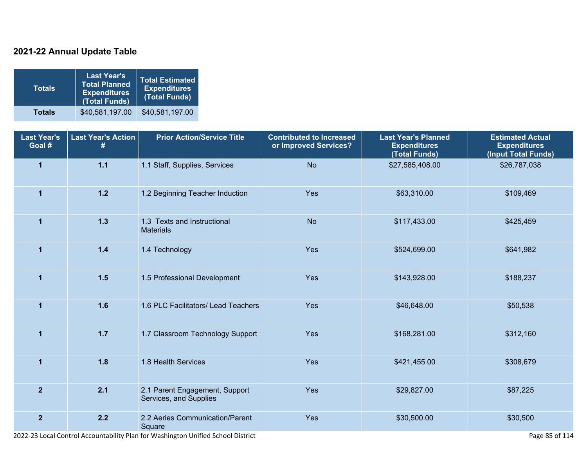### **2021-22 Annual Update Table**

| <b>Totals</b> | <b>Last Year's</b><br><b>Total Planned</b><br><b>Expenditures</b><br>(Total Funds) | Total Estimated<br><b>Expenditures</b><br>(Total Funds) |
|---------------|------------------------------------------------------------------------------------|---------------------------------------------------------|
| <b>Totals</b> | \$40,581,197.00                                                                    | \$40,581,197.00                                         |

| <b>Last Year's</b><br>Goal # | <b>Last Year's Action</b><br># | <b>Prior Action/Service Title</b>                        | <b>Contributed to Increased</b><br>or Improved Services? | <b>Last Year's Planned</b><br><b>Expenditures</b><br>(Total Funds) | <b>Estimated Actual</b><br><b>Expenditures</b><br>(Input Total Funds) |
|------------------------------|--------------------------------|----------------------------------------------------------|----------------------------------------------------------|--------------------------------------------------------------------|-----------------------------------------------------------------------|
| $\mathbf{1}$                 | $1.1$                          | 1.1 Staff, Supplies, Services                            | <b>No</b>                                                | \$27,585,408.00                                                    | \$26,787,038                                                          |
| $\overline{1}$               | $1.2$                          | 1.2 Beginning Teacher Induction                          | Yes                                                      | \$63,310.00                                                        | \$109,469                                                             |
| $\mathbf{1}$                 | $1.3$                          | 1.3 Texts and Instructional<br><b>Materials</b>          | <b>No</b>                                                | \$117,433.00                                                       | \$425,459                                                             |
| $\blacktriangleleft$         | $1.4$                          | 1.4 Technology                                           | Yes                                                      | \$524,699.00                                                       | \$641,982                                                             |
| $\blacktriangleleft$         | 1.5                            | 1.5 Professional Development                             | Yes                                                      | \$143,928.00                                                       | \$188,237                                                             |
| $\mathbf{1}$                 | 1.6                            | 1.6 PLC Facilitators/ Lead Teachers                      | <b>Yes</b>                                               | \$46,648.00                                                        | \$50,538                                                              |
| $\mathbf{1}$                 | $1.7$                          | 1.7 Classroom Technology Support                         | Yes                                                      | \$168,281.00                                                       | \$312,160                                                             |
| $\blacktriangleleft$         | 1.8                            | 1.8 Health Services                                      | Yes                                                      | \$421,455.00                                                       | \$308,679                                                             |
| $\overline{2}$               | 2.1                            | 2.1 Parent Engagement, Support<br>Services, and Supplies | Yes                                                      | \$29,827.00                                                        | \$87,225                                                              |
| $\mathbf{2}$                 | 2.2                            | 2.2 Aeries Communication/Parent<br>Square                | Yes                                                      | \$30,500.00                                                        | \$30,500                                                              |

2022-23 Local Control Accountability Plan for Washington Unified School District Page 85 of 114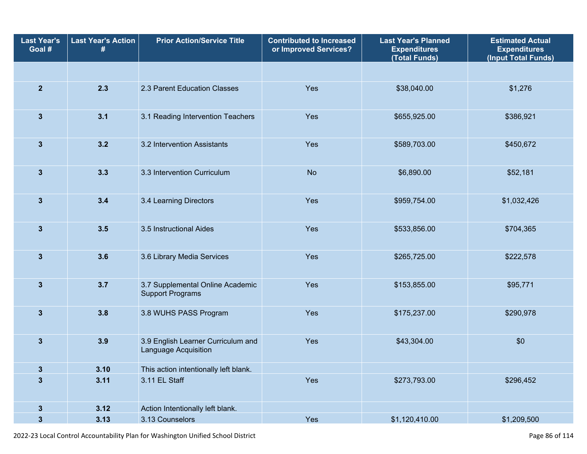| <b>Last Year's</b><br>Goal # | <b>Last Year's Action</b><br># | <b>Prior Action/Service Title</b>                           | <b>Contributed to Increased</b><br>or Improved Services? | <b>Last Year's Planned</b><br><b>Expenditures</b><br>(Total Funds) | <b>Estimated Actual</b><br><b>Expenditures</b><br>(Input Total Funds) |
|------------------------------|--------------------------------|-------------------------------------------------------------|----------------------------------------------------------|--------------------------------------------------------------------|-----------------------------------------------------------------------|
|                              |                                |                                                             |                                                          |                                                                    |                                                                       |
| $\overline{2}$               | 2.3                            | 2.3 Parent Education Classes                                | Yes                                                      | \$38,040.00                                                        | \$1,276                                                               |
| $\mathbf{3}$                 | 3.1                            | 3.1 Reading Intervention Teachers                           | Yes                                                      | \$655,925.00                                                       | \$386,921                                                             |
| $\mathbf{3}$                 | 3.2                            | 3.2 Intervention Assistants                                 | Yes                                                      | \$589,703.00                                                       | \$450,672                                                             |
| $\mathbf{3}$                 | 3.3                            | 3.3 Intervention Curriculum                                 | <b>No</b>                                                | \$6,890.00                                                         | \$52,181                                                              |
| $\mathbf{3}$                 | 3.4                            | 3.4 Learning Directors                                      | Yes                                                      | \$959,754.00                                                       | \$1,032,426                                                           |
| $\mathbf{3}$                 | 3.5                            | 3.5 Instructional Aides                                     | Yes                                                      | \$533,856.00                                                       | \$704,365                                                             |
| $\mathbf{3}$                 | 3.6                            | 3.6 Library Media Services                                  | Yes                                                      | \$265,725.00                                                       | \$222,578                                                             |
| $\mathbf{3}$                 | 3.7                            | 3.7 Supplemental Online Academic<br><b>Support Programs</b> | Yes                                                      | \$153,855.00                                                       | \$95,771                                                              |
| $\mathbf{3}$                 | 3.8                            | 3.8 WUHS PASS Program                                       | Yes                                                      | \$175,237.00                                                       | \$290,978                                                             |
| $\mathbf{3}$                 | 3.9                            | 3.9 English Learner Curriculum and<br>Language Acquisition  | Yes                                                      | \$43,304.00                                                        | \$0                                                                   |
| $\mathbf{3}$                 | 3.10                           | This action intentionally left blank.                       |                                                          |                                                                    |                                                                       |
| $\mathbf{3}$                 | 3.11                           | 3.11 EL Staff                                               | Yes                                                      | \$273,793.00                                                       | \$296,452                                                             |
| $\mathbf{3}$                 | 3.12                           | Action Intentionally left blank.                            |                                                          |                                                                    |                                                                       |
| $\overline{\mathbf{3}}$      | 3.13                           | 3.13 Counselors                                             | Yes                                                      | \$1,120,410.00                                                     | \$1,209,500                                                           |

2022-23 Local Control Accountability Plan for Washington Unified School District Page 86 of 114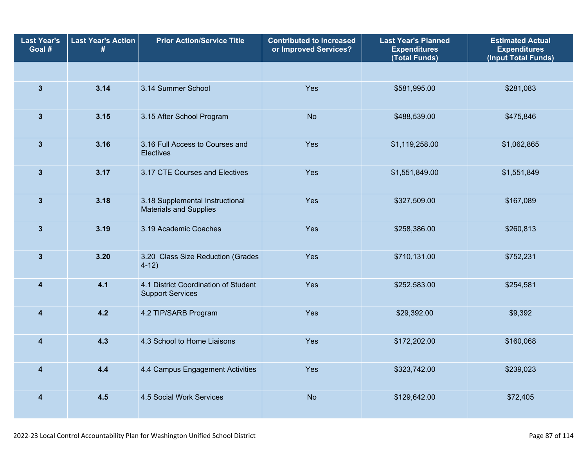| <b>Last Year's</b><br>Goal # | <b>Last Year's Action</b><br># | <b>Prior Action/Service Title</b>                                | <b>Contributed to Increased</b><br>or Improved Services? | <b>Last Year's Planned</b><br><b>Expenditures</b><br>(Total Funds) | <b>Estimated Actual</b><br><b>Expenditures</b><br>(Input Total Funds) |
|------------------------------|--------------------------------|------------------------------------------------------------------|----------------------------------------------------------|--------------------------------------------------------------------|-----------------------------------------------------------------------|
|                              |                                |                                                                  |                                                          |                                                                    |                                                                       |
| $\overline{3}$               | 3.14                           | 3.14 Summer School                                               | Yes                                                      | \$581,995.00                                                       | \$281,083                                                             |
| $\mathbf{3}$                 | 3.15                           | 3.15 After School Program                                        | <b>No</b>                                                | \$488,539.00                                                       | \$475,846                                                             |
| $\mathbf{3}$                 | 3.16                           | 3.16 Full Access to Courses and<br>Electives                     | Yes                                                      | \$1,119,258.00                                                     | \$1,062,865                                                           |
| $\mathbf{3}$                 | 3.17                           | 3.17 CTE Courses and Electives                                   | Yes                                                      | \$1,551,849.00                                                     | \$1,551,849                                                           |
| $\mathbf{3}$                 | 3.18                           | 3.18 Supplemental Instructional<br><b>Materials and Supplies</b> | Yes                                                      | \$327,509.00                                                       | \$167,089                                                             |
| $\mathbf{3}$                 | 3.19                           | 3.19 Academic Coaches                                            | Yes                                                      | \$258,386.00                                                       | \$260,813                                                             |
| $\mathbf{3}$                 | 3.20                           | 3.20 Class Size Reduction (Grades<br>$4-12)$                     | Yes                                                      | \$710,131.00                                                       | \$752,231                                                             |
| $\overline{\mathbf{4}}$      | 4.1                            | 4.1 District Coordination of Student<br><b>Support Services</b>  | Yes                                                      | \$252,583.00                                                       | \$254,581                                                             |
| $\overline{\mathbf{4}}$      | 4.2                            | 4.2 TIP/SARB Program                                             | Yes                                                      | \$29,392.00                                                        | \$9,392                                                               |
| $\overline{\mathbf{4}}$      | 4.3                            | 4.3 School to Home Liaisons                                      | Yes                                                      | \$172,202.00                                                       | \$160,068                                                             |
| 4                            | 4.4                            | 4.4 Campus Engagement Activities                                 | Yes                                                      | \$323,742.00                                                       | \$239,023                                                             |
| $\overline{\mathbf{4}}$      | 4.5                            | 4.5 Social Work Services                                         | <b>No</b>                                                | \$129,642.00                                                       | \$72,405                                                              |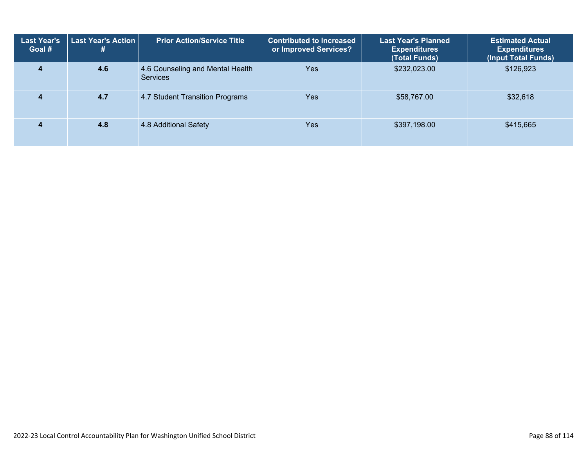| <b>Last Year's</b><br>Goal # | <b>Last Year's Action</b><br># | <b>Prior Action/Service Title</b>                   | <b>Contributed to Increased</b><br>or Improved Services? | <b>Last Year's Planned</b><br><b>Expenditures</b><br>(Total Funds) | <b>Estimated Actual</b><br><b>Expenditures</b><br>(Input Total Funds) |
|------------------------------|--------------------------------|-----------------------------------------------------|----------------------------------------------------------|--------------------------------------------------------------------|-----------------------------------------------------------------------|
| $\overline{\mathbf{4}}$      | 4.6                            | 4.6 Counseling and Mental Health<br><b>Services</b> | <b>Yes</b>                                               | \$232,023.00                                                       | \$126,923                                                             |
|                              | 4.7                            | 4.7 Student Transition Programs                     | <b>Yes</b>                                               | \$58,767.00                                                        | \$32,618                                                              |
|                              | 4.8                            | 4.8 Additional Safety                               | Yes                                                      | \$397,198.00                                                       | \$415,665                                                             |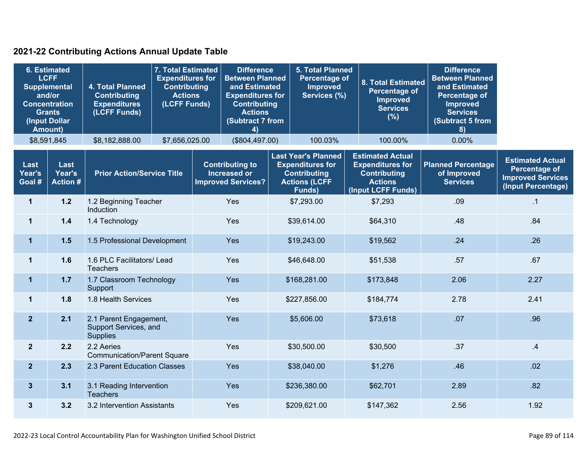### **2021-22 Contributing Actions Annual Update Table**

|                          | <b>6. Estimated</b><br><b>LCFF</b><br><b>Supplemental</b><br>and/or<br><b>Concentration</b><br>Grants<br>(Input Dollar<br><b>Amount)</b> | 4. Total Planned<br><b>Contributing</b><br><b>Expenditures</b><br>(LCFF Funds) | 7. Total Estimated<br><b>Expenditures for</b><br><b>Contributing</b><br><b>Actions</b><br>(LCFF Funds) |                                                                            | <b>Difference</b><br><b>Between Planned</b><br>and Estimated<br><b>Expenditures for</b><br><b>Contributing</b><br><b>Actions</b><br>(Subtract 7 from<br>4) | <b>5. Total Planned</b><br>Percentage of<br><b>Improved</b><br>Services (%)                                    | <b>8. Total Estimated</b><br><b>Percentage of</b><br><b>Improved</b><br><b>Services</b><br>(%)                    | <b>Difference</b><br><b>Between Planned</b><br>and Estimated<br>Percentage of<br><b>Improved</b><br><b>Services</b><br>(Subtract 5 from<br>8) |                                                                                                   |
|--------------------------|------------------------------------------------------------------------------------------------------------------------------------------|--------------------------------------------------------------------------------|--------------------------------------------------------------------------------------------------------|----------------------------------------------------------------------------|------------------------------------------------------------------------------------------------------------------------------------------------------------|----------------------------------------------------------------------------------------------------------------|-------------------------------------------------------------------------------------------------------------------|-----------------------------------------------------------------------------------------------------------------------------------------------|---------------------------------------------------------------------------------------------------|
|                          | \$8,591,845                                                                                                                              | \$8,182,888.00                                                                 | \$7,656,025.00                                                                                         |                                                                            | (\$804,497.00)                                                                                                                                             | 100.03%                                                                                                        | 100.00%                                                                                                           | $0.00\%$                                                                                                                                      |                                                                                                   |
| Last<br>Year's<br>Goal # | Last<br>Year's<br><b>Action #</b>                                                                                                        | <b>Prior Action/Service Title</b>                                              |                                                                                                        | <b>Contributing to</b><br><b>Increased or</b><br><b>Improved Services?</b> |                                                                                                                                                            | <b>Last Year's Planned</b><br><b>Expenditures for</b><br><b>Contributing</b><br><b>Actions (LCFF</b><br>Funds) | <b>Estimated Actual</b><br><b>Expenditures for</b><br><b>Contributing</b><br><b>Actions</b><br>(Input LCFF Funds) | <b>Planned Percentage</b><br>of Improved<br><b>Services</b>                                                                                   | <b>Estimated Actual</b><br><b>Percentage of</b><br><b>Improved Services</b><br>(Input Percentage) |
| $\mathbf{1}$             | $1.2$                                                                                                                                    | 1.2 Beginning Teacher<br>Induction                                             |                                                                                                        | Yes                                                                        |                                                                                                                                                            | \$7,293.00                                                                                                     | \$7,293                                                                                                           | .09                                                                                                                                           | $\cdot$ 1                                                                                         |
| $\mathbf 1$              | 1.4                                                                                                                                      | 1.4 Technology                                                                 |                                                                                                        | Yes                                                                        |                                                                                                                                                            | \$39,614.00                                                                                                    | \$64,310                                                                                                          | .48                                                                                                                                           | .84                                                                                               |
| $\mathbf{1}$             | 1.5                                                                                                                                      | 1.5 Professional Development                                                   |                                                                                                        | Yes                                                                        |                                                                                                                                                            | \$19,243.00                                                                                                    | \$19,562                                                                                                          | .24                                                                                                                                           | .26                                                                                               |
| $\mathbf{1}$             | 1.6                                                                                                                                      | 1.6 PLC Facilitators/ Lead<br><b>Teachers</b>                                  |                                                                                                        | Yes                                                                        |                                                                                                                                                            | \$46,648.00                                                                                                    | \$51,538                                                                                                          | .57                                                                                                                                           | .67                                                                                               |
| $\mathbf{1}$             | 1.7                                                                                                                                      | 1.7 Classroom Technology<br>Support                                            |                                                                                                        | Yes                                                                        |                                                                                                                                                            | \$168,281.00                                                                                                   | \$173,848                                                                                                         | 2.06                                                                                                                                          | 2.27                                                                                              |
| $\mathbf{1}$             | 1.8                                                                                                                                      | 1.8 Health Services                                                            |                                                                                                        | Yes                                                                        |                                                                                                                                                            | \$227,856.00                                                                                                   | \$184,774                                                                                                         | 2.78                                                                                                                                          | 2.41                                                                                              |
| $\overline{2}$           | 2.1                                                                                                                                      | 2.1 Parent Engagement,<br>Support Services, and<br><b>Supplies</b>             |                                                                                                        | Yes                                                                        |                                                                                                                                                            | \$5,606.00                                                                                                     | \$73,618                                                                                                          | .07                                                                                                                                           | .96                                                                                               |
| $\overline{2}$           | 2.2                                                                                                                                      | 2.2 Aeries<br><b>Communication/Parent Square</b>                               |                                                                                                        | Yes                                                                        |                                                                                                                                                            | \$30,500.00                                                                                                    | \$30,500                                                                                                          | .37                                                                                                                                           | $\mathbf{A}$                                                                                      |
| 2 <sup>2</sup>           | 2.3                                                                                                                                      | 2.3 Parent Education Classes                                                   |                                                                                                        | Yes                                                                        |                                                                                                                                                            | \$38,040.00                                                                                                    | \$1,276                                                                                                           | .46                                                                                                                                           | .02                                                                                               |
| 3 <sup>5</sup>           | 3.1                                                                                                                                      | 3.1 Reading Intervention<br><b>Teachers</b>                                    |                                                                                                        | Yes                                                                        |                                                                                                                                                            | \$236,380.00                                                                                                   | \$62,701                                                                                                          | 2.89                                                                                                                                          | .82                                                                                               |
| $3\phantom{a}$           | 3.2                                                                                                                                      | 3.2 Intervention Assistants                                                    |                                                                                                        | Yes                                                                        |                                                                                                                                                            | \$209,621.00                                                                                                   | \$147,362                                                                                                         | 2.56                                                                                                                                          | 1.92                                                                                              |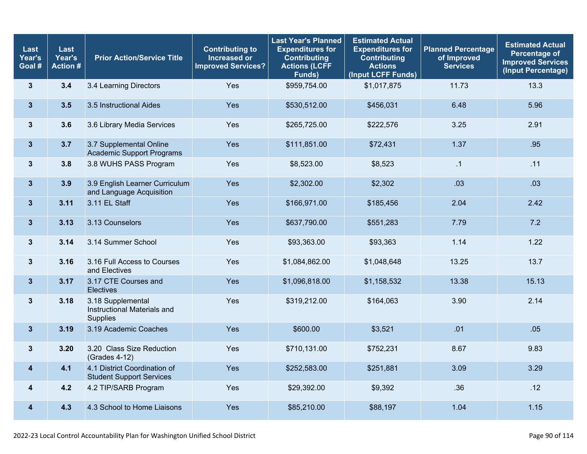| Last<br>Year's<br>Goal # | Last<br>Year's<br><b>Action#</b> | <b>Prior Action/Service Title</b>                               | <b>Contributing to</b><br>Increased or<br><b>Improved Services?</b> | <b>Last Year's Planned</b><br><b>Expenditures for</b><br><b>Contributing</b><br><b>Actions (LCFF</b><br>Funds) | <b>Estimated Actual</b><br><b>Expenditures for</b><br><b>Contributing</b><br><b>Actions</b><br>(Input LCFF Funds) | <b>Planned Percentage</b><br>of Improved<br><b>Services</b> | <b>Estimated Actual</b><br><b>Percentage of</b><br><b>Improved Services</b><br>(Input Percentage) |
|--------------------------|----------------------------------|-----------------------------------------------------------------|---------------------------------------------------------------------|----------------------------------------------------------------------------------------------------------------|-------------------------------------------------------------------------------------------------------------------|-------------------------------------------------------------|---------------------------------------------------------------------------------------------------|
| $\mathbf{3}$             | 3.4                              | 3.4 Learning Directors                                          | Yes                                                                 | \$959,754.00                                                                                                   | \$1,017,875                                                                                                       | 11.73                                                       | 13.3                                                                                              |
| $\mathbf{3}$             | 3.5                              | 3.5 Instructional Aides                                         | Yes                                                                 | \$530,512.00                                                                                                   | \$456,031                                                                                                         | 6.48                                                        | 5.96                                                                                              |
| $\overline{\mathbf{3}}$  | 3.6                              | 3.6 Library Media Services                                      | Yes                                                                 | \$265,725.00                                                                                                   | \$222,576                                                                                                         | 3.25                                                        | 2.91                                                                                              |
| $\overline{\mathbf{3}}$  | 3.7                              | 3.7 Supplemental Online<br><b>Academic Support Programs</b>     | Yes                                                                 | \$111,851.00                                                                                                   | \$72,431                                                                                                          | 1.37                                                        | .95                                                                                               |
| $\mathbf{3}$             | 3.8                              | 3.8 WUHS PASS Program                                           | Yes                                                                 | \$8,523.00                                                                                                     | \$8,523                                                                                                           | $\cdot$ 1                                                   | .11                                                                                               |
| $\overline{\mathbf{3}}$  | 3.9                              | 3.9 English Learner Curriculum<br>and Language Acquisition      | Yes                                                                 | \$2,302.00                                                                                                     | \$2,302                                                                                                           | .03                                                         | .03                                                                                               |
| $\overline{\mathbf{3}}$  | 3.11                             | 3.11 EL Staff                                                   | Yes                                                                 | \$166,971.00                                                                                                   | \$185,456                                                                                                         | 2.04                                                        | 2.42                                                                                              |
| 3 <sup>1</sup>           | 3.13                             | 3.13 Counselors                                                 | Yes                                                                 | \$637,790.00                                                                                                   | \$551,283                                                                                                         | 7.79                                                        | 7.2                                                                                               |
| $\mathbf{3}$             | 3.14                             | 3.14 Summer School                                              | Yes                                                                 | \$93,363.00                                                                                                    | \$93,363                                                                                                          | 1.14                                                        | 1.22                                                                                              |
| 3                        | 3.16                             | 3.16 Full Access to Courses<br>and Electives                    | Yes                                                                 | \$1,084,862.00                                                                                                 | \$1,048,648                                                                                                       | 13.25                                                       | 13.7                                                                                              |
| $\overline{\mathbf{3}}$  | 3.17                             | 3.17 CTE Courses and<br><b>Electives</b>                        | Yes                                                                 | \$1,096,818.00                                                                                                 | \$1,158,532                                                                                                       | 13.38                                                       | 15.13                                                                                             |
| $\mathbf{3}$             | 3.18                             | 3.18 Supplemental<br>Instructional Materials and<br>Supplies    | Yes                                                                 | \$319,212.00                                                                                                   | \$164,063                                                                                                         | 3.90                                                        | 2.14                                                                                              |
| $\mathbf{3}$             | 3.19                             | 3.19 Academic Coaches                                           | Yes                                                                 | \$600.00                                                                                                       | \$3,521                                                                                                           | .01                                                         | .05                                                                                               |
| $\mathbf{3}$             | 3.20                             | 3.20 Class Size Reduction<br>(Grades 4-12)                      | Yes                                                                 | \$710,131.00                                                                                                   | \$752,231                                                                                                         | 8.67                                                        | 9.83                                                                                              |
| 4                        | 4.1                              | 4.1 District Coordination of<br><b>Student Support Services</b> | Yes                                                                 | \$252,583.00                                                                                                   | \$251,881                                                                                                         | 3.09                                                        | 3.29                                                                                              |
| 4                        | 4.2                              | 4.2 TIP/SARB Program                                            | Yes                                                                 | \$29,392.00                                                                                                    | \$9,392                                                                                                           | .36                                                         | .12                                                                                               |
| 4                        | 4.3                              | 4.3 School to Home Liaisons                                     | Yes                                                                 | \$85,210.00                                                                                                    | \$88,197                                                                                                          | 1.04                                                        | 1.15                                                                                              |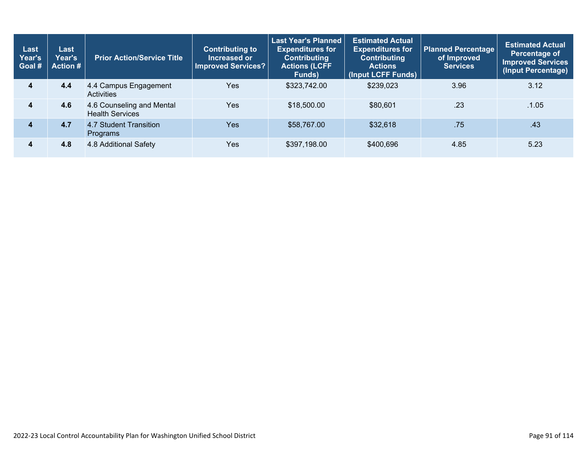| Last<br>Year's<br>Goal # | Last<br>Year's<br><b>Action #</b> | <b>Prior Action/Service Title</b>                   | <b>Contributing to</b><br>Increased or<br><b>Improved Services?</b> | <b>Last Year's Planned</b><br><b>Expenditures for</b><br><b>Contributing</b><br><b>Actions (LCFF</b><br>Funds) | <b>Estimated Actual</b><br><b>Expenditures for</b><br><b>Contributing</b><br><b>Actions</b><br>(Input LCFF Funds) | <b>Planned Percentage</b><br>of Improved<br><b>Services</b> | <b>Estimated Actual</b><br>Percentage of<br><b>Improved Services</b><br>(Input Percentage) |
|--------------------------|-----------------------------------|-----------------------------------------------------|---------------------------------------------------------------------|----------------------------------------------------------------------------------------------------------------|-------------------------------------------------------------------------------------------------------------------|-------------------------------------------------------------|--------------------------------------------------------------------------------------------|
| 4                        | 4.4                               | 4.4 Campus Engagement<br><b>Activities</b>          | Yes                                                                 | \$323,742.00                                                                                                   | \$239,023                                                                                                         | 3.96                                                        | 3.12                                                                                       |
| 4                        | 4.6                               | 4.6 Counseling and Mental<br><b>Health Services</b> | Yes                                                                 | \$18,500.00                                                                                                    | \$80,601                                                                                                          | .23                                                         | .1.05                                                                                      |
| 4                        | 4.7                               | 4.7 Student Transition<br><b>Programs</b>           | <b>Yes</b>                                                          | \$58,767.00                                                                                                    | \$32,618                                                                                                          | .75                                                         | .43                                                                                        |
| 4                        | 4.8                               | 4.8 Additional Safety                               | Yes                                                                 | \$397,198.00                                                                                                   | \$400,696                                                                                                         | 4.85                                                        | 5.23                                                                                       |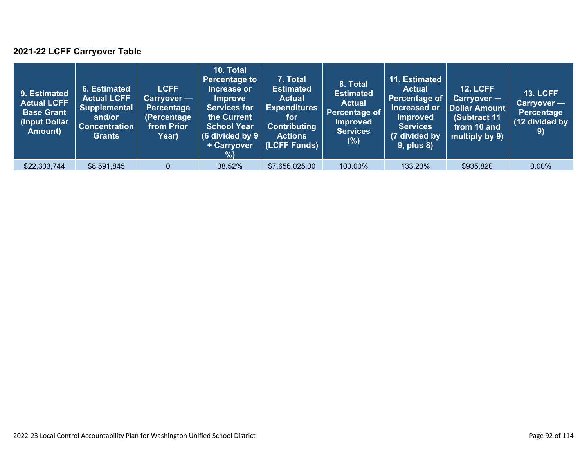### **2021-22 LCFF Carryover Table**

| 9. Estimated<br><b>Actual LCFF</b><br><b>Base Grant</b><br>(Input Dollar)<br>Amount) | 6. Estimated<br><b>Actual LCFF</b><br><b>Supplemental</b><br>and/or<br><b>Concentration</b><br><b>Grants</b> | <b>LCFF</b><br>Carryover —<br>Percentage<br>(Percentage<br>from Prior<br>Year) | 10. Total<br><b>Percentage to</b><br>Increase or<br><b>Improve</b><br><b>Services for</b><br>the Current<br><b>School Year</b><br>(6 divided by $9$ $ $<br>+ Carryover<br>% | 7. Total<br><b>Estimated</b><br><b>Actual</b><br><b>Expenditures</b><br>for.<br><b>Contributing</b><br><b>Actions</b><br>(LCFF Funds) | 8. Total<br><b>Estimated</b><br><b>Actual</b><br>Percentage of<br><b>Improved</b><br><b>Services</b><br>$(\%)$ | 11. Estimated<br><b>Actual</b><br><b>Percentage of</b><br>Increased or<br><b>Improved</b><br><b>Services</b><br>(7 divided by<br>$9$ , plus 8) | <b>12. LCFF</b><br>Carryover -<br>Dollar Amount<br>(Subtract 11<br>from 10 and<br>multiply by 9) | <b>13. LCFF</b><br>Carryover —<br><b>Percentage</b><br>(12 divided by<br>$\left( 9\right)$ |
|--------------------------------------------------------------------------------------|--------------------------------------------------------------------------------------------------------------|--------------------------------------------------------------------------------|-----------------------------------------------------------------------------------------------------------------------------------------------------------------------------|---------------------------------------------------------------------------------------------------------------------------------------|----------------------------------------------------------------------------------------------------------------|------------------------------------------------------------------------------------------------------------------------------------------------|--------------------------------------------------------------------------------------------------|--------------------------------------------------------------------------------------------|
| \$22,303,744                                                                         | \$8,591,845                                                                                                  | $\overline{0}$                                                                 | 38.52%                                                                                                                                                                      | \$7,656,025.00                                                                                                                        | 100.00%                                                                                                        | 133.23%                                                                                                                                        | \$935,820                                                                                        | $0.00\%$                                                                                   |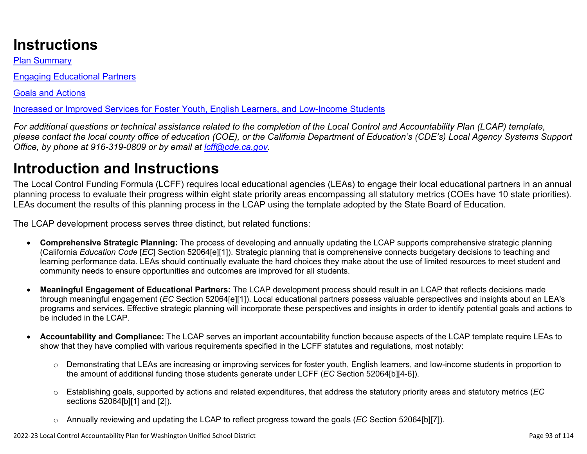# **Instructions**

Plan Summary

Engaging Educational Partners

Goals and Actions

Increased or Improved Services for Foster Youth, English Learners, and Low-Income Students

*For additional questions or technical assistance related to the completion of the Local Control and Accountability Plan (LCAP) template, please contact the local county office of education (COE), or the California Department of Education's (CDE's) Local Agency Systems Support Office, by phone at 916-319-0809 or by email at [lcff@cde.ca.gov](mailto:lcff@cde.ca.gov).*

# **Introduction and Instructions**

The Local Control Funding Formula (LCFF) requires local educational agencies (LEAs) to engage their local educational partners in an annual planning process to evaluate their progress within eight state priority areas encompassing all statutory metrics (COEs have 10 state priorities). LEAs document the results of this planning process in the LCAP using the template adopted by the State Board of Education.

The LCAP development process serves three distinct, but related functions:

- **Comprehensive Strategic Planning:** The process of developing and annually updating the LCAP supports comprehensive strategic planning (California *Education Code* [*EC*] Section 52064[e][1]). Strategic planning that is comprehensive connects budgetary decisions to teaching and learning performance data. LEAs should continually evaluate the hard choices they make about the use of limited resources to meet student and community needs to ensure opportunities and outcomes are improved for all students.
- **Meaningful Engagement of Educational Partners:** The LCAP development process should result in an LCAP that reflects decisions made through meaningful engagement (*EC* Section 52064[e][1]). Local educational partners possess valuable perspectives and insights about an LEA's programs and services. Effective strategic planning will incorporate these perspectives and insights in order to identify potential goals and actions to be included in the LCAP.
- **Accountability and Compliance:** The LCAP serves an important accountability function because aspects of the LCAP template require LEAs to show that they have complied with various requirements specified in the LCFF statutes and regulations, most notably:
	- o Demonstrating that LEAs are increasing or improving services for foster youth, English learners, and low-income students in proportion to the amount of additional funding those students generate under LCFF (*EC* Section 52064[b][4-6]).
	- o Establishing goals, supported by actions and related expenditures, that address the statutory priority areas and statutory metrics (*EC* sections 52064[b][1] and [2]).
	- o Annually reviewing and updating the LCAP to reflect progress toward the goals (*EC* Section 52064[b][7]).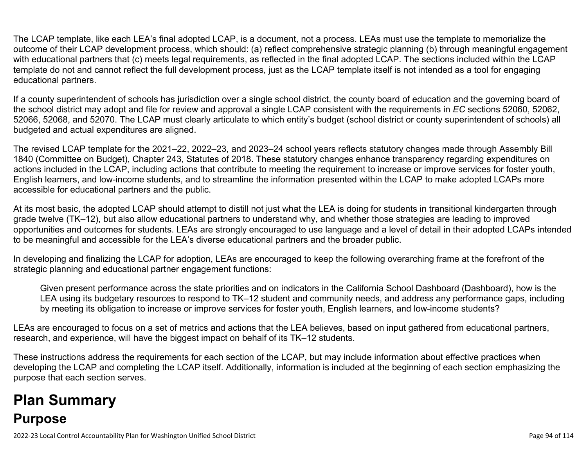The LCAP template, like each LEA's final adopted LCAP, is a document, not a process. LEAs must use the template to memorialize the outcome of their LCAP development process, which should: (a) reflect comprehensive strategic planning (b) through meaningful engagement with educational partners that (c) meets legal requirements, as reflected in the final adopted LCAP. The sections included within the LCAP template do not and cannot reflect the full development process, just as the LCAP template itself is not intended as a tool for engaging educational partners.

If a county superintendent of schools has jurisdiction over a single school district, the county board of education and the governing board of the school district may adopt and file for review and approval a single LCAP consistent with the requirements in *EC* sections 52060, 52062, 52066, 52068, and 52070. The LCAP must clearly articulate to which entity's budget (school district or county superintendent of schools) all budgeted and actual expenditures are aligned.

The revised LCAP template for the 2021–22, 2022–23, and 2023–24 school years reflects statutory changes made through Assembly Bill 1840 (Committee on Budget), Chapter 243, Statutes of 2018. These statutory changes enhance transparency regarding expenditures on actions included in the LCAP, including actions that contribute to meeting the requirement to increase or improve services for foster youth, English learners, and low-income students, and to streamline the information presented within the LCAP to make adopted LCAPs more accessible for educational partners and the public.

At its most basic, the adopted LCAP should attempt to distill not just what the LEA is doing for students in transitional kindergarten through grade twelve (TK–12), but also allow educational partners to understand why, and whether those strategies are leading to improved opportunities and outcomes for students. LEAs are strongly encouraged to use language and a level of detail in their adopted LCAPs intended to be meaningful and accessible for the LEA's diverse educational partners and the broader public.

In developing and finalizing the LCAP for adoption, LEAs are encouraged to keep the following overarching frame at the forefront of the strategic planning and educational partner engagement functions:

Given present performance across the state priorities and on indicators in the California School Dashboard (Dashboard), how is the LEA using its budgetary resources to respond to TK–12 student and community needs, and address any performance gaps, including by meeting its obligation to increase or improve services for foster youth, English learners, and low-income students?

LEAs are encouraged to focus on a set of metrics and actions that the LEA believes, based on input gathered from educational partners, research, and experience, will have the biggest impact on behalf of its TK–12 students.

These instructions address the requirements for each section of the LCAP, but may include information about effective practices when developing the LCAP and completing the LCAP itself. Additionally, information is included at the beginning of each section emphasizing the purpose that each section serves.

# **Plan Summary Purpose**

2022-23 Local Control Accountability Plan for Washington Unified School District Page 94 of 114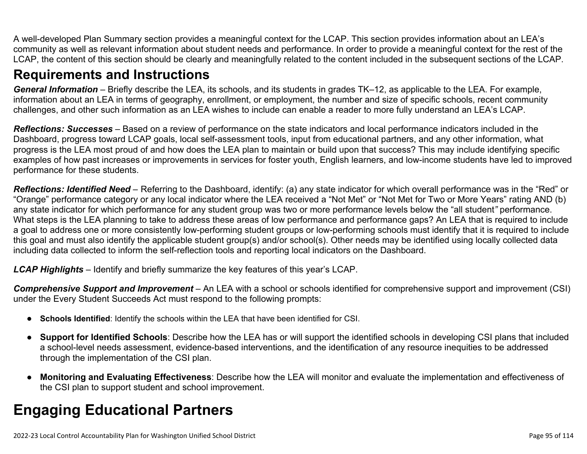A well-developed Plan Summary section provides a meaningful context for the LCAP. This section provides information about an LEA's community as well as relevant information about student needs and performance. In order to provide a meaningful context for the rest of the LCAP, the content of this section should be clearly and meaningfully related to the content included in the subsequent sections of the LCAP.

### **Requirements and Instructions**

*General Information* – Briefly describe the LEA, its schools, and its students in grades TK–12, as applicable to the LEA. For example, information about an LEA in terms of geography, enrollment, or employment, the number and size of specific schools, recent community challenges, and other such information as an LEA wishes to include can enable a reader to more fully understand an LEA's LCAP.

*Reflections: Successes* – Based on a review of performance on the state indicators and local performance indicators included in the Dashboard, progress toward LCAP goals, local self-assessment tools, input from educational partners, and any other information, what progress is the LEA most proud of and how does the LEA plan to maintain or build upon that success? This may include identifying specific examples of how past increases or improvements in services for foster youth, English learners, and low-income students have led to improved performance for these students.

*Reflections: Identified Need* – Referring to the Dashboard, identify: (a) any state indicator for which overall performance was in the "Red" or "Orange" performance category or any local indicator where the LEA received a "Not Met" or "Not Met for Two or More Years" rating AND (b) any state indicator for which performance for any student group was two or more performance levels below the "all student*"* performance. What steps is the LEA planning to take to address these areas of low performance and performance gaps? An LEA that is required to include a goal to address one or more consistently low-performing student groups or low-performing schools must identify that it is required to include this goal and must also identify the applicable student group(s) and/or school(s). Other needs may be identified using locally collected data including data collected to inform the self-reflection tools and reporting local indicators on the Dashboard.

*LCAP Highlights* – Identify and briefly summarize the key features of this year's LCAP.

*Comprehensive Support and Improvement* – An LEA with a school or schools identified for comprehensive support and improvement (CSI) under the Every Student Succeeds Act must respond to the following prompts:

- **Schools Identified**: Identify the schools within the LEA that have been identified for CSI.
- **Support for Identified Schools**: Describe how the LEA has or will support the identified schools in developing CSI plans that included a school-level needs assessment, evidence-based interventions, and the identification of any resource inequities to be addressed through the implementation of the CSI plan.
- **Monitoring and Evaluating Effectiveness**: Describe how the LEA will monitor and evaluate the implementation and effectiveness of the CSI plan to support student and school improvement.

# **Engaging Educational Partners**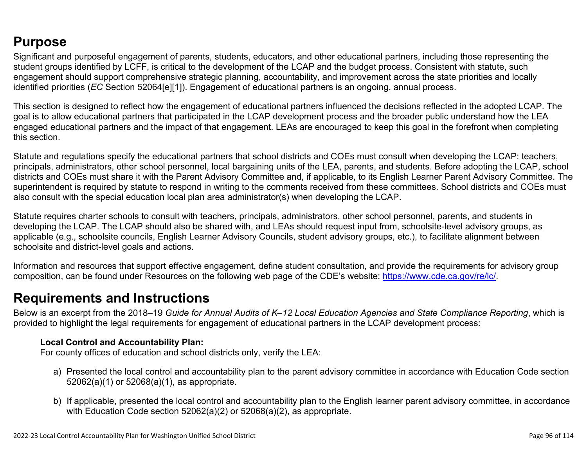## **Purpose**

Significant and purposeful engagement of parents, students, educators, and other educational partners, including those representing the student groups identified by LCFF, is critical to the development of the LCAP and the budget process. Consistent with statute, such engagement should support comprehensive strategic planning, accountability, and improvement across the state priorities and locally identified priorities (*EC* Section 52064[e][1]). Engagement of educational partners is an ongoing, annual process.

This section is designed to reflect how the engagement of educational partners influenced the decisions reflected in the adopted LCAP. The goal is to allow educational partners that participated in the LCAP development process and the broader public understand how the LEA engaged educational partners and the impact of that engagement. LEAs are encouraged to keep this goal in the forefront when completing this section.

Statute and regulations specify the educational partners that school districts and COEs must consult when developing the LCAP: teachers, principals, administrators, other school personnel, local bargaining units of the LEA, parents, and students. Before adopting the LCAP, school districts and COEs must share it with the Parent Advisory Committee and, if applicable, to its English Learner Parent Advisory Committee. The superintendent is required by statute to respond in writing to the comments received from these committees. School districts and COEs must also consult with the special education local plan area administrator(s) when developing the LCAP.

Statute requires charter schools to consult with teachers, principals, administrators, other school personnel, parents, and students in developing the LCAP. The LCAP should also be shared with, and LEAs should request input from, schoolsite-level advisory groups, as applicable (e.g., schoolsite councils, English Learner Advisory Councils, student advisory groups, etc.), to facilitate alignment between schoolsite and district-level goals and actions.

Information and resources that support effective engagement, define student consultation, and provide the requirements for advisory group composition, can be found under Resources on the following web page of the CDE's website: <https://www.cde.ca.gov/re/lc/>.

### **Requirements and Instructions**

Below is an excerpt from the 2018–19 *Guide for Annual Audits of K–12 Local Education Agencies and State Compliance Reporting*, which is provided to highlight the legal requirements for engagement of educational partners in the LCAP development process:

#### **Local Control and Accountability Plan:**

For county offices of education and school districts only, verify the LEA:

- a) Presented the local control and accountability plan to the parent advisory committee in accordance with Education Code section 52062(a)(1) or 52068(a)(1), as appropriate.
- b) If applicable, presented the local control and accountability plan to the English learner parent advisory committee, in accordance with Education Code section 52062(a)(2) or 52068(a)(2), as appropriate.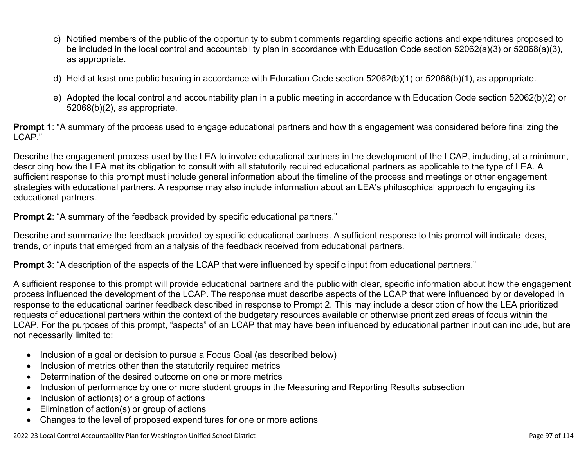- c) Notified members of the public of the opportunity to submit comments regarding specific actions and expenditures proposed to be included in the local control and accountability plan in accordance with Education Code section 52062(a)(3) or 52068(a)(3), as appropriate.
- d) Held at least one public hearing in accordance with Education Code section 52062(b)(1) or 52068(b)(1), as appropriate.
- e) Adopted the local control and accountability plan in a public meeting in accordance with Education Code section 52062(b)(2) or 52068(b)(2), as appropriate.

**Prompt 1**: "A summary of the process used to engage educational partners and how this engagement was considered before finalizing the LCAP."

Describe the engagement process used by the LEA to involve educational partners in the development of the LCAP, including, at a minimum, describing how the LEA met its obligation to consult with all statutorily required educational partners as applicable to the type of LEA. A sufficient response to this prompt must include general information about the timeline of the process and meetings or other engagement strategies with educational partners. A response may also include information about an LEA's philosophical approach to engaging its educational partners.

**Prompt 2:** "A summary of the feedback provided by specific educational partners."

Describe and summarize the feedback provided by specific educational partners. A sufficient response to this prompt will indicate ideas, trends, or inputs that emerged from an analysis of the feedback received from educational partners.

**Prompt 3**: "A description of the aspects of the LCAP that were influenced by specific input from educational partners."

A sufficient response to this prompt will provide educational partners and the public with clear, specific information about how the engagement process influenced the development of the LCAP. The response must describe aspects of the LCAP that were influenced by or developed in response to the educational partner feedback described in response to Prompt 2. This may include a description of how the LEA prioritized requests of educational partners within the context of the budgetary resources available or otherwise prioritized areas of focus within the LCAP. For the purposes of this prompt, "aspects" of an LCAP that may have been influenced by educational partner input can include, but are not necessarily limited to:

- Inclusion of a goal or decision to pursue a Focus Goal (as described below)
- Inclusion of metrics other than the statutorily required metrics
- Determination of the desired outcome on one or more metrics
- Inclusion of performance by one or more student groups in the Measuring and Reporting Results subsection
- Inclusion of action(s) or a group of actions
- Elimination of action(s) or group of actions
- Changes to the level of proposed expenditures for one or more actions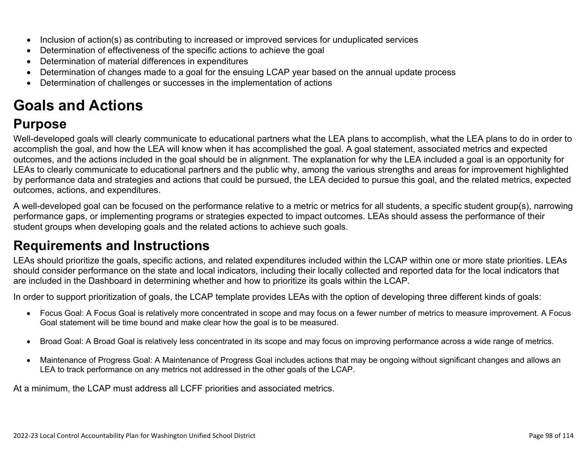- Inclusion of action(s) as contributing to increased or improved services for unduplicated services
- Determination of effectiveness of the specific actions to achieve the goal
- Determination of material differences in expenditures
- Determination of changes made to a goal for the ensuing LCAP year based on the annual update process
- Determination of challenges or successes in the implementation of actions

# **Goals and Actions**

## **Purpose**

Well-developed goals will clearly communicate to educational partners what the LEA plans to accomplish, what the LEA plans to do in order to accomplish the goal, and how the LEA will know when it has accomplished the goal. A goal statement, associated metrics and expected outcomes, and the actions included in the goal should be in alignment. The explanation for why the LEA included a goal is an opportunity for LEAs to clearly communicate to educational partners and the public why, among the various strengths and areas for improvement highlighted by performance data and strategies and actions that could be pursued, the LEA decided to pursue this goal, and the related metrics, expected outcomes, actions, and expenditures.

A well-developed goal can be focused on the performance relative to a metric or metrics for all students, a specific student group(s), narrowing performance gaps, or implementing programs or strategies expected to impact outcomes. LEAs should assess the performance of their student groups when developing goals and the related actions to achieve such goals.

## **Requirements and Instructions**

LEAs should prioritize the goals, specific actions, and related expenditures included within the LCAP within one or more state priorities. LEAs should consider performance on the state and local indicators, including their locally collected and reported data for the local indicators that are included in the Dashboard in determining whether and how to prioritize its goals within the LCAP.

In order to support prioritization of goals, the LCAP template provides LEAs with the option of developing three different kinds of goals:

- Focus Goal: A Focus Goal is relatively more concentrated in scope and may focus on a fewer number of metrics to measure improvement. A Focus Goal statement will be time bound and make clear how the goal is to be measured.
- Broad Goal: A Broad Goal is relatively less concentrated in its scope and may focus on improving performance across a wide range of metrics.
- Maintenance of Progress Goal: A Maintenance of Progress Goal includes actions that may be ongoing without significant changes and allows an LEA to track performance on any metrics not addressed in the other goals of the LCAP.

At a minimum, the LCAP must address all LCFF priorities and associated metrics.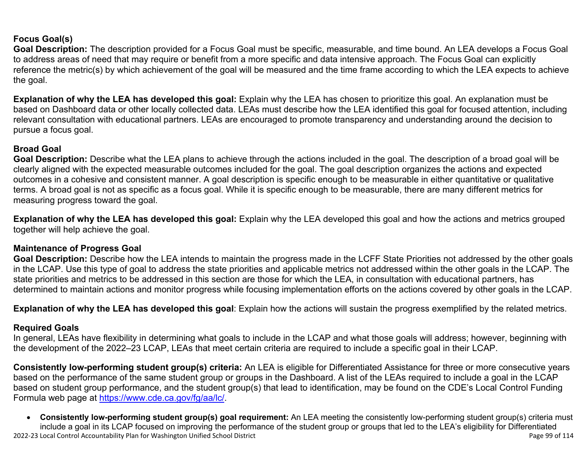#### **Focus Goal(s)**

**Goal Description:** The description provided for a Focus Goal must be specific, measurable, and time bound. An LEA develops a Focus Goal to address areas of need that may require or benefit from a more specific and data intensive approach. The Focus Goal can explicitly reference the metric(s) by which achievement of the goal will be measured and the time frame according to which the LEA expects to achieve the goal.

**Explanation of why the LEA has developed this goal:** Explain why the LEA has chosen to prioritize this goal. An explanation must be based on Dashboard data or other locally collected data. LEAs must describe how the LEA identified this goal for focused attention, including relevant consultation with educational partners. LEAs are encouraged to promote transparency and understanding around the decision to pursue a focus goal.

#### **Broad Goal**

Goal Description: Describe what the LEA plans to achieve through the actions included in the goal. The description of a broad goal will be clearly aligned with the expected measurable outcomes included for the goal. The goal description organizes the actions and expected outcomes in a cohesive and consistent manner. A goal description is specific enough to be measurable in either quantitative or qualitative terms. A broad goal is not as specific as a focus goal. While it is specific enough to be measurable, there are many different metrics for measuring progress toward the goal.

**Explanation of why the LEA has developed this goal:** Explain why the LEA developed this goal and how the actions and metrics grouped together will help achieve the goal.

#### **Maintenance of Progress Goal**

**Goal Description:** Describe how the LEA intends to maintain the progress made in the LCFF State Priorities not addressed by the other goals in the LCAP. Use this type of goal to address the state priorities and applicable metrics not addressed within the other goals in the LCAP. The state priorities and metrics to be addressed in this section are those for which the LEA, in consultation with educational partners, has determined to maintain actions and monitor progress while focusing implementation efforts on the actions covered by other goals in the LCAP.

**Explanation of why the LEA has developed this goal**: Explain how the actions will sustain the progress exemplified by the related metrics.

#### **Required Goals**

In general, LEAs have flexibility in determining what goals to include in the LCAP and what those goals will address; however, beginning with the development of the 2022–23 LCAP, LEAs that meet certain criteria are required to include a specific goal in their LCAP.

**Consistently low-performing student group(s) criteria:** An LEA is eligible for Differentiated Assistance for three or more consecutive years based on the performance of the same student group or groups in the Dashboard. A list of the LEAs required to include a goal in the LCAP based on student group performance, and the student group(s) that lead to identification, may be found on the CDE's Local Control Funding Formula web page at [https://www.cde.ca.gov/fg/aa/lc/.](https://www.cde.ca.gov/fg/aa/lc/)

2022-23 Local Control Accountability Plan for Washington Unified School District **Page 19 of 114** and 2022-23 Local Control Accountability Plan for Washington Unified School District • **Consistently low-performing student group(s) goal requirement:** An LEA meeting the consistently low-performing student group(s) criteria must include a goal in its LCAP focused on improving the performance of the student group or groups that led to the LEA's eligibility for Differentiated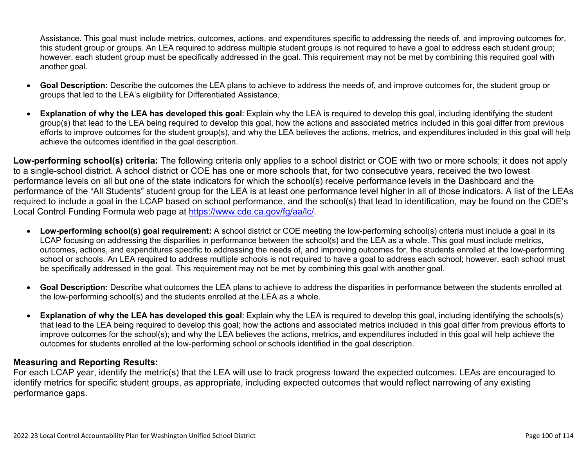Assistance. This goal must include metrics, outcomes, actions, and expenditures specific to addressing the needs of, and improving outcomes for, this student group or groups. An LEA required to address multiple student groups is not required to have a goal to address each student group; however, each student group must be specifically addressed in the goal. This requirement may not be met by combining this required goal with another goal.

- **Goal Description:** Describe the outcomes the LEA plans to achieve to address the needs of, and improve outcomes for, the student group or groups that led to the LEA's eligibility for Differentiated Assistance.
- **Explanation of why the LEA has developed this goal**: Explain why the LEA is required to develop this goal, including identifying the student group(s) that lead to the LEA being required to develop this goal, how the actions and associated metrics included in this goal differ from previous efforts to improve outcomes for the student group(s), and why the LEA believes the actions, metrics, and expenditures included in this goal will help achieve the outcomes identified in the goal description.

**Low-performing school(s) criteria:** The following criteria only applies to a school district or COE with two or more schools; it does not apply to a single-school district. A school district or COE has one or more schools that, for two consecutive years, received the two lowest performance levels on all but one of the state indicators for which the school(s) receive performance levels in the Dashboard and the performance of the "All Students" student group for the LEA is at least one performance level higher in all of those indicators. A list of the LEAs required to include a goal in the LCAP based on school performance, and the school(s) that lead to identification, may be found on the CDE's Local Control Funding Formula web page at [https://www.cde.ca.gov/fg/aa/lc/.](https://www.cde.ca.gov/fg/aa/lc/)

- **Low-performing school(s) goal requirement:** A school district or COE meeting the low-performing school(s) criteria must include a goal in its LCAP focusing on addressing the disparities in performance between the school(s) and the LEA as a whole. This goal must include metrics, outcomes, actions, and expenditures specific to addressing the needs of, and improving outcomes for, the students enrolled at the low-performing school or schools. An LEA required to address multiple schools is not required to have a goal to address each school; however, each school must be specifically addressed in the goal. This requirement may not be met by combining this goal with another goal.
- **Goal Description:** Describe what outcomes the LEA plans to achieve to address the disparities in performance between the students enrolled at the low-performing school(s) and the students enrolled at the LEA as a whole.
- **Explanation of why the LEA has developed this goal**: Explain why the LEA is required to develop this goal, including identifying the schools(s) that lead to the LEA being required to develop this goal; how the actions and associated metrics included in this goal differ from previous efforts to improve outcomes for the school(s); and why the LEA believes the actions, metrics, and expenditures included in this goal will help achieve the outcomes for students enrolled at the low-performing school or schools identified in the goal description.

#### **Measuring and Reporting Results:**

For each LCAP year, identify the metric(s) that the LEA will use to track progress toward the expected outcomes. LEAs are encouraged to identify metrics for specific student groups, as appropriate, including expected outcomes that would reflect narrowing of any existing performance gaps.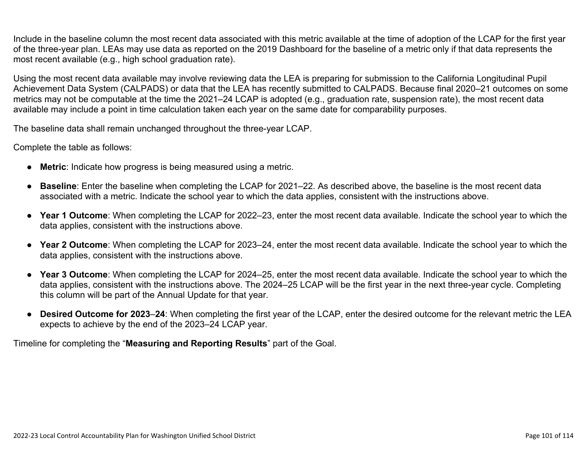Include in the baseline column the most recent data associated with this metric available at the time of adoption of the LCAP for the first year of the three-year plan. LEAs may use data as reported on the 2019 Dashboard for the baseline of a metric only if that data represents the most recent available (e.g., high school graduation rate).

Using the most recent data available may involve reviewing data the LEA is preparing for submission to the California Longitudinal Pupil Achievement Data System (CALPADS) or data that the LEA has recently submitted to CALPADS. Because final 2020–21 outcomes on some metrics may not be computable at the time the 2021–24 LCAP is adopted (e.g., graduation rate, suspension rate), the most recent data available may include a point in time calculation taken each year on the same date for comparability purposes.

The baseline data shall remain unchanged throughout the three-year LCAP.

Complete the table as follows:

- **Metric**: Indicate how progress is being measured using a metric.
- **Baseline**: Enter the baseline when completing the LCAP for 2021–22. As described above, the baseline is the most recent data associated with a metric. Indicate the school year to which the data applies, consistent with the instructions above.
- **Year 1 Outcome**: When completing the LCAP for 2022–23, enter the most recent data available. Indicate the school year to which the data applies, consistent with the instructions above.
- **Year 2 Outcome**: When completing the LCAP for 2023–24, enter the most recent data available. Indicate the school year to which the data applies, consistent with the instructions above.
- **Year 3 Outcome**: When completing the LCAP for 2024–25, enter the most recent data available. Indicate the school year to which the data applies, consistent with the instructions above. The 2024–25 LCAP will be the first year in the next three-year cycle. Completing this column will be part of the Annual Update for that year.
- **Desired Outcome for 2023**–**24**: When completing the first year of the LCAP, enter the desired outcome for the relevant metric the LEA expects to achieve by the end of the 2023–24 LCAP year.

Timeline for completing the "**Measuring and Reporting Results**" part of the Goal.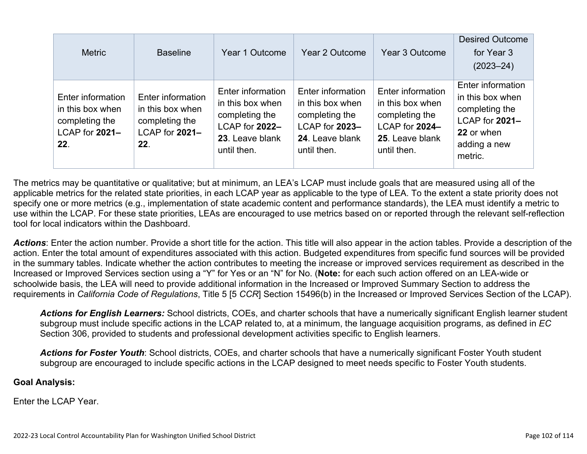| <b>Metric</b>                                                                    | <b>Baseline</b>                                                                  | Year 1 Outcome                                                                                              | Year 2 Outcome                                                                                              | Year 3 Outcome                                                                                              | <b>Desired Outcome</b><br>for Year 3<br>$(2023 - 24)$                                                              |
|----------------------------------------------------------------------------------|----------------------------------------------------------------------------------|-------------------------------------------------------------------------------------------------------------|-------------------------------------------------------------------------------------------------------------|-------------------------------------------------------------------------------------------------------------|--------------------------------------------------------------------------------------------------------------------|
| Enter information<br>in this box when<br>completing the<br>LCAP for 2021-<br>22. | Enter information<br>in this box when<br>completing the<br>LCAP for 2021-<br>22. | Enter information<br>in this box when<br>completing the<br>LCAP for 2022-<br>23. Leave blank<br>until then. | Enter information<br>in this box when<br>completing the<br>LCAP for 2023-<br>24. Leave blank<br>until then. | Enter information<br>in this box when<br>completing the<br>LCAP for 2024-<br>25. Leave blank<br>until then. | Enter information<br>in this box when<br>completing the<br>LCAP for 2021-<br>22 or when<br>adding a new<br>metric. |

The metrics may be quantitative or qualitative; but at minimum, an LEA's LCAP must include goals that are measured using all of the applicable metrics for the related state priorities, in each LCAP year as applicable to the type of LEA. To the extent a state priority does not specify one or more metrics (e.g., implementation of state academic content and performance standards), the LEA must identify a metric to use within the LCAP. For these state priorities, LEAs are encouraged to use metrics based on or reported through the relevant self-reflection tool for local indicators within the Dashboard.

*Actions*: Enter the action number. Provide a short title for the action. This title will also appear in the action tables. Provide a description of the action. Enter the total amount of expenditures associated with this action. Budgeted expenditures from specific fund sources will be provided in the summary tables. Indicate whether the action contributes to meeting the increase or improved services requirement as described in the Increased or Improved Services section using a "Y" for Yes or an "N" for No. (**Note:** for each such action offered on an LEA-wide or schoolwide basis, the LEA will need to provide additional information in the Increased or Improved Summary Section to address the requirements in *California Code of Regulations*, Title 5 [5 *CCR*] Section 15496(b) in the Increased or Improved Services Section of the LCAP).

*Actions for English Learners:* School districts, COEs, and charter schools that have a numerically significant English learner student subgroup must include specific actions in the LCAP related to, at a minimum, the language acquisition programs, as defined in *EC* Section 306, provided to students and professional development activities specific to English learners.

*Actions for Foster Youth*: School districts, COEs, and charter schools that have a numerically significant Foster Youth student subgroup are encouraged to include specific actions in the LCAP designed to meet needs specific to Foster Youth students.

#### **Goal Analysis:**

Enter the LCAP Year.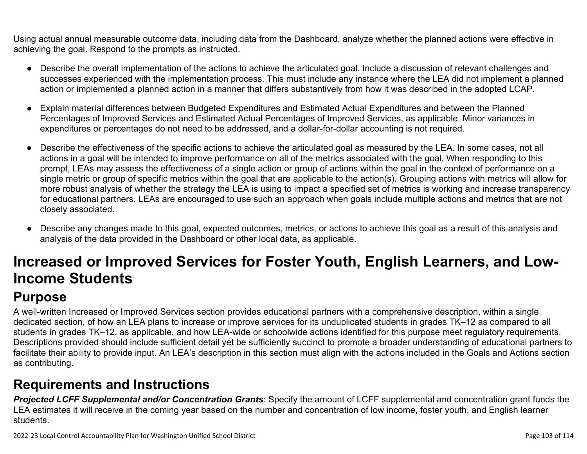Using actual annual measurable outcome data, including data from the Dashboard, analyze whether the planned actions were effective in achieving the goal. Respond to the prompts as instructed.

- Describe the overall implementation of the actions to achieve the articulated goal. Include a discussion of relevant challenges and successes experienced with the implementation process. This must include any instance where the LEA did not implement a planned action or implemented a planned action in a manner that differs substantively from how it was described in the adopted LCAP.
- Explain material differences between Budgeted Expenditures and Estimated Actual Expenditures and between the Planned Percentages of Improved Services and Estimated Actual Percentages of Improved Services, as applicable. Minor variances in expenditures or percentages do not need to be addressed, and a dollar-for-dollar accounting is not required.
- Describe the effectiveness of the specific actions to achieve the articulated goal as measured by the LEA. In some cases, not all actions in a goal will be intended to improve performance on all of the metrics associated with the goal. When responding to this prompt, LEAs may assess the effectiveness of a single action or group of actions within the goal in the context of performance on a single metric or group of specific metrics within the goal that are applicable to the action(s). Grouping actions with metrics will allow for more robust analysis of whether the strategy the LEA is using to impact a specified set of metrics is working and increase transparency for educational partners. LEAs are encouraged to use such an approach when goals include multiple actions and metrics that are not closely associated.
- Describe any changes made to this goal, expected outcomes, metrics, or actions to achieve this goal as a result of this analysis and analysis of the data provided in the Dashboard or other local data, as applicable.

# **Increased or Improved Services for Foster Youth, English Learners, and Low-Income Students**

## **Purpose**

A well-written Increased or Improved Services section provides educational partners with a comprehensive description, within a single dedicated section, of how an LEA plans to increase or improve services for its unduplicated students in grades TK–12 as compared to all students in grades TK–12, as applicable, and how LEA-wide or schoolwide actions identified for this purpose meet regulatory requirements. Descriptions provided should include sufficient detail yet be sufficiently succinct to promote a broader understanding of educational partners to facilitate their ability to provide input. An LEA's description in this section must align with the actions included in the Goals and Actions section as contributing.

## **Requirements and Instructions**

*Projected LCFF Supplemental and/or Concentration Grants*: Specify the amount of LCFF supplemental and concentration grant funds the LEA estimates it will receive in the coming year based on the number and concentration of low income, foster youth, and English learner students.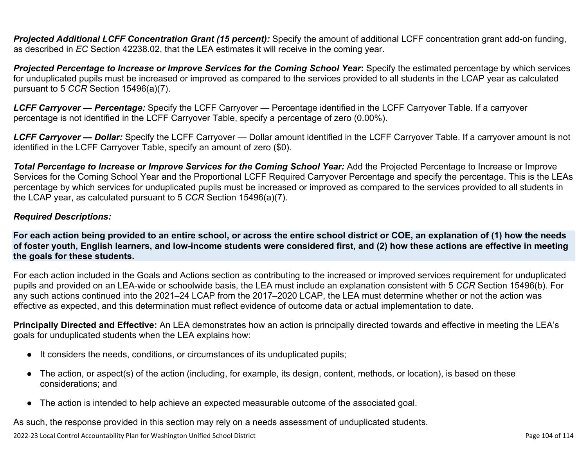**Projected Additional LCFF Concentration Grant (15 percent):** Specify the amount of additional LCFF concentration grant add-on funding, as described in *EC* Section 42238.02, that the LEA estimates it will receive in the coming year.

*Projected Percentage to Increase or Improve Services for the Coming School Year***:** Specify the estimated percentage by which services for unduplicated pupils must be increased or improved as compared to the services provided to all students in the LCAP year as calculated pursuant to 5 *CCR* Section 15496(a)(7).

*LCFF Carryover — Percentage:* Specify the LCFF Carryover — Percentage identified in the LCFF Carryover Table. If a carryover percentage is not identified in the LCFF Carryover Table, specify a percentage of zero (0.00%).

*LCFF Carryover — Dollar:* Specify the LCFF Carryover — Dollar amount identified in the LCFF Carryover Table. If a carryover amount is not identified in the LCFF Carryover Table, specify an amount of zero (\$0).

**Total Percentage to Increase or Improve Services for the Coming School Year:** Add the Projected Percentage to Increase or Improve Services for the Coming School Year and the Proportional LCFF Required Carryover Percentage and specify the percentage. This is the LEAs percentage by which services for unduplicated pupils must be increased or improved as compared to the services provided to all students in the LCAP year, as calculated pursuant to 5 *CCR* Section 15496(a)(7).

#### *Required Descriptions:*

**For each action being provided to an entire school, or across the entire school district or COE, an explanation of (1) how the needs of foster youth, English learners, and low-income students were considered first, and (2) how these actions are effective in meeting the goals for these students.**

For each action included in the Goals and Actions section as contributing to the increased or improved services requirement for unduplicated pupils and provided on an LEA-wide or schoolwide basis, the LEA must include an explanation consistent with 5 *CCR* Section 15496(b). For any such actions continued into the 2021–24 LCAP from the 2017–2020 LCAP, the LEA must determine whether or not the action was effective as expected, and this determination must reflect evidence of outcome data or actual implementation to date.

**Principally Directed and Effective:** An LEA demonstrates how an action is principally directed towards and effective in meeting the LEA's goals for unduplicated students when the LEA explains how:

- It considers the needs, conditions, or circumstances of its unduplicated pupils;
- The action, or aspect(s) of the action (including, for example, its design, content, methods, or location), is based on these considerations; and
- The action is intended to help achieve an expected measurable outcome of the associated goal.

As such, the response provided in this section may rely on a needs assessment of unduplicated students.

2022-23 Local Control Accountability Plan for Washington Unified School District **Page 104 of 114** Page 104 of 114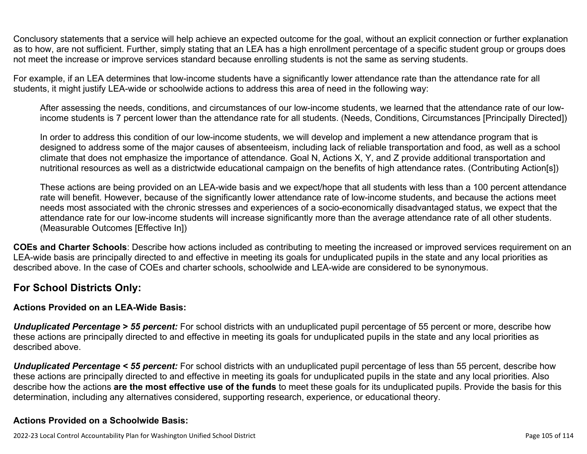Conclusory statements that a service will help achieve an expected outcome for the goal, without an explicit connection or further explanation as to how, are not sufficient. Further, simply stating that an LEA has a high enrollment percentage of a specific student group or groups does not meet the increase or improve services standard because enrolling students is not the same as serving students.

For example, if an LEA determines that low-income students have a significantly lower attendance rate than the attendance rate for all students, it might justify LEA-wide or schoolwide actions to address this area of need in the following way:

After assessing the needs, conditions, and circumstances of our low-income students, we learned that the attendance rate of our lowincome students is 7 percent lower than the attendance rate for all students. (Needs, Conditions, Circumstances [Principally Directed])

In order to address this condition of our low-income students, we will develop and implement a new attendance program that is designed to address some of the major causes of absenteeism, including lack of reliable transportation and food, as well as a school climate that does not emphasize the importance of attendance. Goal N, Actions X, Y, and Z provide additional transportation and nutritional resources as well as a districtwide educational campaign on the benefits of high attendance rates. (Contributing Action[s])

These actions are being provided on an LEA-wide basis and we expect/hope that all students with less than a 100 percent attendance rate will benefit. However, because of the significantly lower attendance rate of low-income students, and because the actions meet needs most associated with the chronic stresses and experiences of a socio-economically disadvantaged status, we expect that the attendance rate for our low-income students will increase significantly more than the average attendance rate of all other students. (Measurable Outcomes [Effective In])

**COEs and Charter Schools**: Describe how actions included as contributing to meeting the increased or improved services requirement on an LEA-wide basis are principally directed to and effective in meeting its goals for unduplicated pupils in the state and any local priorities as described above. In the case of COEs and charter schools, schoolwide and LEA-wide are considered to be synonymous.

### **For School Districts Only:**

#### **Actions Provided on an LEA-Wide Basis:**

*Unduplicated Percentage > 55 percent:* For school districts with an unduplicated pupil percentage of 55 percent or more, describe how these actions are principally directed to and effective in meeting its goals for unduplicated pupils in the state and any local priorities as described above.

*Unduplicated Percentage < 55 percent:* For school districts with an unduplicated pupil percentage of less than 55 percent, describe how these actions are principally directed to and effective in meeting its goals for unduplicated pupils in the state and any local priorities. Also describe how the actions **are the most effective use of the funds** to meet these goals for its unduplicated pupils. Provide the basis for this determination, including any alternatives considered, supporting research, experience, or educational theory.

#### **Actions Provided on a Schoolwide Basis:**

2022-23 Local Control Accountability Plan for Washington Unified School District Page 105 of 114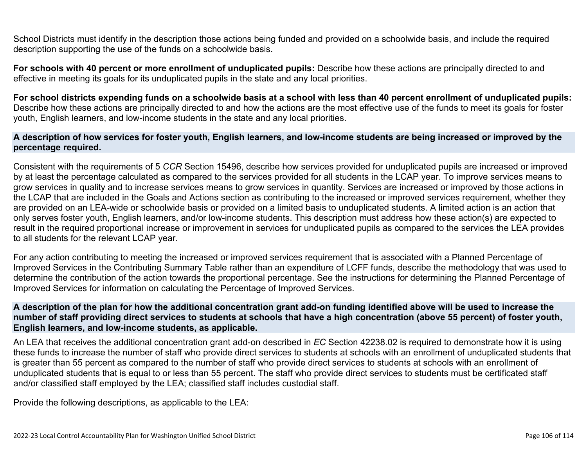School Districts must identify in the description those actions being funded and provided on a schoolwide basis, and include the required description supporting the use of the funds on a schoolwide basis.

**For schools with 40 percent or more enrollment of unduplicated pupils:** Describe how these actions are principally directed to and effective in meeting its goals for its unduplicated pupils in the state and any local priorities.

**For school districts expending funds on a schoolwide basis at a school with less than 40 percent enrollment of unduplicated pupils:** Describe how these actions are principally directed to and how the actions are the most effective use of the funds to meet its goals for foster youth, English learners, and low-income students in the state and any local priorities.

#### **A description of how services for foster youth, English learners, and low-income students are being increased or improved by the percentage required.**

Consistent with the requirements of 5 *CCR* Section 15496, describe how services provided for unduplicated pupils are increased or improved by at least the percentage calculated as compared to the services provided for all students in the LCAP year. To improve services means to grow services in quality and to increase services means to grow services in quantity. Services are increased or improved by those actions in the LCAP that are included in the Goals and Actions section as contributing to the increased or improved services requirement, whether they are provided on an LEA-wide or schoolwide basis or provided on a limited basis to unduplicated students. A limited action is an action that only serves foster youth, English learners, and/or low-income students. This description must address how these action(s) are expected to result in the required proportional increase or improvement in services for unduplicated pupils as compared to the services the LEA provides to all students for the relevant LCAP year.

For any action contributing to meeting the increased or improved services requirement that is associated with a Planned Percentage of Improved Services in the Contributing Summary Table rather than an expenditure of LCFF funds, describe the methodology that was used to determine the contribution of the action towards the proportional percentage. See the instructions for determining the Planned Percentage of Improved Services for information on calculating the Percentage of Improved Services.

#### **A description of the plan for how the additional concentration grant add-on funding identified above will be used to increase the number of staff providing direct services to students at schools that have a high concentration (above 55 percent) of foster youth, English learners, and low-income students, as applicable.**

An LEA that receives the additional concentration grant add-on described in *EC* Section 42238.02 is required to demonstrate how it is using these funds to increase the number of staff who provide direct services to students at schools with an enrollment of unduplicated students that is greater than 55 percent as compared to the number of staff who provide direct services to students at schools with an enrollment of unduplicated students that is equal to or less than 55 percent. The staff who provide direct services to students must be certificated staff and/or classified staff employed by the LEA; classified staff includes custodial staff.

Provide the following descriptions, as applicable to the LEA: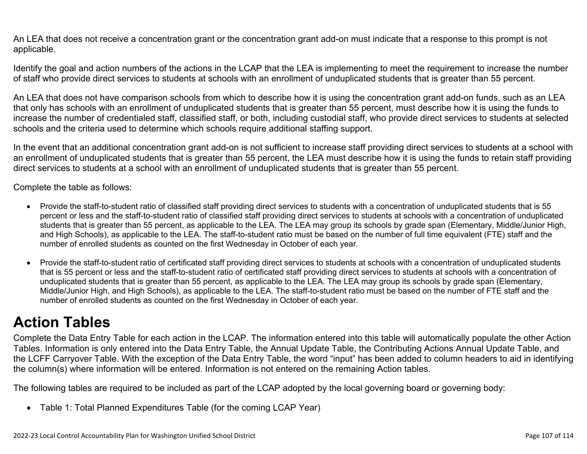An LEA that does not receive a concentration grant or the concentration grant add-on must indicate that a response to this prompt is not applicable.

Identify the goal and action numbers of the actions in the LCAP that the LEA is implementing to meet the requirement to increase the number of staff who provide direct services to students at schools with an enrollment of unduplicated students that is greater than 55 percent.

An LEA that does not have comparison schools from which to describe how it is using the concentration grant add-on funds, such as an LEA that only has schools with an enrollment of unduplicated students that is greater than 55 percent, must describe how it is using the funds to increase the number of credentialed staff, classified staff, or both, including custodial staff, who provide direct services to students at selected schools and the criteria used to determine which schools require additional staffing support.

In the event that an additional concentration grant add-on is not sufficient to increase staff providing direct services to students at a school with an enrollment of unduplicated students that is greater than 55 percent, the LEA must describe how it is using the funds to retain staff providing direct services to students at a school with an enrollment of unduplicated students that is greater than 55 percent.

Complete the table as follows:

- Provide the staff-to-student ratio of classified staff providing direct services to students with a concentration of unduplicated students that is 55 percent or less and the staff-to-student ratio of classified staff providing direct services to students at schools with a concentration of unduplicated students that is greater than 55 percent, as applicable to the LEA. The LEA may group its schools by grade span (Elementary, Middle/Junior High, and High Schools), as applicable to the LEA. The staff-to-student ratio must be based on the number of full time equivalent (FTE) staff and the number of enrolled students as counted on the first Wednesday in October of each year.
- Provide the staff-to-student ratio of certificated staff providing direct services to students at schools with a concentration of unduplicated students that is 55 percent or less and the staff-to-student ratio of certificated staff providing direct services to students at schools with a concentration of unduplicated students that is greater than 55 percent, as applicable to the LEA. The LEA may group its schools by grade span (Elementary, Middle/Junior High, and High Schools), as applicable to the LEA. The staff-to-student ratio must be based on the number of FTE staff and the number of enrolled students as counted on the first Wednesday in October of each year.

## **Action Tables**

Complete the Data Entry Table for each action in the LCAP. The information entered into this table will automatically populate the other Action Tables. Information is only entered into the Data Entry Table, the Annual Update Table, the Contributing Actions Annual Update Table, and the LCFF Carryover Table. With the exception of the Data Entry Table, the word "input" has been added to column headers to aid in identifying the column(s) where information will be entered. Information is not entered on the remaining Action tables.

The following tables are required to be included as part of the LCAP adopted by the local governing board or governing body:

• Table 1: Total Planned Expenditures Table (for the coming LCAP Year)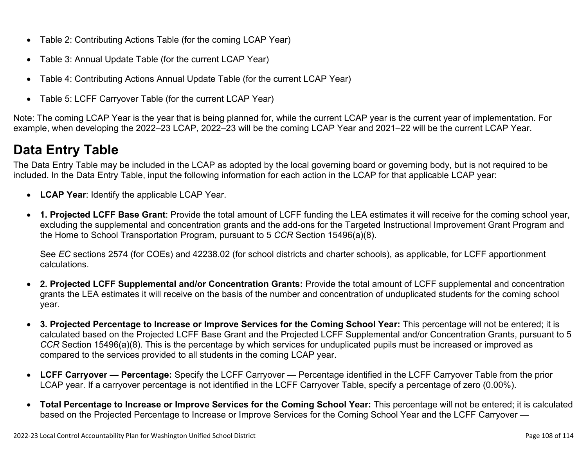- Table 2: Contributing Actions Table (for the coming LCAP Year)
- Table 3: Annual Update Table (for the current LCAP Year)
- Table 4: Contributing Actions Annual Update Table (for the current LCAP Year)
- Table 5: LCFF Carryover Table (for the current LCAP Year)

Note: The coming LCAP Year is the year that is being planned for, while the current LCAP year is the current year of implementation. For example, when developing the 2022–23 LCAP, 2022–23 will be the coming LCAP Year and 2021–22 will be the current LCAP Year.

## **Data Entry Table**

The Data Entry Table may be included in the LCAP as adopted by the local governing board or governing body, but is not required to be included. In the Data Entry Table, input the following information for each action in the LCAP for that applicable LCAP year:

- **LCAP Year**: Identify the applicable LCAP Year.
- **1. Projected LCFF Base Grant**: Provide the total amount of LCFF funding the LEA estimates it will receive for the coming school year, excluding the supplemental and concentration grants and the add-ons for the Targeted Instructional Improvement Grant Program and the Home to School Transportation Program, pursuant to 5 *CCR* Section 15496(a)(8).

See *EC* sections 2574 (for COEs) and 42238.02 (for school districts and charter schools), as applicable, for LCFF apportionment calculations.

- **2. Projected LCFF Supplemental and/or Concentration Grants:** Provide the total amount of LCFF supplemental and concentration grants the LEA estimates it will receive on the basis of the number and concentration of unduplicated students for the coming school year.
- **3. Projected Percentage to Increase or Improve Services for the Coming School Year:** This percentage will not be entered; it is calculated based on the Projected LCFF Base Grant and the Projected LCFF Supplemental and/or Concentration Grants, pursuant to 5 *CCR* Section 15496(a)(8). This is the percentage by which services for unduplicated pupils must be increased or improved as compared to the services provided to all students in the coming LCAP year.
- **LCFF Carryover Percentage:** Specify the LCFF Carryover Percentage identified in the LCFF Carryover Table from the prior LCAP year. If a carryover percentage is not identified in the LCFF Carryover Table, specify a percentage of zero (0.00%).
- **Total Percentage to Increase or Improve Services for the Coming School Year:** This percentage will not be entered; it is calculated based on the Projected Percentage to Increase or Improve Services for the Coming School Year and the LCFF Carryover —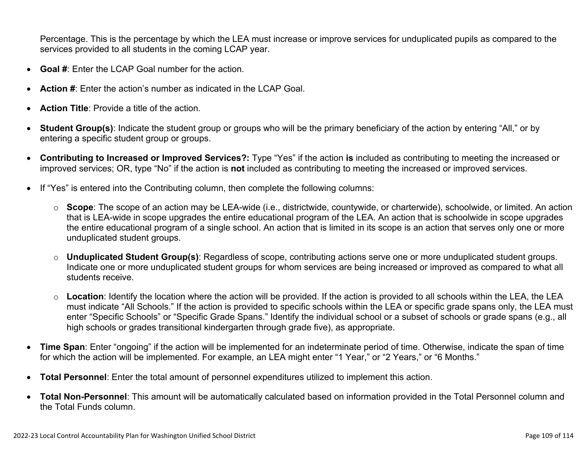Percentage. This is the percentage by which the LEA must increase or improve services for unduplicated pupils as compared to the services provided to all students in the coming LCAP year.

- **Goal #**: Enter the LCAP Goal number for the action.
- **Action #**: Enter the action's number as indicated in the LCAP Goal.
- **Action Title**: Provide a title of the action.
- **Student Group(s)**: Indicate the student group or groups who will be the primary beneficiary of the action by entering "All," or by entering a specific student group or groups.
- **Contributing to Increased or Improved Services?:** Type "Yes" if the action **is** included as contributing to meeting the increased or improved services; OR, type "No" if the action is **not** included as contributing to meeting the increased or improved services.
- If "Yes" is entered into the Contributing column, then complete the following columns:
	- o **Scope**: The scope of an action may be LEA-wide (i.e., districtwide, countywide, or charterwide), schoolwide, or limited. An action that is LEA-wide in scope upgrades the entire educational program of the LEA. An action that is schoolwide in scope upgrades the entire educational program of a single school. An action that is limited in its scope is an action that serves only one or more unduplicated student groups.
	- o **Unduplicated Student Group(s)**: Regardless of scope, contributing actions serve one or more unduplicated student groups. Indicate one or more unduplicated student groups for whom services are being increased or improved as compared to what all students receive.
	- o **Location**: Identify the location where the action will be provided. If the action is provided to all schools within the LEA, the LEA must indicate "All Schools." If the action is provided to specific schools within the LEA or specific grade spans only, the LEA must enter "Specific Schools" or "Specific Grade Spans." Identify the individual school or a subset of schools or grade spans (e.g., all high schools or grades transitional kindergarten through grade five), as appropriate.
- **Time Span**: Enter "ongoing" if the action will be implemented for an indeterminate period of time. Otherwise, indicate the span of time for which the action will be implemented. For example, an LEA might enter "1 Year," or "2 Years," or "6 Months."
- **Total Personnel**: Enter the total amount of personnel expenditures utilized to implement this action.
- **Total Non-Personnel**: This amount will be automatically calculated based on information provided in the Total Personnel column and the Total Funds column.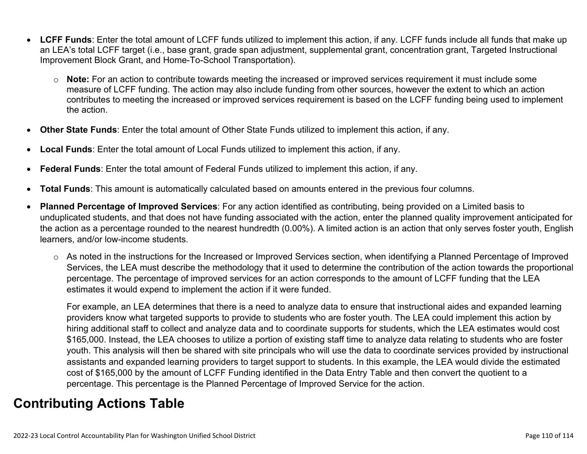- **LCFF Funds**: Enter the total amount of LCFF funds utilized to implement this action, if any. LCFF funds include all funds that make up an LEA's total LCFF target (i.e., base grant, grade span adjustment, supplemental grant, concentration grant, Targeted Instructional Improvement Block Grant, and Home-To-School Transportation).
	- o **Note:** For an action to contribute towards meeting the increased or improved services requirement it must include some measure of LCFF funding. The action may also include funding from other sources, however the extent to which an action contributes to meeting the increased or improved services requirement is based on the LCFF funding being used to implement the action.
- **Other State Funds**: Enter the total amount of Other State Funds utilized to implement this action, if any.
- **Local Funds**: Enter the total amount of Local Funds utilized to implement this action, if any.
- **Federal Funds**: Enter the total amount of Federal Funds utilized to implement this action, if any.
- **Total Funds**: This amount is automatically calculated based on amounts entered in the previous four columns.
- **Planned Percentage of Improved Services**: For any action identified as contributing, being provided on a Limited basis to unduplicated students, and that does not have funding associated with the action, enter the planned quality improvement anticipated for the action as a percentage rounded to the nearest hundredth (0.00%). A limited action is an action that only serves foster youth, English learners, and/or low-income students.
	- o As noted in the instructions for the Increased or Improved Services section, when identifying a Planned Percentage of Improved Services, the LEA must describe the methodology that it used to determine the contribution of the action towards the proportional percentage. The percentage of improved services for an action corresponds to the amount of LCFF funding that the LEA estimates it would expend to implement the action if it were funded.

For example, an LEA determines that there is a need to analyze data to ensure that instructional aides and expanded learning providers know what targeted supports to provide to students who are foster youth. The LEA could implement this action by hiring additional staff to collect and analyze data and to coordinate supports for students, which the LEA estimates would cost \$165,000. Instead, the LEA chooses to utilize a portion of existing staff time to analyze data relating to students who are foster youth. This analysis will then be shared with site principals who will use the data to coordinate services provided by instructional assistants and expanded learning providers to target support to students. In this example, the LEA would divide the estimated cost of \$165,000 by the amount of LCFF Funding identified in the Data Entry Table and then convert the quotient to a percentage. This percentage is the Planned Percentage of Improved Service for the action.

## **Contributing Actions Table**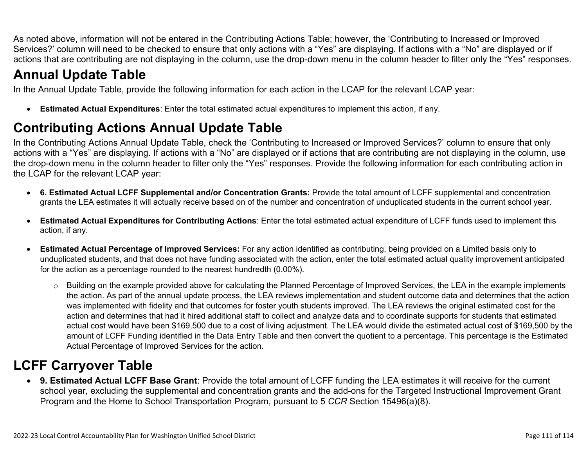As noted above, information will not be entered in the Contributing Actions Table; however, the 'Contributing to Increased or Improved Services?' column will need to be checked to ensure that only actions with a "Yes" are displaying. If actions with a "No" are displayed or if actions that are contributing are not displaying in the column, use the drop-down menu in the column header to filter only the "Yes" responses.

# **Annual Update Table**

In the Annual Update Table, provide the following information for each action in the LCAP for the relevant LCAP year:

• **Estimated Actual Expenditures**: Enter the total estimated actual expenditures to implement this action, if any.

## **Contributing Actions Annual Update Table**

In the Contributing Actions Annual Update Table, check the 'Contributing to Increased or Improved Services?' column to ensure that only actions with a "Yes" are displaying. If actions with a "No" are displayed or if actions that are contributing are not displaying in the column, use the drop-down menu in the column header to filter only the "Yes" responses. Provide the following information for each contributing action in the LCAP for the relevant LCAP year:

- **6. Estimated Actual LCFF Supplemental and/or Concentration Grants:** Provide the total amount of LCFF supplemental and concentration grants the LEA estimates it will actually receive based on of the number and concentration of unduplicated students in the current school year.
- **Estimated Actual Expenditures for Contributing Actions**: Enter the total estimated actual expenditure of LCFF funds used to implement this action, if any.
- **Estimated Actual Percentage of Improved Services:** For any action identified as contributing, being provided on a Limited basis only to unduplicated students, and that does not have funding associated with the action, enter the total estimated actual quality improvement anticipated for the action as a percentage rounded to the nearest hundredth (0.00%).
	- o Building on the example provided above for calculating the Planned Percentage of Improved Services, the LEA in the example implements the action. As part of the annual update process, the LEA reviews implementation and student outcome data and determines that the action was implemented with fidelity and that outcomes for foster youth students improved. The LEA reviews the original estimated cost for the action and determines that had it hired additional staff to collect and analyze data and to coordinate supports for students that estimated actual cost would have been \$169,500 due to a cost of living adjustment. The LEA would divide the estimated actual cost of \$169,500 by the amount of LCFF Funding identified in the Data Entry Table and then convert the quotient to a percentage. This percentage is the Estimated Actual Percentage of Improved Services for the action.

## **LCFF Carryover Table**

• **9. Estimated Actual LCFF Base Grant**: Provide the total amount of LCFF funding the LEA estimates it will receive for the current school year, excluding the supplemental and concentration grants and the add-ons for the Targeted Instructional Improvement Grant Program and the Home to School Transportation Program, pursuant to 5 *CCR* Section 15496(a)(8).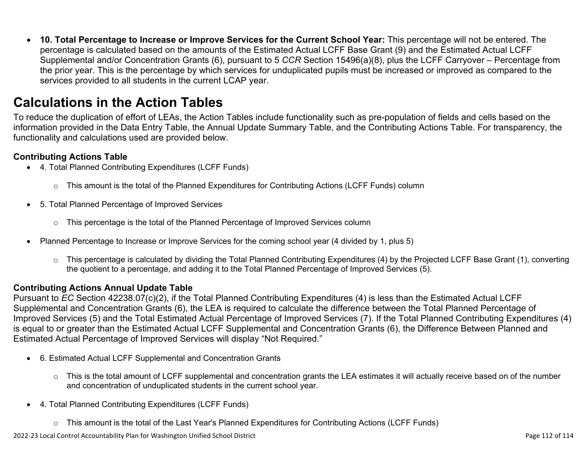• **10. Total Percentage to Increase or Improve Services for the Current School Year:** This percentage will not be entered. The percentage is calculated based on the amounts of the Estimated Actual LCFF Base Grant (9) and the Estimated Actual LCFF Supplemental and/or Concentration Grants (6), pursuant to 5 *CCR* Section 15496(a)(8), plus the LCFF Carryover – Percentage from the prior year. This is the percentage by which services for unduplicated pupils must be increased or improved as compared to the services provided to all students in the current LCAP year.

### **Calculations in the Action Tables**

To reduce the duplication of effort of LEAs, the Action Tables include functionality such as pre-population of fields and cells based on the information provided in the Data Entry Table, the Annual Update Summary Table, and the Contributing Actions Table. For transparency, the functionality and calculations used are provided below.

#### **Contributing Actions Table**

- 4. Total Planned Contributing Expenditures (LCFF Funds)
	- $\circ$  This amount is the total of the Planned Expenditures for Contributing Actions (LCFF Funds) column
- 5. Total Planned Percentage of Improved Services
	- $\circ$  This percentage is the total of the Planned Percentage of Improved Services column
- Planned Percentage to Increase or Improve Services for the coming school year (4 divided by 1, plus 5)
	- o This percentage is calculated by dividing the Total Planned Contributing Expenditures (4) by the Projected LCFF Base Grant (1), converting the quotient to a percentage, and adding it to the Total Planned Percentage of Improved Services (5).

### **Contributing Actions Annual Update Table**

Pursuant to *EC* Section 42238.07(c)(2), if the Total Planned Contributing Expenditures (4) is less than the Estimated Actual LCFF Supplemental and Concentration Grants (6), the LEA is required to calculate the difference between the Total Planned Percentage of Improved Services (5) and the Total Estimated Actual Percentage of Improved Services (7). If the Total Planned Contributing Expenditures (4) is equal to or greater than the Estimated Actual LCFF Supplemental and Concentration Grants (6), the Difference Between Planned and Estimated Actual Percentage of Improved Services will display "Not Required."

- 6. Estimated Actual LCFF Supplemental and Concentration Grants
	- o This is the total amount of LCFF supplemental and concentration grants the LEA estimates it will actually receive based on of the number and concentration of unduplicated students in the current school year.
- 4. Total Planned Contributing Expenditures (LCFF Funds)
	- $\circ$  This amount is the total of the Last Year's Planned Expenditures for Contributing Actions (LCFF Funds)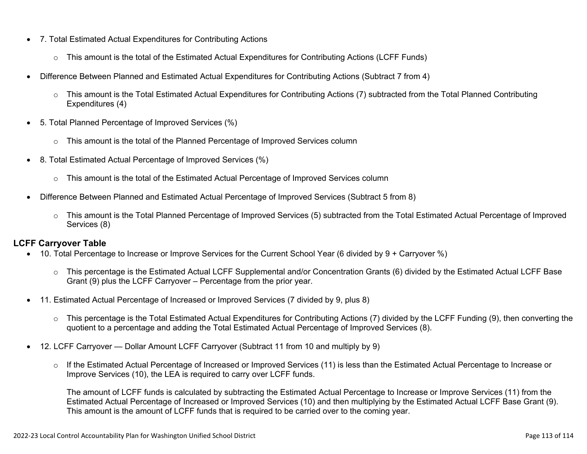- 7. Total Estimated Actual Expenditures for Contributing Actions
	- o This amount is the total of the Estimated Actual Expenditures for Contributing Actions (LCFF Funds)
- Difference Between Planned and Estimated Actual Expenditures for Contributing Actions (Subtract 7 from 4)
	- $\circ$  This amount is the Total Estimated Actual Expenditures for Contributing Actions (7) subtracted from the Total Planned Contributing Expenditures (4)
- 5. Total Planned Percentage of Improved Services (%)
	- $\circ$  This amount is the total of the Planned Percentage of Improved Services column
- 8. Total Estimated Actual Percentage of Improved Services (%)
	- o This amount is the total of the Estimated Actual Percentage of Improved Services column
- Difference Between Planned and Estimated Actual Percentage of Improved Services (Subtract 5 from 8)
	- o This amount is the Total Planned Percentage of Improved Services (5) subtracted from the Total Estimated Actual Percentage of Improved Services (8)

### **LCFF Carryover Table**

- 10. Total Percentage to Increase or Improve Services for the Current School Year (6 divided by 9 + Carryover %)
	- $\circ$  This percentage is the Estimated Actual LCFF Supplemental and/or Concentration Grants (6) divided by the Estimated Actual LCFF Base Grant (9) plus the LCFF Carryover – Percentage from the prior year.
- 11. Estimated Actual Percentage of Increased or Improved Services (7 divided by 9, plus 8)
	- o This percentage is the Total Estimated Actual Expenditures for Contributing Actions (7) divided by the LCFF Funding (9), then converting the quotient to a percentage and adding the Total Estimated Actual Percentage of Improved Services (8).
- 12. LCFF Carryover Dollar Amount LCFF Carryover (Subtract 11 from 10 and multiply by 9)
	- $\circ$  If the Estimated Actual Percentage of Increased or Improved Services (11) is less than the Estimated Actual Percentage to Increase or Improve Services (10), the LEA is required to carry over LCFF funds.

The amount of LCFF funds is calculated by subtracting the Estimated Actual Percentage to Increase or Improve Services (11) from the Estimated Actual Percentage of Increased or Improved Services (10) and then multiplying by the Estimated Actual LCFF Base Grant (9). This amount is the amount of LCFF funds that is required to be carried over to the coming year.